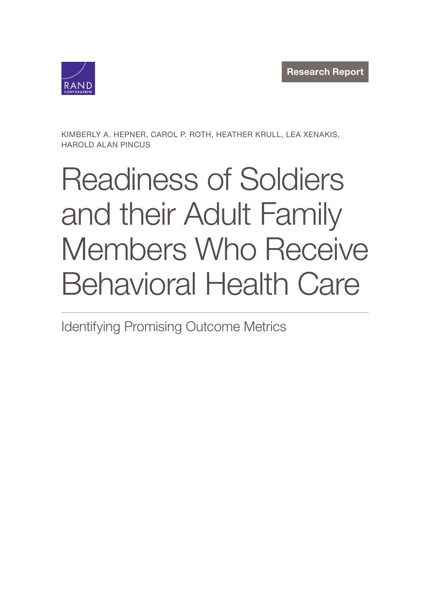

KIMBERLY A. HEPNER, CAROL P. ROTH, HEATHER KRULL, LEA XENAKIS, HAROLD ALAN PINCUS

# Readiness of Soldiers and their Adult Family [Members Who Receive](https://www.rand.org/pubs/research_reports/RR4268.html) Behavioral Health Care

Identifying Promising Outcome Metrics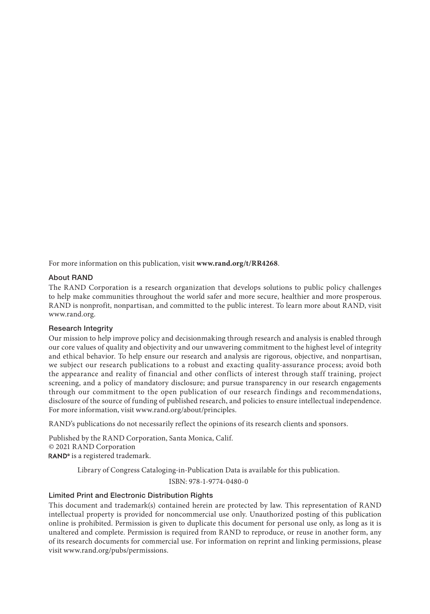For more information on this publication, visit **www.rand.org/t/RR4268**.

#### About RAND

The RAND Corporation is a research organization that develops solutions to public policy challenges to help make communities throughout the world safer and more secure, healthier and more prosperous. RAND is nonprofit, nonpartisan, and committed to the public interest. To learn more about RAND, visit www.rand.org.

#### Research Integrity

Our mission to help improve policy and decisionmaking through research and analysis is enabled through our core values of quality a[nd objectivity and our unwaverin](http://www.rand.org/about/principles)g commitment to the highest level of integrity and ethical behavior. To help ensure our research and analysis are rigorous, objective, and nonpartisan, we subject our research publications to a robust and exacting quality-assurance process; avoid both the appearance and reality of financial and other conflicts of interest through staff training, project screening, and a policy of mandatory disclosure; and pursue transparency in our research engagements through our commitment to the open publication of our research findings and recommendations, disclosure of the source of funding of published research, and policies to ensure intellectual independence. For more information, visit www.rand.org/about/principles.

RAND's publications do not necessarily reflect the opinions of its research clients and sponsors.

Published by the RAND Corporation, Santa Monica, Calif. © 2021 RAND Corporation RAND<sup>®</sup> is a registered trademark.

Library of Congress Cataloging-in-Publication Data is available for this publication.

ISBN: 978-1-9774-0480-0

#### Limi[ted Print and Electronic Distrib](http://www.rand.org/pubs/permissions)ution Rights

This document and trademark(s) contained herein are protected by law. This representation of RAND intellectual property is provided for noncommercial use only. Unauthorized posting of this publication online is prohibited. Permission is given to duplicate this document for personal use only, as long as it is unaltered and complete. Permission is required from RAND to reproduce, or reuse in another form, any of its research documents for commercial use. For information on reprint and linking permissions, please visit www.rand.org/pubs/permissions.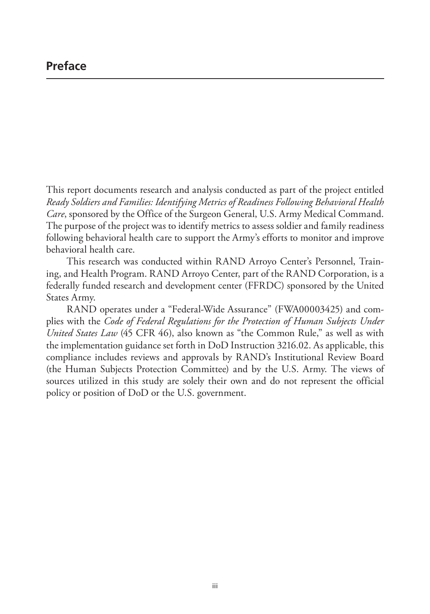This report documents research and analysis conducted as part of the project entitled *Ready Soldiers and Families: Identifying Metrics of Readiness Following Behavioral Health Care*, sponsored by the Office of the Surgeon General, U.S. Army Medical Command. The purpose of the project was to identify metrics to assess soldier and family readiness following behavioral health care to support the Army's efforts to monitor and improve behavioral health care.

This research was conducted within RAND Arroyo Center's Personnel, Training, and Health Program. RAND Arroyo Center, part of the RAND Corporation, is a federally funded research and development center (FFRDC) sponsored by the United States Army.

RAND operates under a "Federal-Wide Assurance" (FWA00003425) and complies with the *Code of Federal Regulations for the Protection of Human Subjects Under United States Law* (45 CFR 46), also known as "the Common Rule," as well as with the implementation guidance set forth in DoD Instruction 3216.02. As applicable, this compliance includes reviews and approvals by RAND's Institutional Review Board (the Human Subjects Protection Committee) and by the U.S. Army. The views of sources utilized in this study are solely their own and do not represent the official policy or position of DoD or the U.S. government.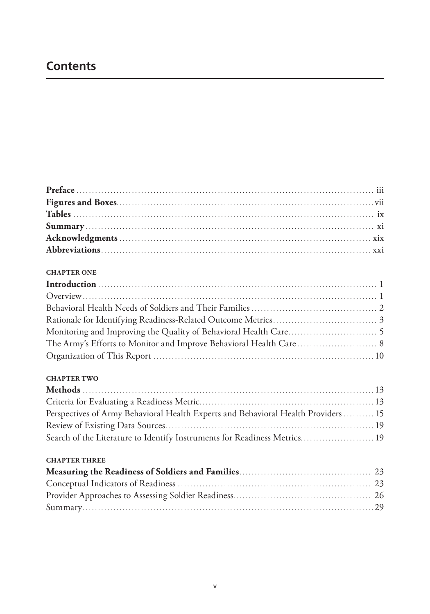# **Contents**

#### **CHAPTER ONE**

#### **CHAPTER TWO**

| Perspectives of Army Behavioral Health Experts and Behavioral Health Providers  15 |  |
|------------------------------------------------------------------------------------|--|
|                                                                                    |  |
| Search of the Literature to Identify Instruments for Readiness Metrics 19          |  |

#### **CHAPTER THREE**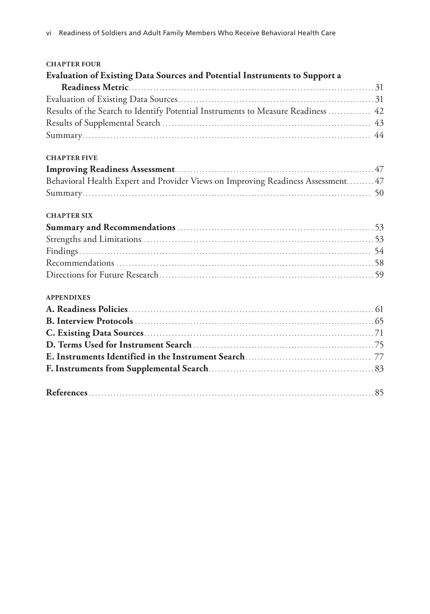| <b>CHAPTER FOUR</b>                                                              |  |
|----------------------------------------------------------------------------------|--|
| Evaluation of Existing Data Sources and Potential Instruments to Support a       |  |
|                                                                                  |  |
|                                                                                  |  |
| Results of the Search to Identify Potential Instruments to Measure Readiness  42 |  |
|                                                                                  |  |
|                                                                                  |  |
| <b>CHAPTER FIVE</b>                                                              |  |
|                                                                                  |  |
| Behavioral Health Expert and Provider Views on Improving Readiness Assessment 47 |  |
|                                                                                  |  |
| <b>CHAPTER SIX</b>                                                               |  |
|                                                                                  |  |
|                                                                                  |  |
|                                                                                  |  |
|                                                                                  |  |
|                                                                                  |  |
| <b>APPENDIXES</b>                                                                |  |
|                                                                                  |  |
|                                                                                  |  |
|                                                                                  |  |
|                                                                                  |  |
|                                                                                  |  |
|                                                                                  |  |
|                                                                                  |  |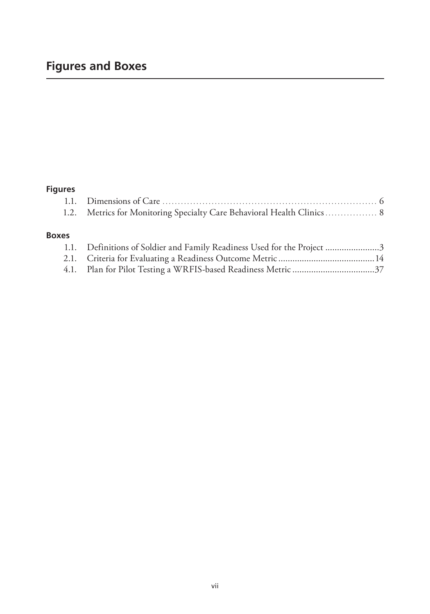# **Figures and Boxes**

# **Figures**

## **Boxes**

| 1.1. Definitions of Soldier and Family Readiness Used for the Project 3 |  |
|-------------------------------------------------------------------------|--|
|                                                                         |  |
|                                                                         |  |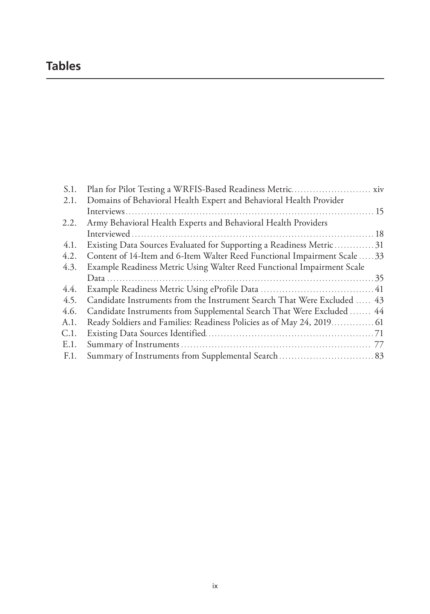# **Tables**

| S.1. |                                                                           |  |
|------|---------------------------------------------------------------------------|--|
| 2.1. | Domains of Behavioral Health Expert and Behavioral Health Provider        |  |
|      |                                                                           |  |
| 2.2. | Army Behavioral Health Experts and Behavioral Health Providers            |  |
|      |                                                                           |  |
| 4.1. | Existing Data Sources Evaluated for Supporting a Readiness Metric 31      |  |
| 4.2. | Content of 14-Item and 6-Item Walter Reed Functional Impairment Scale  33 |  |
| 4.3. | Example Readiness Metric Using Walter Reed Functional Impairment Scale    |  |
|      |                                                                           |  |
| 4.4. |                                                                           |  |
| 4.5. | Candidate Instruments from the Instrument Search That Were Excluded  43   |  |
| 4.6. | Candidate Instruments from Supplemental Search That Were Excluded  44     |  |
| A.1. |                                                                           |  |
| C.1. |                                                                           |  |
| E.1. |                                                                           |  |
| F.1. |                                                                           |  |
|      |                                                                           |  |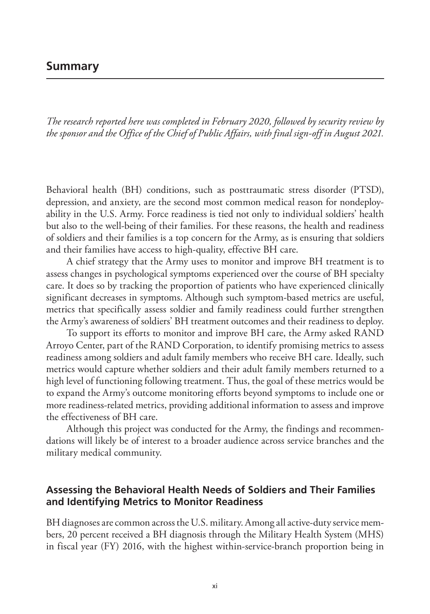# **Summary**

*The research reported here was completed in February 2020, followed by security review by the sponsor and the Office of the Chief of Public Affairs, with final sign-off in August 2021.*

Behavioral health (BH) conditions, such as posttraumatic stress disorder (PTSD), depression, and anxiety, are the second most common medical reason for nondeployability in the U.S. Army. Force readiness is tied not only to individual soldiers' health but also to the well-being of their families. For these reasons, the health and readiness of soldiers and their families is a top concern for the Army, as is ensuring that soldiers and their families have access to high-quality, effective BH care.

A chief strategy that the Army uses to monitor and improve BH treatment is to assess changes in psychological symptoms experienced over the course of BH specialty care. It does so by tracking the proportion of patients who have experienced clinically significant decreases in symptoms. Although such symptom-based metrics are useful, metrics that specifically assess soldier and family readiness could further strengthen the Army's awareness of soldiers' BH treatment outcomes and their readiness to deploy.

To support its efforts to monitor and improve BH care, the Army asked RAND Arroyo Center, part of the RAND Corporation, to identify promising metrics to assess readiness among soldiers and adult family members who receive BH care. Ideally, such metrics would capture whether soldiers and their adult family members returned to a high level of functioning following treatment. Thus, the goal of these metrics would be to expand the Army's outcome monitoring efforts beyond symptoms to include one or more readiness-related metrics, providing additional information to assess and improve the effectiveness of BH care.

Although this project was conducted for the Army, the findings and recommendations will likely be of interest to a broader audience across service branches and the military medical community.

# **Assessing the Behavioral Health Needs of Soldiers and Their Families and Identifying Metrics to Monitor Readiness**

BH diagnoses are common across the U.S. military. Among all active-duty service members, 20 percent received a BH diagnosis through the Military Health System (MHS) in fiscal year (FY) 2016, with the highest within-service-branch proportion being in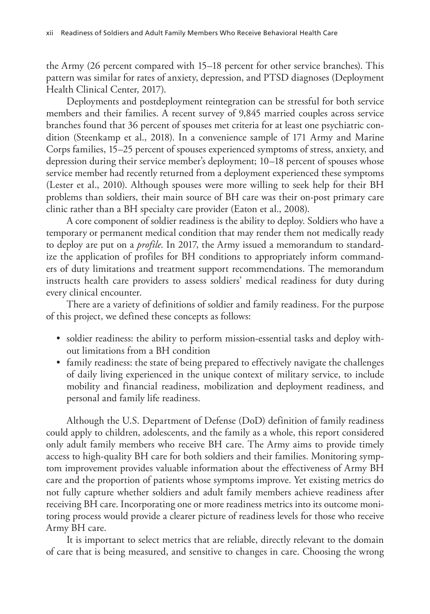the Army (26 percent compared with 15–18 percent for other service branches). This pattern was similar for rates of anxiety, depression, and PTSD diagnoses (Deployment Health Clinical Center, 2017).

Deployments and postdeployment reintegration can be stressful for both service members and their families. A recent survey of 9,845 married couples across service branches found that 36 percent of spouses met criteria for at least one psychiatric condition (Steenkamp et al., 2018). In a convenience sample of 171 Army and Marine Corps families, 15–25 percent of spouses experienced symptoms of stress, anxiety, and depression during their service member's deployment; 10–18 percent of spouses whose service member had recently returned from a deployment experienced these symptoms (Lester et al., 2010). Although spouses were more willing to seek help for their BH problems than soldiers, their main source of BH care was their on-post primary care clinic rather than a BH specialty care provider (Eaton et al., 2008).

A core component of soldier readiness is the ability to deploy. Soldiers who have a temporary or permanent medical condition that may render them not medically ready to deploy are put on a *profile*. In 2017, the Army issued a memorandum to standardize the application of profiles for BH conditions to appropriately inform commanders of duty limitations and treatment support recommendations. The memorandum instructs health care providers to assess soldiers' medical readiness for duty during every clinical encounter.

There are a variety of definitions of soldier and family readiness. For the purpose of this project, we defined these concepts as follows:

- soldier readiness: the ability to perform mission-essential tasks and deploy without limitations from a BH condition
- family readiness: the state of being prepared to effectively navigate the challenges of daily living experienced in the unique context of military service, to include mobility and financial readiness, mobilization and deployment readiness, and personal and family life readiness.

Although the U.S. Department of Defense (DoD) definition of family readiness could apply to children, adolescents, and the family as a whole, this report considered only adult family members who receive BH care. The Army aims to provide timely access to high-quality BH care for both soldiers and their families. Monitoring symptom improvement provides valuable information about the effectiveness of Army BH care and the proportion of patients whose symptoms improve. Yet existing metrics do not fully capture whether soldiers and adult family members achieve readiness after receiving BH care. Incorporating one or more readiness metrics into its outcome monitoring process would provide a clearer picture of readiness levels for those who receive Army BH care.

It is important to select metrics that are reliable, directly relevant to the domain of care that is being measured, and sensitive to changes in care. Choosing the wrong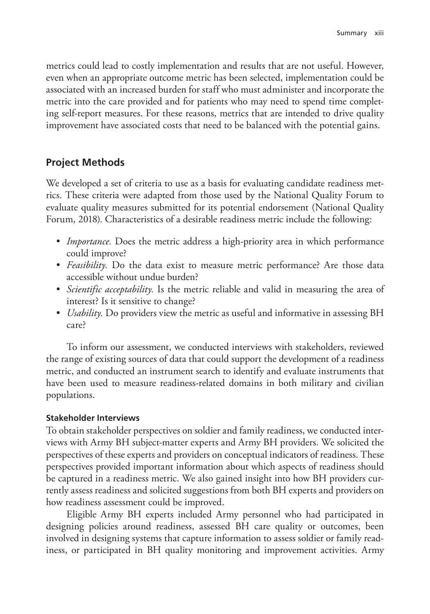metrics could lead to costly implementation and results that are not useful. However, even when an appropriate outcome metric has been selected, implementation could be associated with an increased burden for staff who must administer and incorporate the metric into the care provided and for patients who may need to spend time completing self-report measures. For these reasons, metrics that are intended to drive quality improvement have associated costs that need to be balanced with the potential gains.

# **Project Methods**

We developed a set of criteria to use as a basis for evaluating candidate readiness metrics. These criteria were adapted from those used by the National Quality Forum to evaluate quality measures submitted for its potential endorsement (National Quality Forum, 2018). Characteristics of a desirable readiness metric include the following:

- *Importance*. Does the metric address a high-priority area in which performance could improve?
- *Feasibility*. Do the data exist to measure metric performance? Are those data accessible without undue burden?
- *Scientific acceptability.* Is the metric reliable and valid in measuring the area of interest? Is it sensitive to change?
- *Usability.* Do providers view the metric as useful and informative in assessing BH care?

To inform our assessment, we conducted interviews with stakeholders, reviewed the range of existing sources of data that could support the development of a readiness metric, and conducted an instrument search to identify and evaluate instruments that have been used to measure readiness-related domains in both military and civilian populations.

## **Stakeholder Interviews**

To obtain stakeholder perspectives on soldier and family readiness, we conducted interviews with Army BH subject-matter experts and Army BH providers. We solicited the perspectives of these experts and providers on conceptual indicators of readiness. These perspectives provided important information about which aspects of readiness should be captured in a readiness metric. We also gained insight into how BH providers currently assess readiness and solicited suggestions from both BH experts and providers on how readiness assessment could be improved.

Eligible Army BH experts included Army personnel who had participated in designing policies around readiness, assessed BH care quality or outcomes, been involved in designing systems that capture information to assess soldier or family readiness, or participated in BH quality monitoring and improvement activities. Army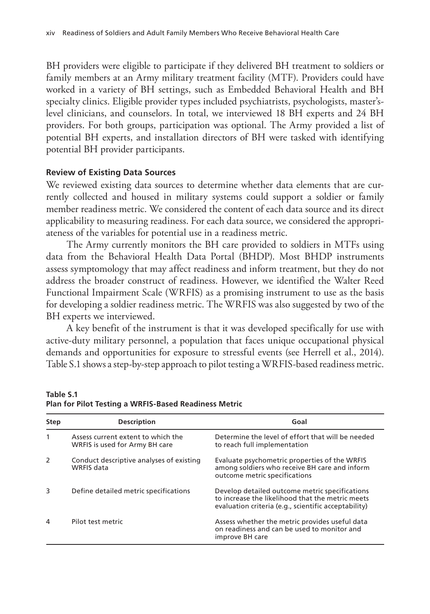BH providers were eligible to participate if they delivered BH treatment to soldiers or family members at an Army military treatment facility (MTF). Providers could have worked in a variety of BH settings, such as Embedded Behavioral Health and BH specialty clinics. Eligible provider types included psychiatrists, psychologists, master'slevel clinicians, and counselors. In total, we interviewed 18 BH experts and 24 BH providers. For both groups, participation was optional. The Army provided a list of potential BH experts, and installation directors of BH were tasked with identifying potential BH provider participants.

#### **Review of Existing Data Sources**

We reviewed existing data sources to determine whether data elements that are currently collected and housed in military systems could support a soldier or family member readiness metric. We considered the content of each data source and its direct applicability to measuring readiness. For each data source, we considered the appropriateness of the variables for potential use in a readiness metric.

The Army currently monitors the BH care provided to soldiers in MTFs using data from the Behavioral Health Data Portal (BHDP). Most BHDP instruments assess symptomology that may affect readiness and inform treatment, but they do not address the broader construct of readiness. However, we identified the Walter Reed Functional Impairment Scale (WRFIS) as a promising instrument to use as the basis for developing a soldier readiness metric. The WRFIS was also suggested by two of the BH experts we interviewed.

A key benefit of the instrument is that it was developed specifically for use with active-duty military personnel, a population that faces unique occupational physical demands and opportunities for exposure to stressful events (see Herrell et al., 2014). Table S.1 shows a step-by-step approach to pilot testing a WRFIS-based readiness metric.

| <b>Step</b>  | <b>Description</b>                                                   | Goal                                                                                                                                                       |
|--------------|----------------------------------------------------------------------|------------------------------------------------------------------------------------------------------------------------------------------------------------|
| $\mathbf{1}$ | Assess current extent to which the<br>WRFIS is used for Army BH care | Determine the level of effort that will be needed<br>to reach full implementation                                                                          |
| 2            | Conduct descriptive analyses of existing<br>WRFIS data               | Evaluate psychometric properties of the WRFIS<br>among soldiers who receive BH care and inform<br>outcome metric specifications                            |
| 3            | Define detailed metric specifications                                | Develop detailed outcome metric specifications<br>to increase the likelihood that the metric meets<br>evaluation criteria (e.g., scientific acceptability) |
| 4            | Pilot test metric                                                    | Assess whether the metric provides useful data<br>on readiness and can be used to monitor and<br>improve BH care                                           |

**Table S.1 Plan for Pilot Testing a WRFIS-Based Readiness Metric**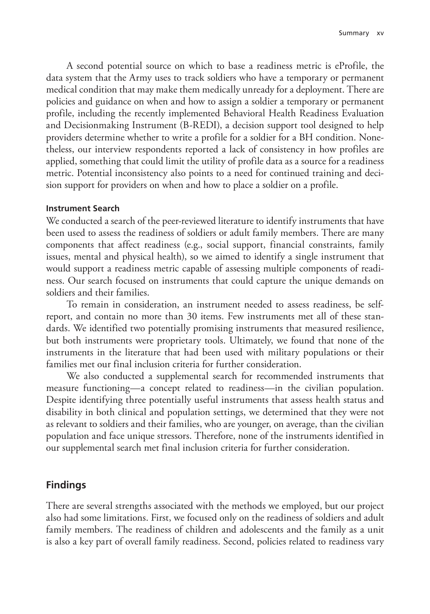A second potential source on which to base a readiness metric is eProfile, the data system that the Army uses to track soldiers who have a temporary or permanent medical condition that may make them medically unready for a deployment. There are policies and guidance on when and how to assign a soldier a temporary or permanent profile, including the recently implemented Behavioral Health Readiness Evaluation and Decisionmaking Instrument (B-REDI), a decision support tool designed to help providers determine whether to write a profile for a soldier for a BH condition. Nonetheless, our interview respondents reported a lack of consistency in how profiles are applied, something that could limit the utility of profile data as a source for a readiness metric. Potential inconsistency also points to a need for continued training and decision support for providers on when and how to place a soldier on a profile.

#### **Instrument Search**

We conducted a search of the peer-reviewed literature to identify instruments that have been used to assess the readiness of soldiers or adult family members. There are many components that affect readiness (e.g., social support, financial constraints, family issues, mental and physical health), so we aimed to identify a single instrument that would support a readiness metric capable of assessing multiple components of readiness. Our search focused on instruments that could capture the unique demands on soldiers and their families.

To remain in consideration, an instrument needed to assess readiness, be selfreport, and contain no more than 30 items. Few instruments met all of these standards. We identified two potentially promising instruments that measured resilience, but both instruments were proprietary tools. Ultimately, we found that none of the instruments in the literature that had been used with military populations or their families met our final inclusion criteria for further consideration.

We also conducted a supplemental search for recommended instruments that measure functioning—a concept related to readiness—in the civilian population. Despite identifying three potentially useful instruments that assess health status and disability in both clinical and population settings, we determined that they were not as relevant to soldiers and their families, who are younger, on average, than the civilian population and face unique stressors. Therefore, none of the instruments identified in our supplemental search met final inclusion criteria for further consideration.

## **Findings**

There are several strengths associated with the methods we employed, but our project also had some limitations. First, we focused only on the readiness of soldiers and adult family members. The readiness of children and adolescents and the family as a unit is also a key part of overall family readiness. Second, policies related to readiness vary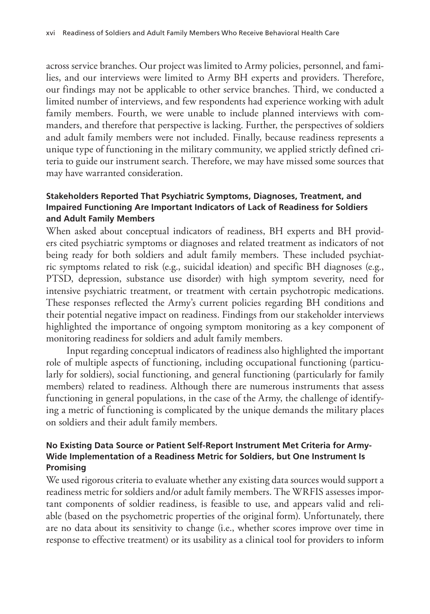across service branches. Our project was limited to Army policies, personnel, and families, and our interviews were limited to Army BH experts and providers. Therefore, our findings may not be applicable to other service branches. Third, we conducted a limited number of interviews, and few respondents had experience working with adult family members. Fourth, we were unable to include planned interviews with commanders, and therefore that perspective is lacking. Further, the perspectives of soldiers and adult family members were not included. Finally, because readiness represents a unique type of functioning in the military community, we applied strictly defined criteria to guide our instrument search. Therefore, we may have missed some sources that may have warranted consideration.

## **Stakeholders Reported That Psychiatric Symptoms, Diagnoses, Treatment, and Impaired Functioning Are Important Indicators of Lack of Readiness for Soldiers and Adult Family Members**

When asked about conceptual indicators of readiness, BH experts and BH providers cited psychiatric symptoms or diagnoses and related treatment as indicators of not being ready for both soldiers and adult family members. These included psychiatric symptoms related to risk (e.g., suicidal ideation) and specific BH diagnoses (e.g., PTSD, depression, substance use disorder) with high symptom severity, need for intensive psychiatric treatment, or treatment with certain psychotropic medications. These responses reflected the Army's current policies regarding BH conditions and their potential negative impact on readiness. Findings from our stakeholder interviews highlighted the importance of ongoing symptom monitoring as a key component of monitoring readiness for soldiers and adult family members.

Input regarding conceptual indicators of readiness also highlighted the important role of multiple aspects of functioning, including occupational functioning (particularly for soldiers), social functioning, and general functioning (particularly for family members) related to readiness. Although there are numerous instruments that assess functioning in general populations, in the case of the Army, the challenge of identifying a metric of functioning is complicated by the unique demands the military places on soldiers and their adult family members.

#### **No Existing Data Source or Patient Self-Report Instrument Met Criteria for Army-Wide Implementation of a Readiness Metric for Soldiers, but One Instrument Is Promising**

We used rigorous criteria to evaluate whether any existing data sources would support a readiness metric for soldiers and/or adult family members. The WRFIS assesses important components of soldier readiness, is feasible to use, and appears valid and reliable (based on the psychometric properties of the original form). Unfortunately, there are no data about its sensitivity to change (i.e., whether scores improve over time in response to effective treatment) or its usability as a clinical tool for providers to inform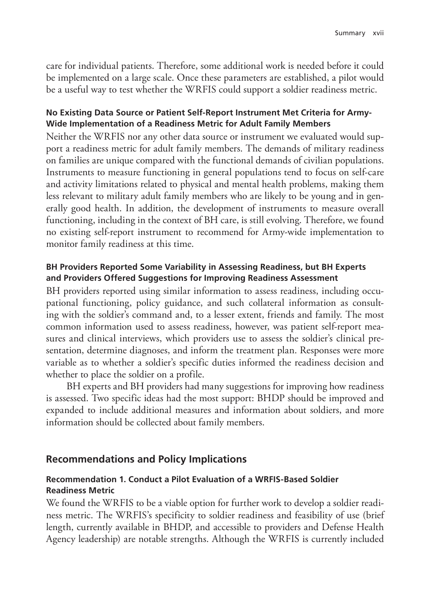care for individual patients. Therefore, some additional work is needed before it could be implemented on a large scale. Once these parameters are established, a pilot would be a useful way to test whether the WRFIS could support a soldier readiness metric.

#### **No Existing Data Source or Patient Self-Report Instrument Met Criteria for Army-Wide Implementation of a Readiness Metric for Adult Family Members**

Neither the WRFIS nor any other data source or instrument we evaluated would support a readiness metric for adult family members. The demands of military readiness on families are unique compared with the functional demands of civilian populations. Instruments to measure functioning in general populations tend to focus on self-care and activity limitations related to physical and mental health problems, making them less relevant to military adult family members who are likely to be young and in generally good health. In addition, the development of instruments to measure overall functioning, including in the context of BH care, is still evolving. Therefore, we found no existing self-report instrument to recommend for Army-wide implementation to monitor family readiness at this time.

#### **BH Providers Reported Some Variability in Assessing Readiness, but BH Experts and Providers Offered Suggestions for Improving Readiness Assessment**

BH providers reported using similar information to assess readiness, including occupational functioning, policy guidance, and such collateral information as consulting with the soldier's command and, to a lesser extent, friends and family. The most common information used to assess readiness, however, was patient self-report measures and clinical interviews, which providers use to assess the soldier's clinical presentation, determine diagnoses, and inform the treatment plan. Responses were more variable as to whether a soldier's specific duties informed the readiness decision and whether to place the soldier on a profile.

BH experts and BH providers had many suggestions for improving how readiness is assessed. Two specific ideas had the most support: BHDP should be improved and expanded to include additional measures and information about soldiers, and more information should be collected about family members.

## **Recommendations and Policy Implications**

## **Recommendation 1. Conduct a Pilot Evaluation of a WRFIS-Based Soldier Readiness Metric**

We found the WRFIS to be a viable option for further work to develop a soldier readiness metric. The WRFIS's specificity to soldier readiness and feasibility of use (brief length, currently available in BHDP, and accessible to providers and Defense Health Agency leadership) are notable strengths. Although the WRFIS is currently included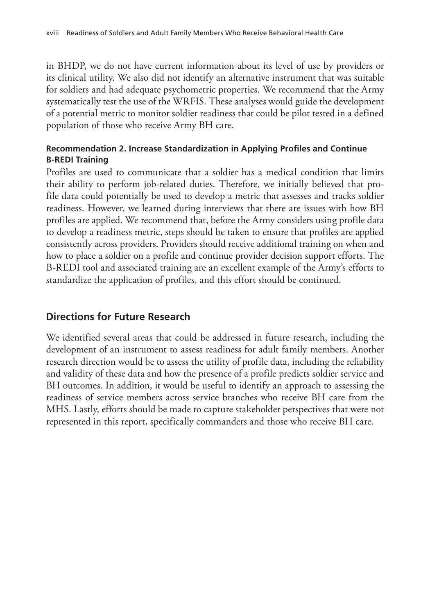in BHDP, we do not have current information about its level of use by providers or its clinical utility. We also did not identify an alternative instrument that was suitable for soldiers and had adequate psychometric properties. We recommend that the Army systematically test the use of the WRFIS. These analyses would guide the development of a potential metric to monitor soldier readiness that could be pilot tested in a defined population of those who receive Army BH care.

# **Recommendation 2. Increase Standardization in Applying Profiles and Continue B-REDI Training**

Profiles are used to communicate that a soldier has a medical condition that limits their ability to perform job-related duties. Therefore, we initially believed that profile data could potentially be used to develop a metric that assesses and tracks soldier readiness. However, we learned during interviews that there are issues with how BH profiles are applied. We recommend that, before the Army considers using profile data to develop a readiness metric, steps should be taken to ensure that profiles are applied consistently across providers. Providers should receive additional training on when and how to place a soldier on a profile and continue provider decision support efforts. The B-REDI tool and associated training are an excellent example of the Army's efforts to standardize the application of profiles, and this effort should be continued.

# **Directions for Future Research**

We identified several areas that could be addressed in future research, including the development of an instrument to assess readiness for adult family members. Another research direction would be to assess the utility of profile data, including the reliability and validity of these data and how the presence of a profile predicts soldier service and BH outcomes. In addition, it would be useful to identify an approach to assessing the readiness of service members across service branches who receive BH care from the MHS. Lastly, efforts should be made to capture stakeholder perspectives that were not represented in this report, specifically commanders and those who receive BH care.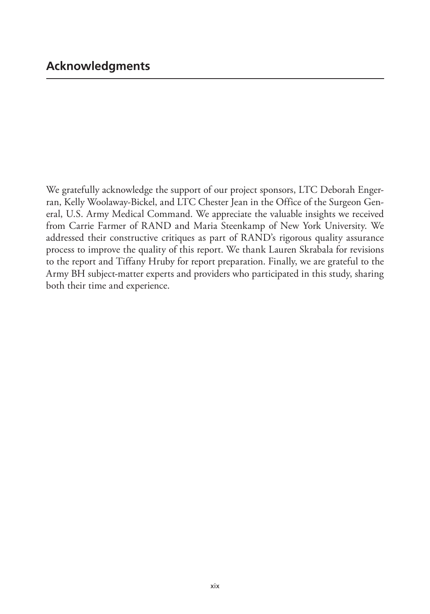We gratefully acknowledge the support of our project sponsors, LTC Deborah Engerran, Kelly Woolaway-Bickel, and LTC Chester Jean in the Office of the Surgeon General, U.S. Army Medical Command. We appreciate the valuable insights we received from Carrie Farmer of RAND and Maria Steenkamp of New York University. We addressed their constructive critiques as part of RAND's rigorous quality assurance process to improve the quality of this report. We thank Lauren Skrabala for revisions to the report and Tiffany Hruby for report preparation. Finally, we are grateful to the Army BH subject-matter experts and providers who participated in this study, sharing both their time and experience.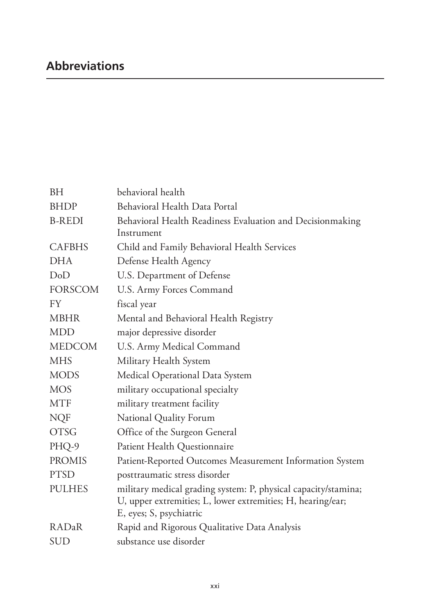| <b>BH</b>      | behavioral health                                              |
|----------------|----------------------------------------------------------------|
| <b>BHDP</b>    | Behavioral Health Data Portal                                  |
| <b>B-REDI</b>  | Behavioral Health Readiness Evaluation and Decisionmaking      |
|                | Instrument                                                     |
| <b>CAFBHS</b>  | Child and Family Behavioral Health Services                    |
| <b>DHA</b>     | Defense Health Agency                                          |
| DoD            | U.S. Department of Defense                                     |
| <b>FORSCOM</b> | U.S. Army Forces Command                                       |
| FY             | fiscal year                                                    |
| <b>MBHR</b>    | Mental and Behavioral Health Registry                          |
| <b>MDD</b>     | major depressive disorder                                      |
| <b>MEDCOM</b>  | U.S. Army Medical Command                                      |
| <b>MHS</b>     | Military Health System                                         |
| <b>MODS</b>    | Medical Operational Data System                                |
| <b>MOS</b>     | military occupational specialty                                |
| <b>MTF</b>     | military treatment facility                                    |
| <b>NQF</b>     | National Quality Forum                                         |
| <b>OTSG</b>    | Office of the Surgeon General                                  |
| PHQ-9          | Patient Health Questionnaire                                   |
| <b>PROMIS</b>  | Patient-Reported Outcomes Measurement Information System       |
| <b>PTSD</b>    | posttraumatic stress disorder                                  |
| <b>PULHES</b>  | military medical grading system: P, physical capacity/stamina; |
|                | U, upper extremities; L, lower extremities; H, hearing/ear;    |
|                | E, eyes; S, psychiatric                                        |
| RADaR          | Rapid and Rigorous Qualitative Data Analysis                   |
| SUD            | substance use disorder                                         |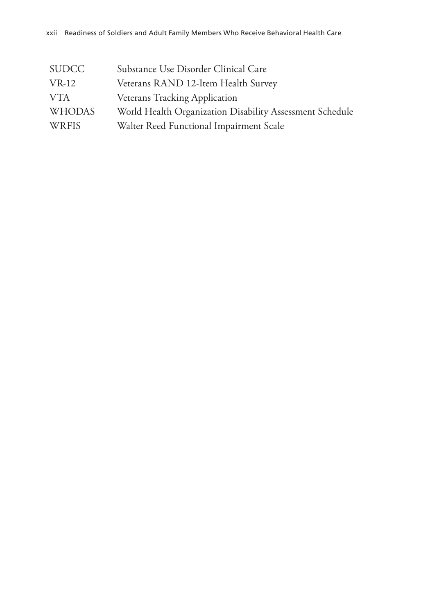| <b>SUDCC</b>  | Substance Use Disorder Clinical Care                     |
|---------------|----------------------------------------------------------|
| $VR-12$       | Veterans RAND 12-Item Health Survey                      |
| <b>VTA</b>    | <b>Veterans Tracking Application</b>                     |
| <b>WHODAS</b> | World Health Organization Disability Assessment Schedule |
| <b>WRFIS</b>  | Walter Reed Functional Impairment Scale                  |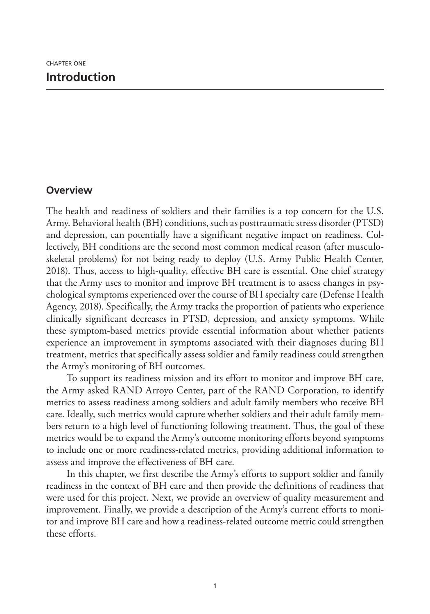## **Overview**

The health and readiness of soldiers and their families is a top concern for the U.S. Army. Behavioral health (BH) conditions, such as posttraumatic stress disorder (PTSD) and depression, can potentially have a significant negative impact on readiness. Collectively, BH conditions are the second most common medical reason (after musculoskeletal problems) for not being ready to deploy (U.S. Army Public Health Center, 2018). Thus, access to high-quality, effective BH care is essential. One chief strategy that the Army uses to monitor and improve BH treatment is to assess changes in psychological symptoms experienced over the course of BH specialty care (Defense Health Agency, 2018). Specifically, the Army tracks the proportion of patients who experience clinically significant decreases in PTSD, depression, and anxiety symptoms. While these symptom-based metrics provide essential information about whether patients experience an improvement in symptoms associated with their diagnoses during BH treatment, metrics that specifically assess soldier and family readiness could strengthen the Army's monitoring of BH outcomes.

To support its readiness mission and its effort to monitor and improve BH care, the Army asked RAND Arroyo Center, part of the RAND Corporation, to identify metrics to assess readiness among soldiers and adult family members who receive BH care. Ideally, such metrics would capture whether soldiers and their adult family members return to a high level of functioning following treatment. Thus, the goal of these metrics would be to expand the Army's outcome monitoring efforts beyond symptoms to include one or more readiness- related metrics, providing additional information to assess and improve the effectiveness of BH care.

In this chapter, we first describe the Army's efforts to support soldier and family readiness in the context of BH care and then provide the definitions of readiness that were used for this project. Next, we provide an overview of quality measurement and improvement. Finally, we provide a description of the Army's current efforts to monitor and improve BH care and how a readiness-related outcome metric could strengthen these efforts.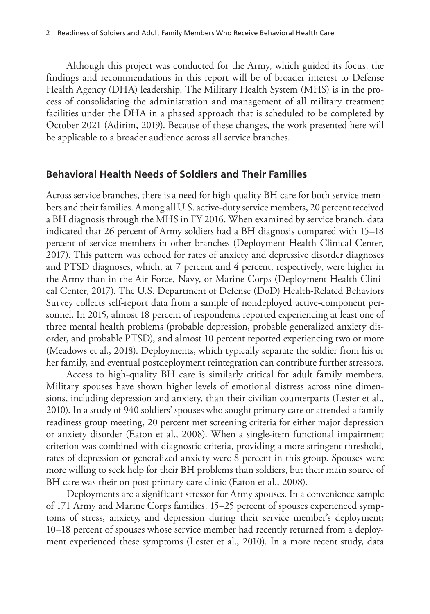Although this project was conducted for the Army, which guided its focus, the findings and recommendations in this report will be of broader interest to Defense Health Agency (DHA) leadership. The Military Health System (MHS) is in the process of consolidating the administration and management of all military treatment facilities under the DHA in a phased approach that is scheduled to be completed by October 2021 (Adirim, 2019). Because of these changes, the work presented here will be applicable to a broader audience across all service branches.

#### **Behavioral Health Needs of Soldiers and Their Families**

Across service branches, there is a need for high-quality BH care for both service members and their families. Among all U.S. active-duty service members, 20 percent received a BH diagnosis through the MHS in FY 2016. When examined by service branch, data indicated that 26 percent of Army soldiers had a BH diagnosis compared with 15–18 percent of service members in other branches (Deployment Health Clinical Center, 2017). This pattern was echoed for rates of anxiety and depressive disorder diagnoses and PTSD diagnoses, which, at 7 percent and 4 percent, respectively, were higher in the Army than in the Air Force, Navy, or Marine Corps (Deployment Health Clinical Center, 2017). The U.S. Department of Defense (DoD) Health-Related Behaviors Survey collects self-report data from a sample of nondeployed active-component personnel. In 2015, almost 18 percent of respondents reported experiencing at least one of three mental health problems (probable depression, probable generalized anxiety disorder, and probable PTSD), and almost 10 percent reported experiencing two or more (Meadows et al., 2018). Deployments, which typically separate the soldier from his or her family, and eventual postdeployment reintegration can contribute further stressors.

Access to high-quality BH care is similarly critical for adult family members. Military spouses have shown higher levels of emotional distress across nine dimensions, including depression and anxiety, than their civilian counterparts (Lester et al., 2010). In a study of 940 soldiers' spouses who sought primary care or attended a family readiness group meeting, 20 percent met screening criteria for either major depression or anxiety disorder (Eaton et al., 2008). When a single-item functional impairment criterion was combined with diagnostic criteria, providing a more stringent threshold, rates of depression or generalized anxiety were 8 percent in this group. Spouses were more willing to seek help for their BH problems than soldiers, but their main source of BH care was their on-post primary care clinic (Eaton et al., 2008).

Deployments are a significant stressor for Army spouses. In a convenience sample of 171 Army and Marine Corps families, 15–25 percent of spouses experienced symptoms of stress, anxiety, and depression during their service member's deployment; 10–18 percent of spouses whose service member had recently returned from a deployment experienced these symptoms (Lester et al., 2010). In a more recent study, data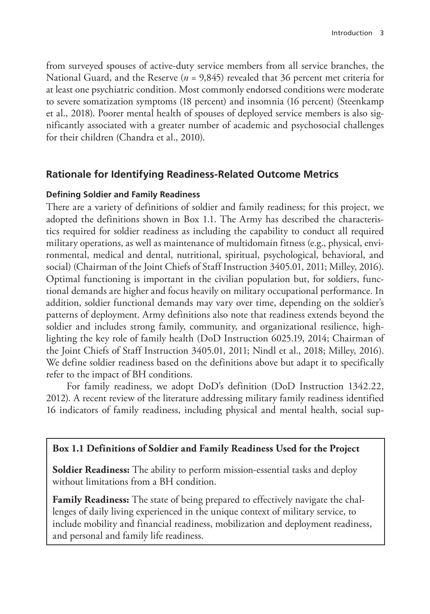from surveyed spouses of active-duty service members from all service branches, the National Guard, and the Reserve (*n* = 9,845) revealed that 36 percent met criteria for at least one psychiatric condition. Most commonly endorsed conditions were moderate to severe somatization symptoms (18 percent) and insomnia (16 percent) (Steenkamp et al., 2018). Poorer mental health of spouses of deployed service members is also significantly associated with a greater number of academic and psychosocial challenges for their children (Chandra et al., 2010).

## **Rationale for Identifying Readiness-Related Outcome Metrics**

#### **Defining Soldier and Family Readiness**

There are a variety of definitions of soldier and family readiness; for this project, we adopted the definitions shown in Box 1.1. The Army has described the characteristics required for soldier readiness as including the capability to conduct all required military operations, as well as maintenance of multidomain fitness (e.g., physical, environmental, medical and dental, nutritional, spiritual, psychological, behavioral, and social) (Chairman of the Joint Chiefs of Staff Instruction 3405.01, 2011; Milley, 2016). Optimal functioning is important in the civilian population but, for soldiers, functional demands are higher and focus heavily on military occupational performance. In addition, soldier functional demands may vary over time, depending on the soldier's patterns of deployment. Army definitions also note that readiness extends beyond the soldier and includes strong family, community, and organizational resilience, highlighting the key role of family health (DoD Instruction 6025.19, 2014; Chairman of the Joint Chiefs of Staff Instruction 3405.01, 2011; Nindl et al., 2018; Milley, 2016). We define soldier readiness based on the definitions above but adapt it to specifically refer to the impact of BH conditions.

For family readiness, we adopt DoD's definition (DoD Instruction 1342.22, 2012). A recent review of the literature addressing military family readiness identified 16 indicators of family readiness, including physical and mental health, social sup-

#### **Box 1.1 Definitions of Soldier and Family Readiness Used for the Project**

**Soldier Readiness:** The ability to perform mission-essential tasks and deploy without limitations from a BH condition.

**Family Readiness:** The state of being prepared to effectively navigate the challenges of daily living experienced in the unique context of military service, to include mobility and financial readiness, mobilization and deployment readiness, and personal and family life readiness.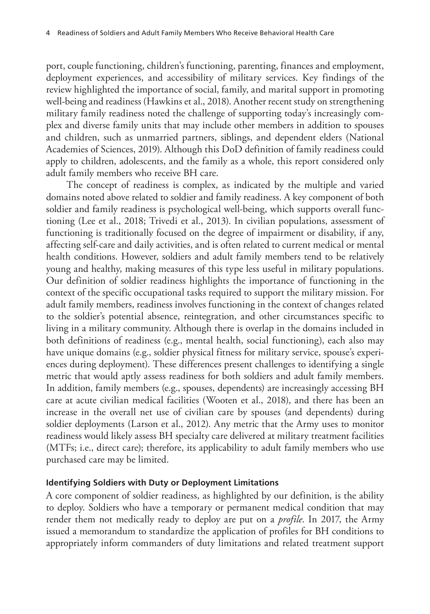port, couple functioning, children's functioning, parenting, finances and employment, deployment experiences, and accessibility of military services. Key findings of the review highlighted the importance of social, family, and marital support in promoting well-being and readiness (Hawkins et al., 2018). Another recent study on strengthening military family readiness noted the challenge of supporting today's increasingly complex and diverse family units that may include other members in addition to spouses and children, such as unmarried partners, siblings, and dependent elders (National Academies of Sciences, 2019). Although this DoD definition of family readiness could apply to children, adolescents, and the family as a whole, this report considered only adult family members who receive BH care.

The concept of readiness is complex, as indicated by the multiple and varied domains noted above related to soldier and family readiness. A key component of both soldier and family readiness is psychological well-being, which supports overall functioning (Lee et al., 2018; Trivedi et al., 2013). In civilian populations, assessment of functioning is traditionally focused on the degree of impairment or disability, if any, affecting self-care and daily activities, and is often related to current medical or mental health conditions. However, soldiers and adult family members tend to be relatively young and healthy, making measures of this type less useful in military populations. Our definition of soldier readiness highlights the importance of functioning in the context of the specific occupational tasks required to support the military mission. For adult family members, readiness involves functioning in the context of changes related to the soldier's potential absence, reintegration, and other circumstances specific to living in a military community. Although there is overlap in the domains included in both definitions of readiness (e.g., mental health, social functioning), each also may have unique domains (e.g., soldier physical fitness for military service, spouse's experiences during deployment). These differences present challenges to identifying a single metric that would aptly assess readiness for both soldiers and adult family members. In addition, family members (e.g., spouses, dependents) are increasingly accessing BH care at acute civilian medical facilities (Wooten et al., 2018), and there has been an increase in the overall net use of civilian care by spouses (and dependents) during soldier deployments (Larson et al., 2012). Any metric that the Army uses to monitor readiness would likely assess BH specialty care delivered at military treatment facilities (MTFs; i.e., direct care); therefore, its applicability to adult family members who use purchased care may be limited.

#### **Identifying Soldiers with Duty or Deployment Limitations**

A core component of soldier readiness, as highlighted by our definition, is the ability to deploy. Soldiers who have a temporary or permanent medical condition that may render them not medically ready to deploy are put on a *profile*. In 2017, the Army issued a memorandum to standardize the application of profiles for BH conditions to appropriately inform commanders of duty limitations and related treatment support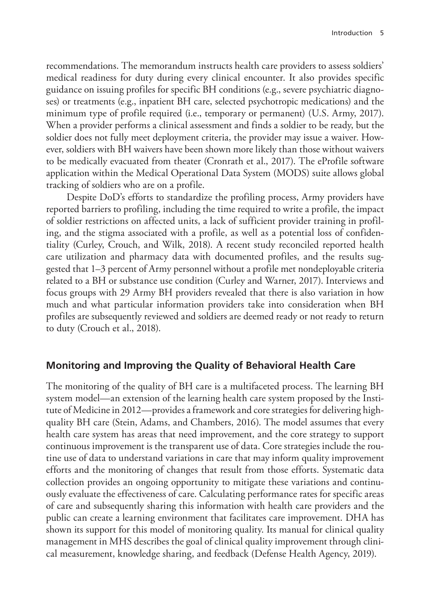recommendations. The memorandum instructs health care providers to assess soldiers' medical readiness for duty during every clinical encounter. It also provides specific guidance on issuing profiles for specific BH conditions (e.g., severe psychiatric diagnoses) or treatments (e.g., inpatient BH care, selected psychotropic medications) and the minimum type of profile required (i.e., temporary or permanent) (U.S. Army, 2017). When a provider performs a clinical assessment and finds a soldier to be ready, but the soldier does not fully meet deployment criteria, the provider may issue a waiver. However, soldiers with BH waivers have been shown more likely than those without waivers to be medically evacuated from theater (Cronrath et al., 2017). The eProfile software application within the Medical Operational Data System (MODS) suite allows global tracking of soldiers who are on a profile.

Despite DoD's efforts to standardize the profiling process, Army providers have reported barriers to profiling, including the time required to write a profile, the impact of soldier restrictions on affected units, a lack of sufficient provider training in profiling, and the stigma associated with a profile, as well as a potential loss of confidentiality (Curley, Crouch, and Wilk, 2018). A recent study reconciled reported health care utilization and pharmacy data with documented profiles, and the results suggested that 1–3 percent of Army personnel without a profile met nondeployable criteria related to a BH or substance use condition (Curley and Warner, 2017). Interviews and focus groups with 29 Army BH providers revealed that there is also variation in how much and what particular information providers take into consideration when BH profiles are subsequently reviewed and soldiers are deemed ready or not ready to return to duty (Crouch et al., 2018).

# **Monitoring and Improving the Quality of Behavioral Health Care**

The monitoring of the quality of BH care is a multifaceted process. The learning BH system model—an extension of the learning health care system proposed by the Institute of Medicine in 2012—provides a framework and core strategies for delivering highquality BH care (Stein, Adams, and Chambers, 2016). The model assumes that every health care system has areas that need improvement, and the core strategy to support continuous improvement is the transparent use of data. Core strategies include the routine use of data to understand variations in care that may inform quality improvement efforts and the monitoring of changes that result from those efforts. Systematic data collection provides an ongoing opportunity to mitigate these variations and continuously evaluate the effectiveness of care. Calculating performance rates for specific areas of care and subsequently sharing this information with health care providers and the public can create a learning environment that facilitates care improvement. DHA has shown its support for this model of monitoring quality. Its manual for clinical quality management in MHS describes the goal of clinical quality improvement through clinical measurement, knowledge sharing, and feedback (Defense Health Agency, 2019).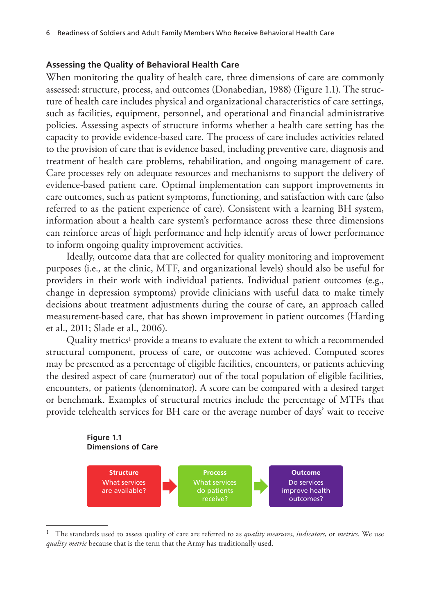#### **Assessing the Quality of Behavioral Health Care**

When monitoring the quality of health care, three dimensions of care are commonly assessed: structure, process, and outcomes (Donabedian, 1988) (Figure 1.1). The structure of health care includes physical and organizational characteristics of care settings, such as facilities, equipment, personnel, and operational and financial administrative policies. Assessing aspects of structure informs whether a health care setting has the capacity to provide evidence-based care. The process of care includes activities related to the provision of care that is evidence based, including preventive care, diagnosis and treatment of health care problems, rehabilitation, and ongoing management of care. Care processes rely on adequate resources and mechanisms to support the delivery of evidence-based patient care. Optimal implementation can support improvements in care outcomes, such as patient symptoms, functioning, and satisfaction with care (also referred to as the patient experience of care). Consistent with a learning BH system, information about a health care system's performance across these three dimensions can reinforce areas of high performance and help identify areas of lower performance to inform ongoing quality improvement activities.

Ideally, outcome data that are collected for quality monitoring and improvement purposes (i.e., at the clinic, MTF, and organizational levels) should also be useful for providers in their work with individual patients. Individual patient outcomes (e.g., change in depression symptoms) provide clinicians with useful data to make timely decisions about treatment adjustments during the course of care, an approach called measurement-based care, that has shown improvement in patient outcomes (Harding et al., 2011; Slade et al., 2006).

Quality metrics<sup>1</sup> provide a means to evaluate the extent to which a recommended structural component, process of care, or outcome was achieved. Computed scores may be presented as a percentage of eligible facilities, encounters, or patients achieving the desired aspect of care (numerator) out of the total population of eligible facilities, encounters, or patients (denominator). A score can be compared with a desired target or benchmark. Examples of structural metrics include the percentage of MTFs that provide telehealth services for BH care or the average number of days' wait to receive



<sup>1</sup> The standards used to assess quality of care are referred to as *quality measures*, *indicators*, or *metrics*. We use *quality metric* because that is the term that the Army has traditionally used.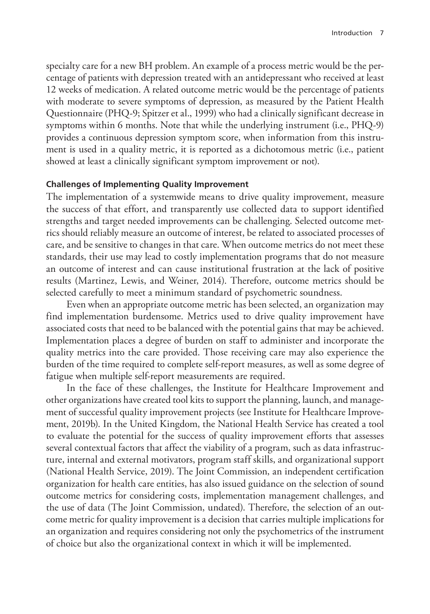specialty care for a new BH problem. An example of a process metric would be the percentage of patients with depression treated with an antidepressant who received at least 12 weeks of medication. A related outcome metric would be the percentage of patients with moderate to severe symptoms of depression, as measured by the Patient Health Questionnaire (PHQ-9; Spitzer et al., 1999) who had a clinically significant decrease in symptoms within 6 months. Note that while the underlying instrument (i.e., PHQ-9) provides a continuous depression symptom score, when information from this instrument is used in a quality metric, it is reported as a dichotomous metric (i.e., patient showed at least a clinically significant symptom improvement or not).

#### **Challenges of Implementing Quality Improvement**

The implementation of a systemwide means to drive quality improvement, measure the success of that effort, and transparently use collected data to support identified strengths and target needed improvements can be challenging. Selected outcome metrics should reliably measure an outcome of interest, be related to associated processes of care, and be sensitive to changes in that care. When outcome metrics do not meet these standards, their use may lead to costly implementation programs that do not measure an outcome of interest and can cause institutional frustration at the lack of positive results (Martinez, Lewis, and Weiner, 2014). Therefore, outcome metrics should be selected carefully to meet a minimum standard of psychometric soundness.

Even when an appropriate outcome metric has been selected, an organization may find implementation burdensome. Metrics used to drive quality improvement have associated costs that need to be balanced with the potential gains that may be achieved. Implementation places a degree of burden on staff to administer and incorporate the quality metrics into the care provided. Those receiving care may also experience the burden of the time required to complete self-report measures, as well as some degree of fatigue when multiple self-report measurements are required.

In the face of these challenges, the Institute for Healthcare Improvement and other organizations have created tool kits to support the planning, launch, and management of successful quality improvement projects (see Institute for Healthcare Improvement, 2019b). In the United Kingdom, the National Health Service has created a tool to evaluate the potential for the success of quality improvement efforts that assesses several contextual factors that affect the viability of a program, such as data infrastructure, internal and external motivators, program staff skills, and organizational support (National Health Service, 2019). The Joint Commission, an independent certification organization for health care entities, has also issued guidance on the selection of sound outcome metrics for considering costs, implementation management challenges, and the use of data (The Joint Commission, undated). Therefore, the selection of an outcome metric for quality improvement is a decision that carries multiple implications for an organization and requires considering not only the psychometrics of the instrument of choice but also the organizational context in which it will be implemented.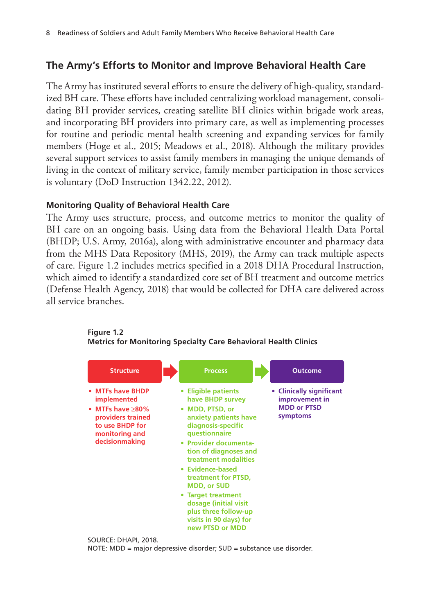# **The Army's Efforts to Monitor and Improve Behavioral Health Care**

The Army has instituted several efforts to ensure the delivery of high-quality, standardized BH care. These efforts have included centralizing workload management, consolidating BH provider services, creating satellite BH clinics within brigade work areas, and incorporating BH providers into primary care, as well as implementing processes for routine and periodic mental health screening and expanding services for family members (Hoge et al., 2015; Meadows et al., 2018). Although the military provides several support services to assist family members in managing the unique demands of living in the context of military service, family member participation in those services is voluntary (DoD Instruction 1342.22, 2012).

## **Monitoring Quality of Behavioral Health Care**

The Army uses structure, process, and outcome metrics to monitor the quality of BH care on an ongoing basis. Using data from the Behavioral Health Data Portal (BHDP; U.S. Army, 2016a), along with administrative encounter and pharmacy data from the MHS Data Repository (MHS, 2019), the Army can track multiple aspects of care. Figure 1.2 includes metrics specified in a 2018 DHA Procedural Instruction, which aimed to identify a standardized core set of BH treatment and outcome metrics (Defense Health Agency, 2018) that would be collected for DHA care delivered across all service branches.





NOTE: MDD = major depressive disorder; SUD = substance use disorder.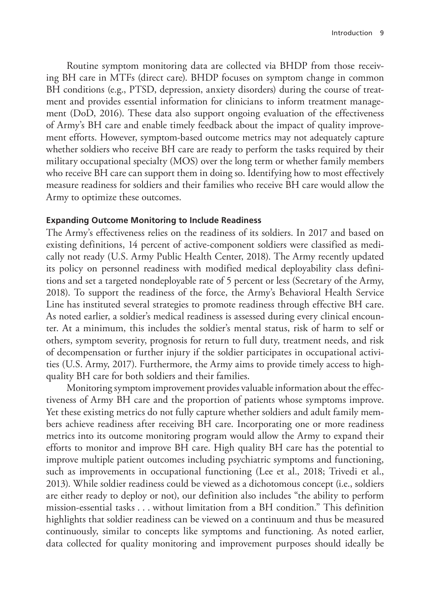Routine symptom monitoring data are collected via BHDP from those receiving BH care in MTFs (direct care). BHDP focuses on symptom change in common BH conditions (e.g., PTSD, depression, anxiety disorders) during the course of treatment and provides essential information for clinicians to inform treatment management (DoD, 2016). These data also support ongoing evaluation of the effectiveness of Army's BH care and enable timely feedback about the impact of quality improvement efforts. However, symptom-based outcome metrics may not adequately capture whether soldiers who receive BH care are ready to perform the tasks required by their military occupational specialty (MOS) over the long term or whether family members who receive BH care can support them in doing so. Identifying how to most effectively measure readiness for soldiers and their families who receive BH care would allow the Army to optimize these outcomes.

#### **Expanding Outcome Monitoring to Include Readiness**

The Army's effectiveness relies on the readiness of its soldiers. In 2017 and based on existing definitions, 14 percent of active-component soldiers were classified as medically not ready (U.S. Army Public Health Center, 2018). The Army recently updated its policy on personnel readiness with modified medical deployability class definitions and set a targeted nondeployable rate of 5 percent or less (Secretary of the Army, 2018). To support the readiness of the force, the Army's Behavioral Health Service Line has instituted several strategies to promote readiness through effective BH care. As noted earlier, a soldier's medical readiness is assessed during every clinical encounter. At a minimum, this includes the soldier's mental status, risk of harm to self or others, symptom severity, prognosis for return to full duty, treatment needs, and risk of decompensation or further injury if the soldier participates in occupational activities (U.S. Army, 2017). Furthermore, the Army aims to provide timely access to highquality BH care for both soldiers and their families.

Monitoring symptom improvement provides valuable information about the effectiveness of Army BH care and the proportion of patients whose symptoms improve. Yet these existing metrics do not fully capture whether soldiers and adult family members achieve readiness after receiving BH care. Incorporating one or more readiness metrics into its outcome monitoring program would allow the Army to expand their efforts to monitor and improve BH care. High quality BH care has the potential to improve multiple patient outcomes including psychiatric symptoms and functioning, such as improvements in occupational functioning (Lee et al., 2018; Trivedi et al., 2013). While soldier readiness could be viewed as a dichotomous concept (i.e., soldiers are either ready to deploy or not), our definition also includes "the ability to perform mission-essential tasks . . . without limitation from a BH condition." This definition highlights that soldier readiness can be viewed on a continuum and thus be measured continuously, similar to concepts like symptoms and functioning. As noted earlier, data collected for quality monitoring and improvement purposes should ideally be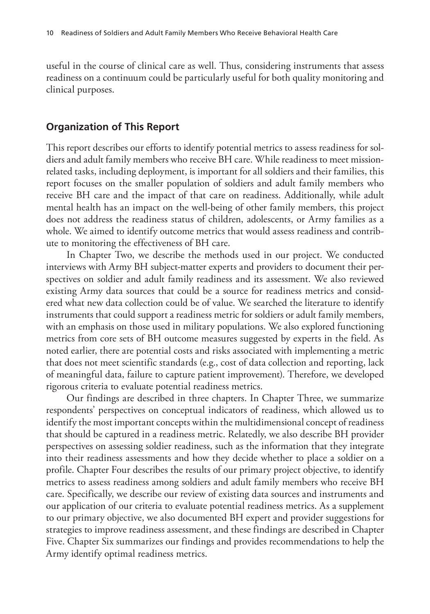useful in the course of clinical care as well. Thus, considering instruments that assess readiness on a continuum could be particularly useful for both quality monitoring and clinical purposes.

#### **Organization of This Report**

This report describes our efforts to identify potential metrics to assess readiness for soldiers and adult family members who receive BH care. While readiness to meet missionrelated tasks, including deployment, is important for all soldiers and their families, this report focuses on the smaller population of soldiers and adult family members who receive BH care and the impact of that care on readiness. Additionally, while adult mental health has an impact on the well-being of other family members, this project does not address the readiness status of children, adolescents, or Army families as a whole. We aimed to identify outcome metrics that would assess readiness and contribute to monitoring the effectiveness of BH care.

In Chapter Two, we describe the methods used in our project. We conducted interviews with Army BH subject-matter experts and providers to document their perspectives on soldier and adult family readiness and its assessment. We also reviewed existing Army data sources that could be a source for readiness metrics and considered what new data collection could be of value. We searched the literature to identify instruments that could support a readiness metric for soldiers or adult family members, with an emphasis on those used in military populations. We also explored functioning metrics from core sets of BH outcome measures suggested by experts in the field. As noted earlier, there are potential costs and risks associated with implementing a metric that does not meet scientific standards (e.g., cost of data collection and reporting, lack of meaningful data, failure to capture patient improvement). Therefore, we developed rigorous criteria to evaluate potential readiness metrics.

Our findings are described in three chapters. In Chapter Three, we summarize respondents' perspectives on conceptual indicators of readiness, which allowed us to identify the most important concepts within the multidimensional concept of readiness that should be captured in a readiness metric. Relatedly, we also describe BH provider perspectives on assessing soldier readiness, such as the information that they integrate into their readiness assessments and how they decide whether to place a soldier on a profile. Chapter Four describes the results of our primary project objective, to identify metrics to assess readiness among soldiers and adult family members who receive BH care. Specifically, we describe our review of existing data sources and instruments and our application of our criteria to evaluate potential readiness metrics. As a supplement to our primary objective, we also documented BH expert and provider suggestions for strategies to improve readiness assessment, and these findings are described in Chapter Five. Chapter Six summarizes our findings and provides recommendations to help the Army identify optimal readiness metrics.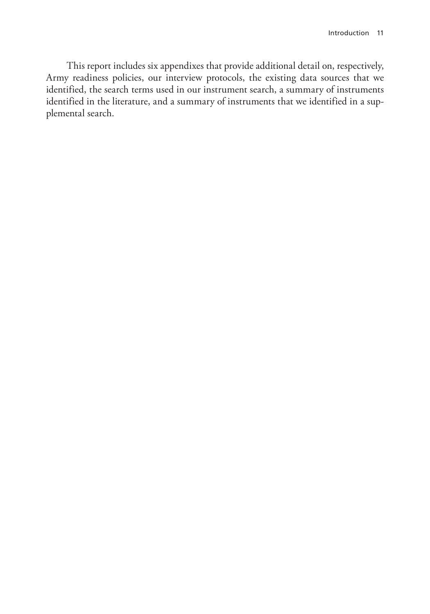This report includes six appendixes that provide additional detail on, respectively, Army readiness policies, our interview protocols, the existing data sources that we identified, the search terms used in our instrument search, a summary of instruments identified in the literature, and a summary of instruments that we identified in a supplemental search.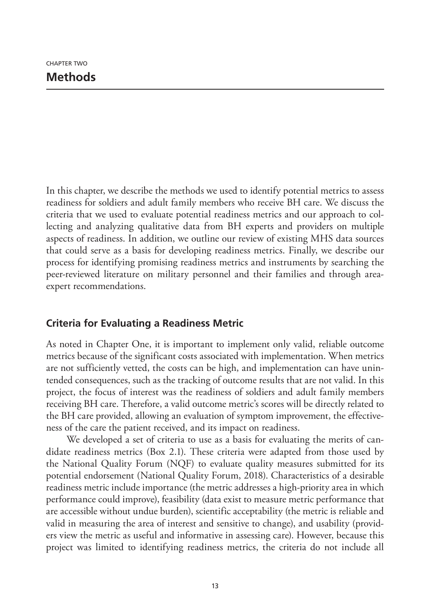In this chapter, we describe the methods we used to identify potential metrics to assess readiness for soldiers and adult family members who receive BH care. We discuss the criteria that we used to evaluate potential readiness metrics and our approach to collecting and analyzing qualitative data from BH experts and providers on multiple aspects of readiness. In addition, we outline our review of existing MHS data sources that could serve as a basis for developing readiness metrics. Finally, we describe our process for identifying promising readiness metrics and instruments by searching the peer-reviewed literature on military personnel and their families and through areaexpert recommendations.

# **Criteria for Evaluating a Readiness Metric**

As noted in Chapter One, it is important to implement only valid, reliable outcome metrics because of the significant costs associated with implementation. When metrics are not sufficiently vetted, the costs can be high, and implementation can have unintended consequences, such as the tracking of outcome results that are not valid. In this project, the focus of interest was the readiness of soldiers and adult family members receiving BH care. Therefore, a valid outcome metric's scores will be directly related to the BH care provided, allowing an evaluation of symptom improvement, the effectiveness of the care the patient received, and its impact on readiness.

We developed a set of criteria to use as a basis for evaluating the merits of candidate readiness metrics (Box 2.1). These criteria were adapted from those used by the National Quality Forum (NQF) to evaluate quality measures submitted for its potential endorsement (National Quality Forum, 2018). Characteristics of a desirable readiness metric include importance (the metric addresses a high-priority area in which performance could improve), feasibility (data exist to measure metric performance that are accessible without undue burden), scientific acceptability (the metric is reliable and valid in measuring the area of interest and sensitive to change), and usability (providers view the metric as useful and informative in assessing care). However, because this project was limited to identifying readiness metrics, the criteria do not include all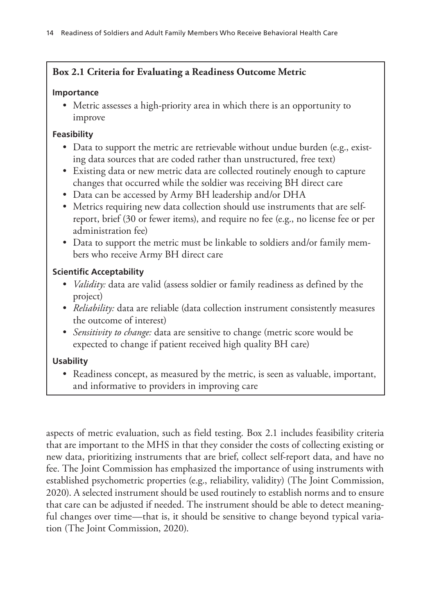# **Box 2.1 Criteria for Evaluating a Readiness Outcome Metric**

#### **Importance**

• Metric assesses a high-priority area in which there is an opportunity to improve

# **Feasibility**

- Data to support the metric are retrievable without undue burden (e.g., existing data sources that are coded rather than unstructured, free text)
- Existing data or new metric data are collected routinely enough to capture changes that occurred while the soldier was receiving BH direct care
- Data can be accessed by Army BH leadership and/or DHA
- Metrics requiring new data collection should use instruments that are selfreport, brief (30 or fewer items), and require no fee (e.g., no license fee or per administration fee)
- Data to support the metric must be linkable to soldiers and/or family members who receive Army BH direct care

# **Scientific Acceptability**

- *Validity:* data are valid (assess soldier or family readiness as defined by the project)
- *Reliability:* data are reliable (data collection instrument consistently measures the outcome of interest)
- *Sensitivity to change:* data are sensitive to change (metric score would be expected to change if patient received high quality BH care)

# **Usability**

• Readiness concept, as measured by the metric, is seen as valuable, important, and informative to providers in improving care

aspects of metric evaluation, such as field testing. Box 2.1 includes feasibility criteria that are important to the MHS in that they consider the costs of collecting existing or new data, prioritizing instruments that are brief, collect self-report data, and have no fee. The Joint Commission has emphasized the importance of using instruments with established psychometric properties (e.g., reliability, validity) (The Joint Commission, 2020). A selected instrument should be used routinely to establish norms and to ensure that care can be adjusted if needed. The instrument should be able to detect meaningful changes over time—that is, it should be sensitive to change beyond typical variation (The Joint Commission, 2020).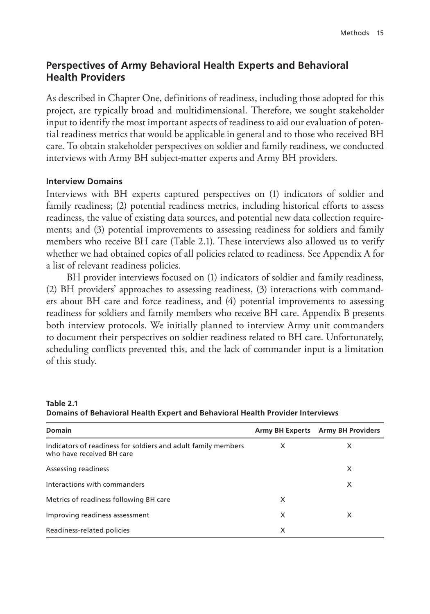# **Perspectives of Army Behavioral Health Experts and Behavioral Health Providers**

As described in Chapter One, definitions of readiness, including those adopted for this project, are typically broad and multidimensional. Therefore, we sought stakeholder input to identify the most important aspects of readiness to aid our evaluation of potential readiness metrics that would be applicable in general and to those who received BH care. To obtain stakeholder perspectives on soldier and family readiness, we conducted interviews with Army BH subject-matter experts and Army BH providers.

#### **Interview Domains**

Interviews with BH experts captured perspectives on (1) indicators of soldier and family readiness; (2) potential readiness metrics, including historical efforts to assess readiness, the value of existing data sources, and potential new data collection requirements; and (3) potential improvements to assessing readiness for soldiers and family members who receive BH care (Table 2.1). These interviews also allowed us to verify whether we had obtained copies of all policies related to readiness. See Appendix A for a list of relevant readiness policies.

BH provider interviews focused on (1) indicators of soldier and family readiness, (2) BH providers' approaches to assessing readiness, (3) interactions with commanders about BH care and force readiness, and (4) potential improvements to assessing readiness for soldiers and family members who receive BH care. Appendix B presents both interview protocols. We initially planned to interview Army unit commanders to document their perspectives on soldier readiness related to BH care. Unfortunately, scheduling conflicts prevented this, and the lack of commander input is a limitation of this study.

| Domain                                                                                     | <b>Army BH Experts</b> | <b>Army BH Providers</b> |
|--------------------------------------------------------------------------------------------|------------------------|--------------------------|
| Indicators of readiness for soldiers and adult family members<br>who have received BH care | X                      | X                        |
| Assessing readiness                                                                        |                        | X                        |
| Interactions with commanders                                                               |                        | X                        |
| Metrics of readiness following BH care                                                     | X                      |                          |
| Improving readiness assessment                                                             | X                      | X                        |
| Readiness-related policies                                                                 | X                      |                          |

**Table 2.1 Domains of Behavioral Health Expert and Behavioral Health Provider Interviews**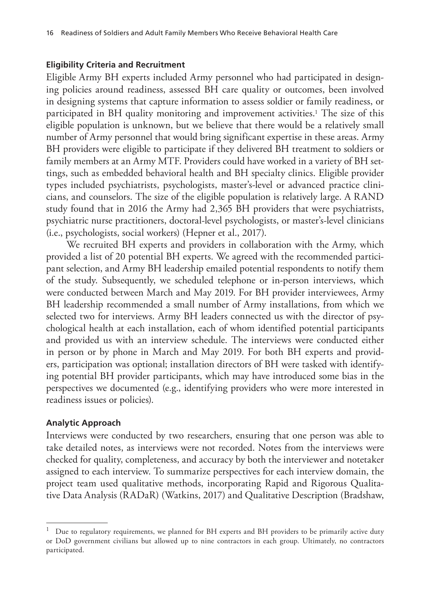#### **Eligibility Criteria and Recruitment**

Eligible Army BH experts included Army personnel who had participated in designing policies around readiness, assessed BH care quality or outcomes, been involved in designing systems that capture information to assess soldier or family readiness, or participated in BH quality monitoring and improvement activities.<sup>1</sup> The size of this eligible population is unknown, but we believe that there would be a relatively small number of Army personnel that would bring significant expertise in these areas. Army BH providers were eligible to participate if they delivered BH treatment to soldiers or family members at an Army MTF. Providers could have worked in a variety of BH settings, such as embedded behavioral health and BH specialty clinics. Eligible provider types included psychiatrists, psychologists, master's-level or advanced practice clinicians, and counselors. The size of the eligible population is relatively large. A RAND study found that in 2016 the Army had 2,365 BH providers that were psychiatrists, psychiatric nurse practitioners, doctoral-level psychologists, or master's-level clinicians (i.e., psychologists, social workers) (Hepner et al., 2017).

We recruited BH experts and providers in collaboration with the Army, which provided a list of 20 potential BH experts. We agreed with the recommended participant selection, and Army BH leadership emailed potential respondents to notify them of the study. Subsequently, we scheduled telephone or in-person interviews, which were conducted between March and May 2019. For BH provider interviewees, Army BH leadership recommended a small number of Army installations, from which we selected two for interviews. Army BH leaders connected us with the director of psychological health at each installation, each of whom identified potential participants and provided us with an interview schedule. The interviews were conducted either in person or by phone in March and May 2019. For both BH experts and providers, participation was optional; installation directors of BH were tasked with identifying potential BH provider participants, which may have introduced some bias in the perspectives we documented (e.g., identifying providers who were more interested in readiness issues or policies).

#### **Analytic Approach**

Interviews were conducted by two researchers, ensuring that one person was able to take detailed notes, as interviews were not recorded. Notes from the interviews were checked for quality, completeness, and accuracy by both the interviewer and notetaker assigned to each interview. To summarize perspectives for each interview domain, the project team used qualitative methods, incorporating Rapid and Rigorous Qualitative Data Analysis (RADaR) (Watkins, 2017) and Qualitative Description (Bradshaw,

 $1$  Due to regulatory requirements, we planned for BH experts and BH providers to be primarily active duty or DoD government civilians but allowed up to nine contractors in each group. Ultimately, no contractors participated.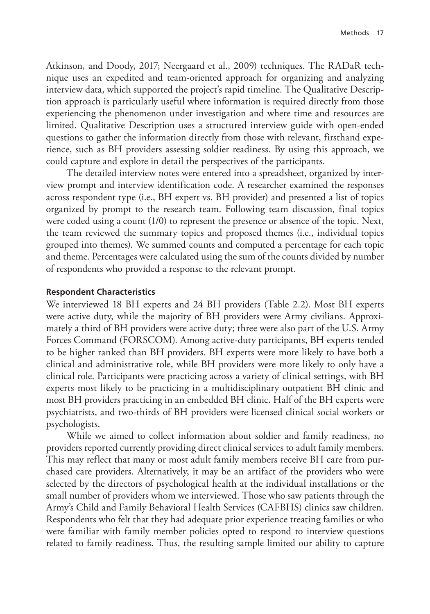Atkinson, and Doody, 2017; Neergaard et al., 2009) techniques. The RADaR technique uses an expedited and team-oriented approach for organizing and analyzing interview data, which supported the project's rapid timeline. The Qualitative Description approach is particularly useful where information is required directly from those experiencing the phenomenon under investigation and where time and resources are limited. Qualitative Description uses a structured interview guide with open-ended questions to gather the information directly from those with relevant, firsthand experience, such as BH providers assessing soldier readiness. By using this approach, we could capture and explore in detail the perspectives of the participants.

The detailed interview notes were entered into a spreadsheet, organized by interview prompt and interview identification code. A researcher examined the responses across respondent type (i.e., BH expert vs. BH provider) and presented a list of topics organized by prompt to the research team. Following team discussion, final topics were coded using a count (1/0) to represent the presence or absence of the topic. Next, the team reviewed the summary topics and proposed themes (i.e., individual topics grouped into themes). We summed counts and computed a percentage for each topic and theme. Percentages were calculated using the sum of the counts divided by number of respondents who provided a response to the relevant prompt.

#### **Respondent Characteristics**

We interviewed 18 BH experts and 24 BH providers (Table 2.2). Most BH experts were active duty, while the majority of BH providers were Army civilians. Approximately a third of BH providers were active duty; three were also part of the U.S. Army Forces Command (FORSCOM). Among active-duty participants, BH experts tended to be higher ranked than BH providers. BH experts were more likely to have both a clinical and administrative role, while BH providers were more likely to only have a clinical role. Participants were practicing across a variety of clinical settings, with BH experts most likely to be practicing in a multidisciplinary outpatient BH clinic and most BH providers practicing in an embedded BH clinic. Half of the BH experts were psychiatrists, and two-thirds of BH providers were licensed clinical social workers or psychologists.

While we aimed to collect information about soldier and family readiness, no providers reported currently providing direct clinical services to adult family members. This may reflect that many or most adult family members receive BH care from purchased care providers. Alternatively, it may be an artifact of the providers who were selected by the directors of psychological health at the individual installations or the small number of providers whom we interviewed. Those who saw patients through the Army's Child and Family Behavioral Health Services (CAFBHS) clinics saw children. Respondents who felt that they had adequate prior experience treating families or who were familiar with family member policies opted to respond to interview questions related to family readiness. Thus, the resulting sample limited our ability to capture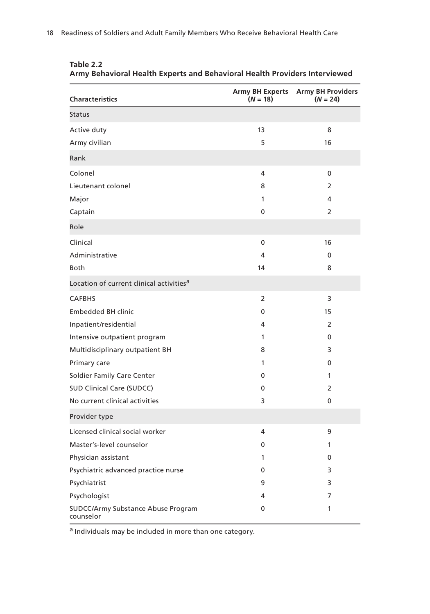| <b>Characteristics</b>                                 | <b>Army BH Experts</b><br>$(N = 18)$ | <b>Army BH Providers</b><br>$(N = 24)$ |
|--------------------------------------------------------|--------------------------------------|----------------------------------------|
| <b>Status</b>                                          |                                      |                                        |
| Active duty                                            | 13                                   | 8                                      |
| Army civilian                                          | 5                                    | 16                                     |
| Rank                                                   |                                      |                                        |
| Colonel                                                | 4                                    | 0                                      |
| Lieutenant colonel                                     | 8                                    | 2                                      |
| Major                                                  | 1                                    | 4                                      |
| Captain                                                | 0                                    | 2                                      |
| Role                                                   |                                      |                                        |
| Clinical                                               | 0                                    | 16                                     |
| Administrative                                         | 4                                    | 0                                      |
| <b>Both</b>                                            | 14                                   | 8                                      |
| Location of current clinical activities <sup>a</sup>   |                                      |                                        |
| <b>CAFBHS</b>                                          | $\overline{2}$                       | 3                                      |
| <b>Embedded BH clinic</b>                              | 0                                    | 15                                     |
| Inpatient/residential                                  | 4                                    | 2                                      |
| Intensive outpatient program                           | $\mathbf{1}$                         | 0                                      |
| Multidisciplinary outpatient BH                        | 8                                    | 3                                      |
| Primary care                                           | 1                                    | $\mathbf{0}$                           |
| Soldier Family Care Center                             | 0                                    | 1                                      |
| <b>SUD Clinical Care (SUDCC)</b>                       | 0                                    | 2                                      |
| No current clinical activities                         | 3                                    | 0                                      |
| Provider type                                          |                                      |                                        |
| Licensed clinical social worker                        | 4                                    | 9                                      |
| Master's-level counselor                               | $\Omega$                             | 1                                      |
| Physician assistant                                    | 1                                    | 0                                      |
| Psychiatric advanced practice nurse                    | 0                                    | 3                                      |
| Psychiatrist                                           | 9                                    | 3                                      |
| Psychologist                                           | 4                                    | 7                                      |
| <b>SUDCC/Army Substance Abuse Program</b><br>counselor | 0                                    | 1                                      |

**Table 2.2 Army Behavioral Health Experts and Behavioral Health Providers Interviewed**

a Individuals may be included in more than one category.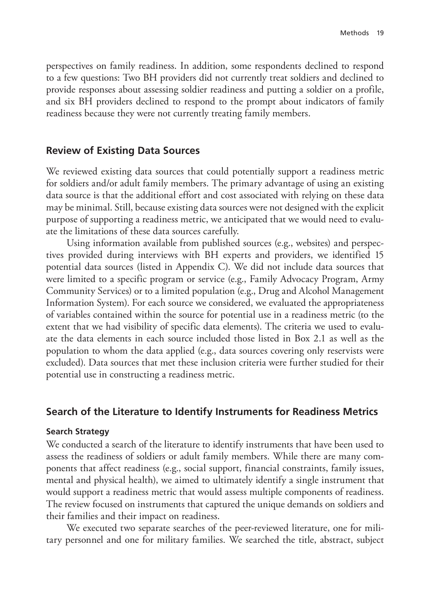perspectives on family readiness. In addition, some respondents declined to respond to a few questions: Two BH providers did not currently treat soldiers and declined to provide responses about assessing soldier readiness and putting a soldier on a profile, and six BH providers declined to respond to the prompt about indicators of family readiness because they were not currently treating family members.

#### **Review of Existing Data Sources**

We reviewed existing data sources that could potentially support a readiness metric for soldiers and/or adult family members. The primary advantage of using an existing data source is that the additional effort and cost associated with relying on these data may be minimal. Still, because existing data sources were not designed with the explicit purpose of supporting a readiness metric, we anticipated that we would need to evaluate the limitations of these data sources carefully.

Using information available from published sources (e.g., websites) and perspectives provided during interviews with BH experts and providers, we identified 15 potential data sources (listed in Appendix C). We did not include data sources that were limited to a specific program or service (e.g., Family Advocacy Program, Army Community Services) or to a limited population (e.g., Drug and Alcohol Management Information System). For each source we considered, we evaluated the appropriateness of variables contained within the source for potential use in a readiness metric (to the extent that we had visibility of specific data elements). The criteria we used to evaluate the data elements in each source included those listed in Box 2.1 as well as the population to whom the data applied (e.g., data sources covering only reservists were excluded). Data sources that met these inclusion criteria were further studied for their potential use in constructing a readiness metric.

## **Search of the Literature to Identify Instruments for Readiness Metrics**

#### **Search Strategy**

We conducted a search of the literature to identify instruments that have been used to assess the readiness of soldiers or adult family members. While there are many components that affect readiness (e.g., social support, financial constraints, family issues, mental and physical health), we aimed to ultimately identify a single instrument that would support a readiness metric that would assess multiple components of readiness. The review focused on instruments that captured the unique demands on soldiers and their families and their impact on readiness.

We executed two separate searches of the peer-reviewed literature, one for military personnel and one for military families. We searched the title, abstract, subject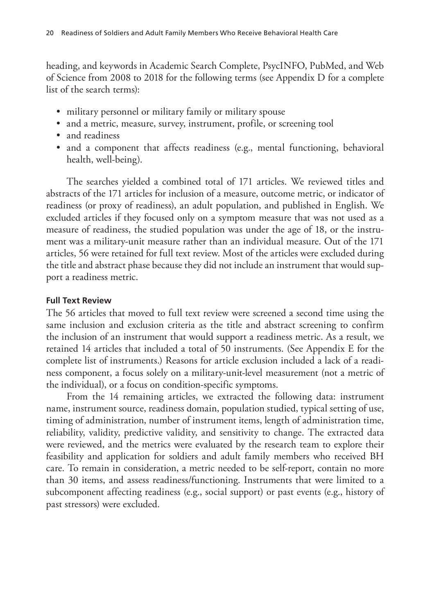heading, and keywords in Academic Search Complete, PsycINFO, PubMed, and Web of Science from 2008 to 2018 for the following terms (see Appendix D for a complete list of the search terms):

- military personnel or military family or military spouse
- and a metric, measure, survey, instrument, profile, or screening tool
- and readiness
- and a component that affects readiness (e.g., mental functioning, behavioral health, well-being).

The searches yielded a combined total of 171 articles. We reviewed titles and abstracts of the 171 articles for inclusion of a measure, outcome metric, or indicator of readiness (or proxy of readiness), an adult population, and published in English. We excluded articles if they focused only on a symptom measure that was not used as a measure of readiness, the studied population was under the age of 18, or the instrument was a military-unit measure rather than an individual measure. Out of the 171 articles, 56 were retained for full text review. Most of the articles were excluded during the title and abstract phase because they did not include an instrument that would support a readiness metric.

#### **Full Text Review**

The 56 articles that moved to full text review were screened a second time using the same inclusion and exclusion criteria as the title and abstract screening to confirm the inclusion of an instrument that would support a readiness metric. As a result, we retained 14 articles that included a total of 50 instruments. (See Appendix E for the complete list of instruments.) Reasons for article exclusion included a lack of a readiness component, a focus solely on a military-unit-level measurement (not a metric of the individual), or a focus on condition-specific symptoms.

From the 14 remaining articles, we extracted the following data: instrument name, instrument source, readiness domain, population studied, typical setting of use, timing of administration, number of instrument items, length of administration time, reliability, validity, predictive validity, and sensitivity to change. The extracted data were reviewed, and the metrics were evaluated by the research team to explore their feasibility and application for soldiers and adult family members who received BH care. To remain in consideration, a metric needed to be self-report, contain no more than 30 items, and assess readiness/functioning. Instruments that were limited to a subcomponent affecting readiness (e.g., social support) or past events (e.g., history of past stressors) were excluded.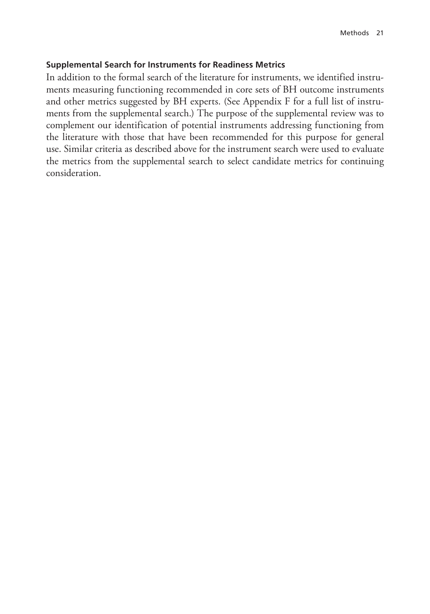#### **Supplemental Search for Instruments for Readiness Metrics**

In addition to the formal search of the literature for instruments, we identified instruments measuring functioning recommended in core sets of BH outcome instruments and other metrics suggested by BH experts. (See Appendix F for a full list of instruments from the supplemental search.) The purpose of the supplemental review was to complement our identification of potential instruments addressing functioning from the literature with those that have been recommended for this purpose for general use. Similar criteria as described above for the instrument search were used to evaluate the metrics from the supplemental search to select candidate metrics for continuing consideration.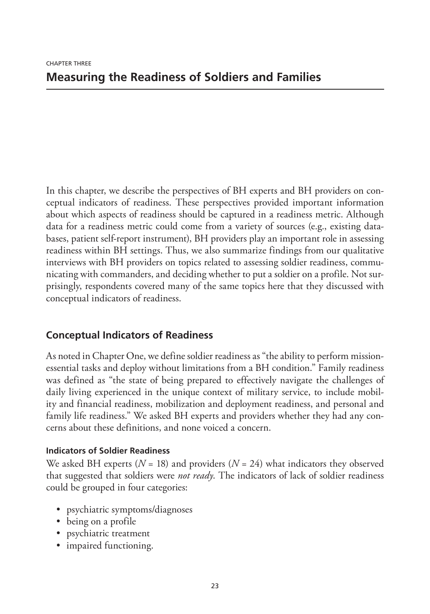In this chapter, we describe the perspectives of BH experts and BH providers on conceptual indicators of readiness. These perspectives provided important information about which aspects of readiness should be captured in a readiness metric. Although data for a readiness metric could come from a variety of sources (e.g., existing databases, patient self-report instrument), BH providers play an important role in assessing readiness within BH settings. Thus, we also summarize findings from our qualitative interviews with BH providers on topics related to assessing soldier readiness, communicating with commanders, and deciding whether to put a soldier on a profile. Not surprisingly, respondents covered many of the same topics here that they discussed with conceptual indicators of readiness.

# **Conceptual Indicators of Readiness**

As noted in Chapter One, we define soldier readiness as "the ability to perform missionessential tasks and deploy without limitations from a BH condition." Family readiness was defined as "the state of being prepared to effectively navigate the challenges of daily living experienced in the unique context of military service, to include mobility and financial readiness, mobilization and deployment readiness, and personal and family life readiness." We asked BH experts and providers whether they had any concerns about these definitions, and none voiced a concern.

## **Indicators of Soldier Readiness**

We asked BH experts (*N* = 18) and providers (*N* = 24) what indicators they observed that suggested that soldiers were *not ready*. The indicators of lack of soldier readiness could be grouped in four categories:

- psychiatric symptoms/diagnoses
- being on a profile
- psychiatric treatment
- impaired functioning.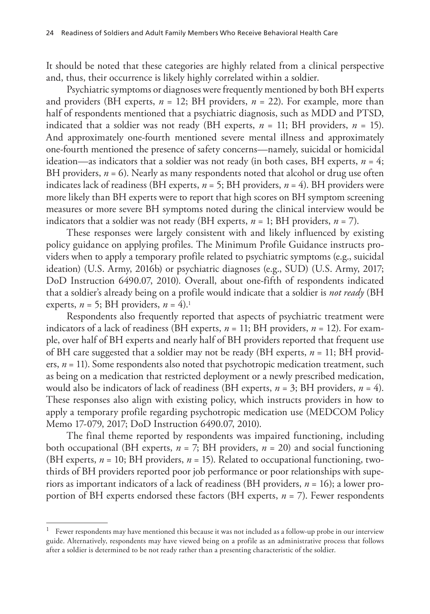It should be noted that these categories are highly related from a clinical perspective and, thus, their occurrence is likely highly correlated within a soldier.

Psychiatric symptoms or diagnoses were frequently mentioned by both BH experts and providers (BH experts,  $n = 12$ ; BH providers,  $n = 22$ ). For example, more than half of respondents mentioned that a psychiatric diagnosis, such as MDD and PTSD, indicated that a soldier was not ready (BH experts,  $n = 11$ ; BH providers,  $n = 15$ ). And approximately one-fourth mentioned severe mental illness and approximately one-fourth mentioned the presence of safety concerns—namely, suicidal or homicidal ideation—as indicators that a soldier was not ready (in both cases, BH experts,  $n = 4$ ; BH providers,  $n = 6$ ). Nearly as many respondents noted that alcohol or drug use often indicates lack of readiness (BH experts, *n* = 5; BH providers, *n* = 4). BH providers were more likely than BH experts were to report that high scores on BH symptom screening measures or more severe BH symptoms noted during the clinical interview would be indicators that a soldier was not ready (BH experts,  $n = 1$ ; BH providers,  $n = 7$ ).

These responses were largely consistent with and likely influenced by existing policy guidance on applying profiles. The Minimum Profile Guidance instructs providers when to apply a temporary profile related to psychiatric symptoms (e.g., suicidal ideation) (U.S. Army, 2016b) or psychiatric diagnoses (e.g., SUD) (U.S. Army, 2017; DoD Instruction 6490.07, 2010). Overall, about one-fifth of respondents indicated that a soldier's already being on a profile would indicate that a soldier is *not ready* (BH experts,  $n = 5$ ; BH providers,  $n = 4$ ).<sup>1</sup>

Respondents also frequently reported that aspects of psychiatric treatment were indicators of a lack of readiness (BH experts,  $n = 11$ ; BH providers,  $n = 12$ ). For example, over half of BH experts and nearly half of BH providers reported that frequent use of BH care suggested that a soldier may not be ready (BH experts, *n* = 11; BH providers, *n* = 11). Some respondents also noted that psychotropic medication treatment, such as being on a medication that restricted deployment or a newly prescribed medication, would also be indicators of lack of readiness (BH experts, *n* = 3; BH providers, *n* = 4). These responses also align with existing policy, which instructs providers in how to apply a temporary profile regarding psychotropic medication use (MEDCOM Policy Memo 17-079, 2017; DoD Instruction 6490.07, 2010).

The final theme reported by respondents was impaired functioning, including both occupational (BH experts, *n* = 7; BH providers, *n* = 20) and social functioning (BH experts, *n* = 10; BH providers, *n* = 15). Related to occupational functioning, twothirds of BH providers reported poor job performance or poor relationships with superiors as important indicators of a lack of readiness (BH providers, *n* = 16); a lower proportion of BH experts endorsed these factors (BH experts, *n* = 7). Fewer respondents

<sup>1</sup> Fewer respondents may have mentioned this because it was not included as a follow-up probe in our interview guide. Alternatively, respondents may have viewed being on a profile as an administrative process that follows after a soldier is determined to be not ready rather than a presenting characteristic of the soldier.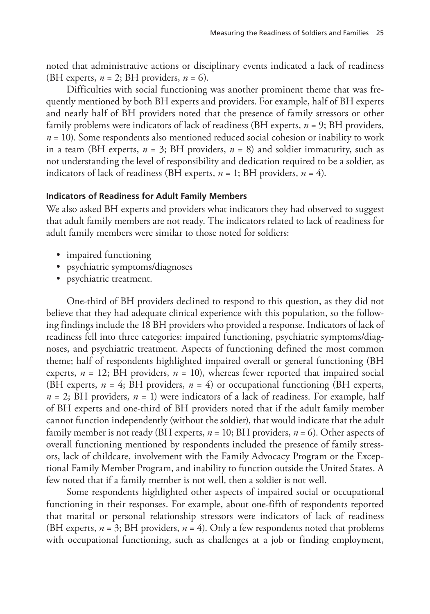noted that administrative actions or disciplinary events indicated a lack of readiness (BH experts,  $n = 2$ ; BH providers,  $n = 6$ ).

Difficulties with social functioning was another prominent theme that was frequently mentioned by both BH experts and providers. For example, half of BH experts and nearly half of BH providers noted that the presence of family stressors or other family problems were indicators of lack of readiness (BH experts, *n* = 9; BH providers,  $n = 10$ ). Some respondents also mentioned reduced social cohesion or inability to work in a team (BH experts,  $n = 3$ ; BH providers,  $n = 8$ ) and soldier immaturity, such as not understanding the level of responsibility and dedication required to be a soldier, as indicators of lack of readiness (BH experts, *n* = 1; BH providers, *n* = 4).

#### **Indicators of Readiness for Adult Family Members**

We also asked BH experts and providers what indicators they had observed to suggest that adult family members are not ready. The indicators related to lack of readiness for adult family members were similar to those noted for soldiers:

- impaired functioning
- psychiatric symptoms/diagnoses
- psychiatric treatment.

One-third of BH providers declined to respond to this question, as they did not believe that they had adequate clinical experience with this population, so the following findings include the 18 BH providers who provided a response. Indicators of lack of readiness fell into three categories: impaired functioning, psychiatric symptoms/diagnoses, and psychiatric treatment. Aspects of functioning defined the most common theme; half of respondents highlighted impaired overall or general functioning (BH experts,  $n = 12$ ; BH providers,  $n = 10$ ), whereas fewer reported that impaired social (BH experts,  $n = 4$ ; BH providers,  $n = 4$ ) or occupational functioning (BH experts,  $n = 2$ ; BH providers,  $n = 1$ ) were indicators of a lack of readiness. For example, half of BH experts and one-third of BH providers noted that if the adult family member cannot function independently (without the soldier), that would indicate that the adult family member is not ready (BH experts, *n* = 10; BH providers, *n* = 6). Other aspects of overall functioning mentioned by respondents included the presence of family stressors, lack of childcare, involvement with the Family Advocacy Program or the Exceptional Family Member Program, and inability to function outside the United States. A few noted that if a family member is not well, then a soldier is not well.

Some respondents highlighted other aspects of impaired social or occupational functioning in their responses. For example, about one-fifth of respondents reported that marital or personal relationship stressors were indicators of lack of readiness (BH experts,  $n = 3$ ; BH providers,  $n = 4$ ). Only a few respondents noted that problems with occupational functioning, such as challenges at a job or finding employment,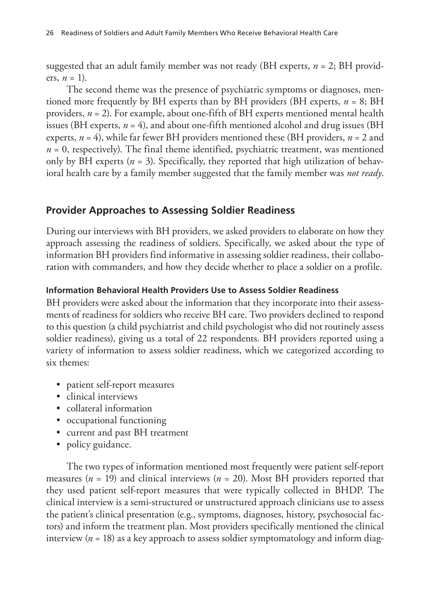suggested that an adult family member was not ready (BH experts, *n* = 2; BH providers,  $n = 1$ ).

The second theme was the presence of psychiatric symptoms or diagnoses, mentioned more frequently by BH experts than by BH providers (BH experts, *n* = 8; BH providers, *n* = 2). For example, about one-fifth of BH experts mentioned mental health issues (BH experts,  $n = 4$ ), and about one-fifth mentioned alcohol and drug issues (BH experts, *n* = 4), while far fewer BH providers mentioned these (BH providers, *n* = 2 and  $n = 0$ , respectively). The final theme identified, psychiatric treatment, was mentioned only by BH experts  $(n = 3)$ . Specifically, they reported that high utilization of behavioral health care by a family member suggested that the family member was *not ready*.

# **Provider Approaches to Assessing Soldier Readiness**

During our interviews with BH providers, we asked providers to elaborate on how they approach assessing the readiness of soldiers. Specifically, we asked about the type of information BH providers find informative in assessing soldier readiness, their collaboration with commanders, and how they decide whether to place a soldier on a profile.

### **Information Behavioral Health Providers Use to Assess Soldier Readiness**

BH providers were asked about the information that they incorporate into their assessments of readiness for soldiers who receive BH care. Two providers declined to respond to this question (a child psychiatrist and child psychologist who did not routinely assess soldier readiness), giving us a total of 22 respondents. BH providers reported using a variety of information to assess soldier readiness, which we categorized according to six themes:

- patient self-report measures
- clinical interviews
- collateral information
- occupational functioning
- current and past BH treatment
- policy guidance.

The two types of information mentioned most frequently were patient self-report measures (*n* = 19) and clinical interviews (*n* = 20). Most BH providers reported that they used patient self-report measures that were typically collected in BHDP. The clinical interview is a semi-structured or unstructured approach clinicians use to assess the patient's clinical presentation (e.g., symptoms, diagnoses, history, psychosocial factors) and inform the treatment plan. Most providers specifically mentioned the clinical interview  $(n = 18)$  as a key approach to assess soldier symptomatology and inform diag-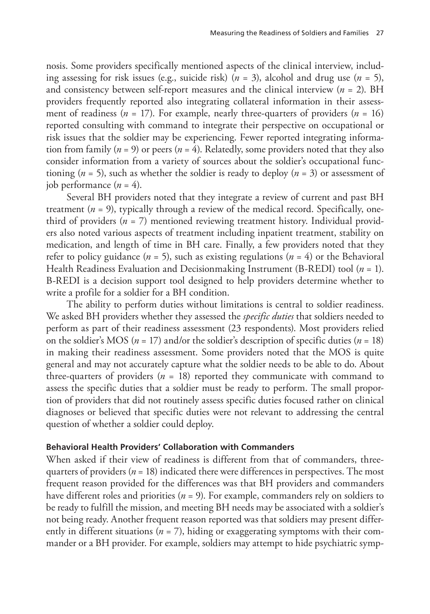nosis. Some providers specifically mentioned aspects of the clinical interview, including assessing for risk issues (e.g., suicide risk) (*n* = 3), alcohol and drug use (*n* = 5), and consistency between self-report measures and the clinical interview (*n* = 2). BH providers frequently reported also integrating collateral information in their assessment of readiness ( $n = 17$ ). For example, nearly three-quarters of providers ( $n = 16$ ) reported consulting with command to integrate their perspective on occupational or risk issues that the soldier may be experiencing. Fewer reported integrating information from family ( $n = 9$ ) or peers ( $n = 4$ ). Relatedly, some providers noted that they also consider information from a variety of sources about the soldier's occupational functioning (*n* = 5), such as whether the soldier is ready to deploy (*n* = 3) or assessment of job performance  $(n = 4)$ .

Several BH providers noted that they integrate a review of current and past BH treatment  $(n = 9)$ , typically through a review of the medical record. Specifically, onethird of providers  $(n = 7)$  mentioned reviewing treatment history. Individual providers also noted various aspects of treatment including inpatient treatment, stability on medication, and length of time in BH care. Finally, a few providers noted that they refer to policy guidance  $(n = 5)$ , such as existing regulations  $(n = 4)$  or the Behavioral Health Readiness Evaluation and Decisionmaking Instrument (B-REDI) tool (*n* = 1). B-REDI is a decision support tool designed to help providers determine whether to write a profile for a soldier for a BH condition.

The ability to perform duties without limitations is central to soldier readiness. We asked BH providers whether they assessed the *specific duties* that soldiers needed to perform as part of their readiness assessment (23 respondents). Most providers relied on the soldier's MOS ( $n = 17$ ) and/or the soldier's description of specific duties ( $n = 18$ ) in making their readiness assessment. Some providers noted that the MOS is quite general and may not accurately capture what the soldier needs to be able to do. About three-quarters of providers  $(n = 18)$  reported they communicate with command to assess the specific duties that a soldier must be ready to perform. The small proportion of providers that did not routinely assess specific duties focused rather on clinical diagnoses or believed that specific duties were not relevant to addressing the central question of whether a soldier could deploy.

#### **Behavioral Health Providers' Collaboration with Commanders**

When asked if their view of readiness is different from that of commanders, threequarters of providers ( $n = 18$ ) indicated there were differences in perspectives. The most frequent reason provided for the differences was that BH providers and commanders have different roles and priorities (*n* = 9). For example, commanders rely on soldiers to be ready to fulfill the mission, and meeting BH needs may be associated with a soldier's not being ready. Another frequent reason reported was that soldiers may present differently in different situations (*n* = 7), hiding or exaggerating symptoms with their commander or a BH provider. For example, soldiers may attempt to hide psychiatric symp-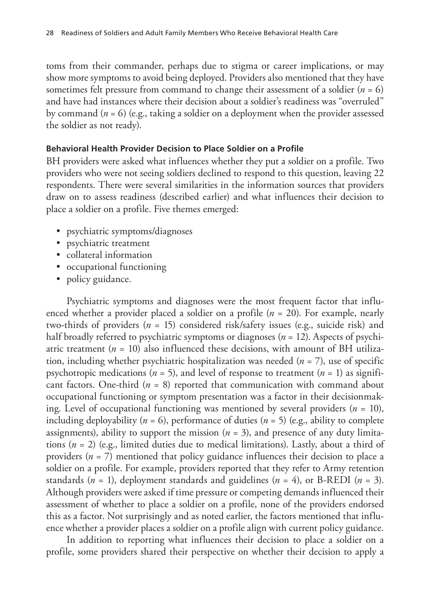toms from their commander, perhaps due to stigma or career implications, or may show more symptoms to avoid being deployed. Providers also mentioned that they have sometimes felt pressure from command to change their assessment of a soldier (*n* = 6) and have had instances where their decision about a soldier's readiness was "overruled" by command (*n* = 6) (e.g., taking a soldier on a deployment when the provider assessed the soldier as not ready).

#### **Behavioral Health Provider Decision to Place Soldier on a Profile**

BH providers were asked what influences whether they put a soldier on a profile. Two providers who were not seeing soldiers declined to respond to this question, leaving 22 respondents. There were several similarities in the information sources that providers draw on to assess readiness (described earlier) and what influences their decision to place a soldier on a profile. Five themes emerged:

- psychiatric symptoms/diagnoses
- psychiatric treatment
- collateral information
- occupational functioning
- policy guidance.

Psychiatric symptoms and diagnoses were the most frequent factor that influenced whether a provider placed a soldier on a profile (*n* = 20). For example, nearly two-thirds of providers (*n* = 15) considered risk/safety issues (e.g., suicide risk) and half broadly referred to psychiatric symptoms or diagnoses (*n* = 12). Aspects of psychiatric treatment  $(n = 10)$  also influenced these decisions, with amount of BH utilization, including whether psychiatric hospitalization was needed (*n* = 7), use of specific psychotropic medications ( $n = 5$ ), and level of response to treatment ( $n = 1$ ) as significant factors. One-third  $(n = 8)$  reported that communication with command about occupational functioning or symptom presentation was a factor in their decisionmaking. Level of occupational functioning was mentioned by several providers (*n* = 10), including deployability ( $n = 6$ ), performance of duties ( $n = 5$ ) (e.g., ability to complete assignments), ability to support the mission  $(n = 3)$ , and presence of any duty limitations (*n* = 2) (e.g., limited duties due to medical limitations). Lastly, about a third of providers (*n* = 7) mentioned that policy guidance influences their decision to place a soldier on a profile. For example, providers reported that they refer to Army retention standards (*n* = 1), deployment standards and guidelines (*n* = 4), or B-REDI (*n* = 3). Although providers were asked if time pressure or competing demands influenced their assessment of whether to place a soldier on a profile, none of the providers endorsed this as a factor. Not surprisingly and as noted earlier, the factors mentioned that influence whether a provider places a soldier on a profile align with current policy guidance.

In addition to reporting what influences their decision to place a soldier on a profile, some providers shared their perspective on whether their decision to apply a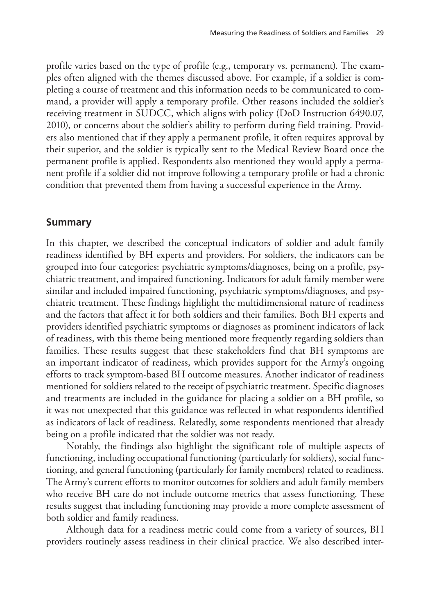profile varies based on the type of profile (e.g., temporary vs. permanent). The examples often aligned with the themes discussed above. For example, if a soldier is completing a course of treatment and this information needs to be communicated to command, a provider will apply a temporary profile. Other reasons included the soldier's receiving treatment in SUDCC, which aligns with policy (DoD Instruction 6490.07, 2010), or concerns about the soldier's ability to perform during field training. Providers also mentioned that if they apply a permanent profile, it often requires approval by their superior, and the soldier is typically sent to the Medical Review Board once the permanent profile is applied. Respondents also mentioned they would apply a permanent profile if a soldier did not improve following a temporary profile or had a chronic condition that prevented them from having a successful experience in the Army.

#### **Summary**

In this chapter, we described the conceptual indicators of soldier and adult family readiness identified by BH experts and providers. For soldiers, the indicators can be grouped into four categories: psychiatric symptoms/diagnoses, being on a profile, psychiatric treatment, and impaired functioning. Indicators for adult family member were similar and included impaired functioning, psychiatric symptoms/diagnoses, and psychiatric treatment. These findings highlight the multidimensional nature of readiness and the factors that affect it for both soldiers and their families. Both BH experts and providers identified psychiatric symptoms or diagnoses as prominent indicators of lack of readiness, with this theme being mentioned more frequently regarding soldiers than families. These results suggest that these stakeholders find that BH symptoms are an important indicator of readiness, which provides support for the Army's ongoing efforts to track symptom-based BH outcome measures. Another indicator of readiness mentioned for soldiers related to the receipt of psychiatric treatment. Specific diagnoses and treatments are included in the guidance for placing a soldier on a BH profile, so it was not unexpected that this guidance was reflected in what respondents identified as indicators of lack of readiness. Relatedly, some respondents mentioned that already being on a profile indicated that the soldier was not ready.

Notably, the findings also highlight the significant role of multiple aspects of functioning, including occupational functioning (particularly for soldiers), social functioning, and general functioning (particularly for family members) related to readiness. The Army's current efforts to monitor outcomes for soldiers and adult family members who receive BH care do not include outcome metrics that assess functioning. These results suggest that including functioning may provide a more complete assessment of both soldier and family readiness.

Although data for a readiness metric could come from a variety of sources, BH providers routinely assess readiness in their clinical practice. We also described inter-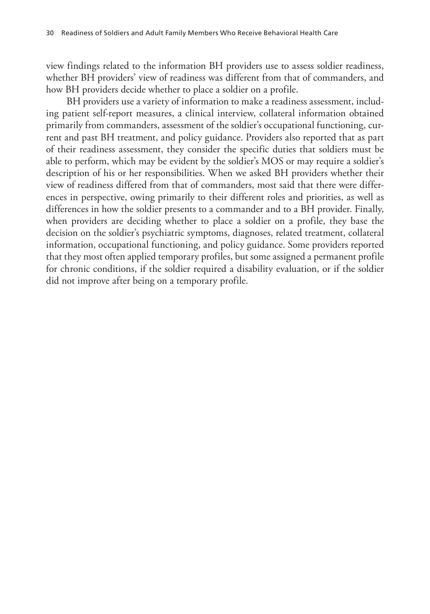view findings related to the information BH providers use to assess soldier readiness, whether BH providers' view of readiness was different from that of commanders, and how BH providers decide whether to place a soldier on a profile.

BH providers use a variety of information to make a readiness assessment, including patient self-report measures, a clinical interview, collateral information obtained primarily from commanders, assessment of the soldier's occupational functioning, current and past BH treatment, and policy guidance. Providers also reported that as part of their readiness assessment, they consider the specific duties that soldiers must be able to perform, which may be evident by the soldier's MOS or may require a soldier's description of his or her responsibilities. When we asked BH providers whether their view of readiness differed from that of commanders, most said that there were differences in perspective, owing primarily to their different roles and priorities, as well as differences in how the soldier presents to a commander and to a BH provider. Finally, when providers are deciding whether to place a soldier on a profile, they base the decision on the soldier's psychiatric symptoms, diagnoses, related treatment, collateral information, occupational functioning, and policy guidance. Some providers reported that they most often applied temporary profiles, but some assigned a permanent profile for chronic conditions, if the soldier required a disability evaluation, or if the soldier did not improve after being on a temporary profile.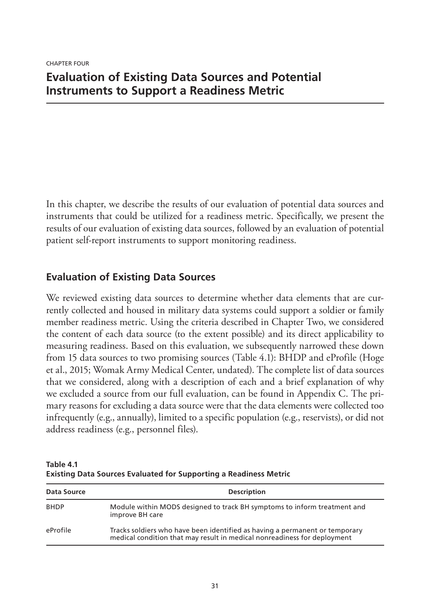# CHAPTER FOUR **Evaluation of Existing Data Sources and Potential Instruments to Support a Readiness Metric**

In this chapter, we describe the results of our evaluation of potential data sources and instruments that could be utilized for a readiness metric. Specifically, we present the results of our evaluation of existing data sources, followed by an evaluation of potential patient self-report instruments to support monitoring readiness.

# **Evaluation of Existing Data Sources**

We reviewed existing data sources to determine whether data elements that are currently collected and housed in military data systems could support a soldier or family member readiness metric. Using the criteria described in Chapter Two, we considered the content of each data source (to the extent possible) and its direct applicability to measuring readiness. Based on this evaluation, we subsequently narrowed these down from 15 data sources to two promising sources (Table 4.1): BHDP and eProfile (Hoge et al., 2015; Womak Army Medical Center, undated). The complete list of data sources that we considered, along with a description of each and a brief explanation of why we excluded a source from our full evaluation, can be found in Appendix C. The primary reasons for excluding a data source were that the data elements were collected too infrequently (e.g., annually), limited to a specific population (e.g., reservists), or did not address readiness (e.g., personnel files).

**Table 4.1 Existing Data Sources Evaluated for Supporting a Readiness Metric**

| Data Source | <b>Description</b>                                                                                                                                      |
|-------------|---------------------------------------------------------------------------------------------------------------------------------------------------------|
| <b>BHDP</b> | Module within MODS designed to track BH symptoms to inform treatment and<br>improve BH care                                                             |
| eProfile    | Tracks soldiers who have been identified as having a permanent or temporary<br>medical condition that may result in medical nonreadiness for deployment |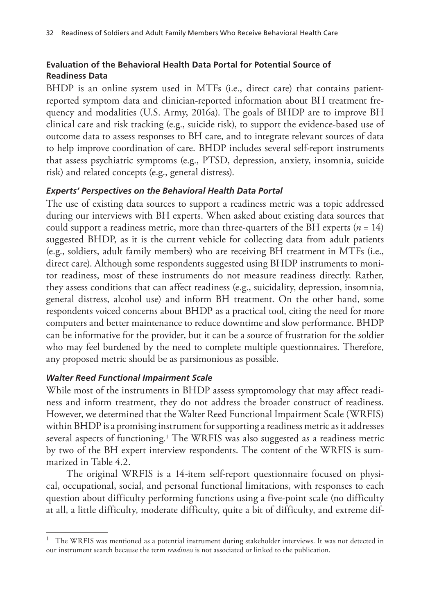## **Evaluation of the Behavioral Health Data Portal for Potential Source of Readiness Data**

BHDP is an online system used in MTFs (i.e., direct care) that contains patientreported symptom data and clinician-reported information about BH treatment frequency and modalities (U.S. Army, 2016a). The goals of BHDP are to improve BH clinical care and risk tracking (e.g., suicide risk), to support the evidence-based use of outcome data to assess responses to BH care, and to integrate relevant sources of data to help improve coordination of care. BHDP includes several self-report instruments that assess psychiatric symptoms (e.g., PTSD, depression, anxiety, insomnia, suicide risk) and related concepts (e.g., general distress).

### *Experts' Perspectives on the Behavioral Health Data Portal*

The use of existing data sources to support a readiness metric was a topic addressed during our interviews with BH experts. When asked about existing data sources that could support a readiness metric, more than three-quarters of the BH experts (*n* = 14) suggested BHDP, as it is the current vehicle for collecting data from adult patients (e.g., soldiers, adult family members) who are receiving BH treatment in MTFs (i.e., direct care). Although some respondents suggested using BHDP instruments to monitor readiness, most of these instruments do not measure readiness directly. Rather, they assess conditions that can affect readiness (e.g., suicidality, depression, insomnia, general distress, alcohol use) and inform BH treatment. On the other hand, some respondents voiced concerns about BHDP as a practical tool, citing the need for more computers and better maintenance to reduce downtime and slow performance. BHDP can be informative for the provider, but it can be a source of frustration for the soldier who may feel burdened by the need to complete multiple questionnaires. Therefore, any proposed metric should be as parsimonious as possible.

#### *Walter Reed Functional Impairment Scale*

While most of the instruments in BHDP assess symptomology that may affect readiness and inform treatment, they do not address the broader construct of readiness. However, we determined that the Walter Reed Functional Impairment Scale (WRFIS) within BHDP is a promising instrument for supporting a readiness metric as it addresses several aspects of functioning.1 The WRFIS was also suggested as a readiness metric by two of the BH expert interview respondents. The content of the WRFIS is summarized in Table 4.2.

The original WRFIS is a 14-item self-report questionnaire focused on physical, occupational, social, and personal functional limitations, with responses to each question about difficulty performing functions using a five-point scale (no difficulty at all, a little difficulty, moderate difficulty, quite a bit of difficulty, and extreme dif-

<sup>1</sup> The WRFIS was mentioned as a potential instrument during stakeholder interviews. It was not detected in our instrument search because the term *readiness* is not associated or linked to the publication.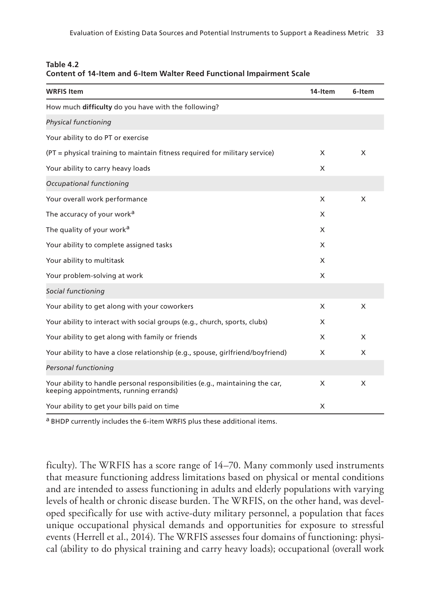| <b>WRFIS Item</b>                                                                                                      | 14-Item | 6-Item |
|------------------------------------------------------------------------------------------------------------------------|---------|--------|
| How much difficulty do you have with the following?                                                                    |         |        |
| Physical functioning                                                                                                   |         |        |
| Your ability to do PT or exercise                                                                                      |         |        |
| (PT = physical training to maintain fitness required for military service)                                             | X       | X      |
| Your ability to carry heavy loads                                                                                      | X       |        |
| Occupational functioning                                                                                               |         |        |
| Your overall work performance                                                                                          | X       | X      |
| The accuracy of your work <sup>a</sup>                                                                                 | X       |        |
| The quality of your work <sup>a</sup>                                                                                  | X       |        |
| Your ability to complete assigned tasks                                                                                | X       |        |
| Your ability to multitask                                                                                              | X       |        |
| Your problem-solving at work                                                                                           | X       |        |
| Social functioning                                                                                                     |         |        |
| Your ability to get along with your coworkers                                                                          | X       | X      |
| Your ability to interact with social groups (e.g., church, sports, clubs)                                              | X       |        |
| Your ability to get along with family or friends                                                                       | X       | X      |
| Your ability to have a close relationship (e.g., spouse, girlfriend/boyfriend)                                         | X       | X      |
| Personal functioning                                                                                                   |         |        |
| Your ability to handle personal responsibilities (e.g., maintaining the car,<br>keeping appointments, running errands) | X       | X      |
| Your ability to get your bills paid on time                                                                            | X       |        |

| Table 4.2 |                                                                       |
|-----------|-----------------------------------------------------------------------|
|           | Content of 14-Item and 6-Item Walter Reed Functional Impairment Scale |

a BHDP currently includes the 6-item WRFIS plus these additional items.

ficulty). The WRFIS has a score range of 14–70. Many commonly used instruments that measure functioning address limitations based on physical or mental conditions and are intended to assess functioning in adults and elderly populations with varying levels of health or chronic disease burden. The WRFIS, on the other hand, was developed specifically for use with active-duty military personnel, a population that faces unique occupational physical demands and opportunities for exposure to stressful events (Herrell et al., 2014). The WRFIS assesses four domains of functioning: physical (ability to do physical training and carry heavy loads); occupational (overall work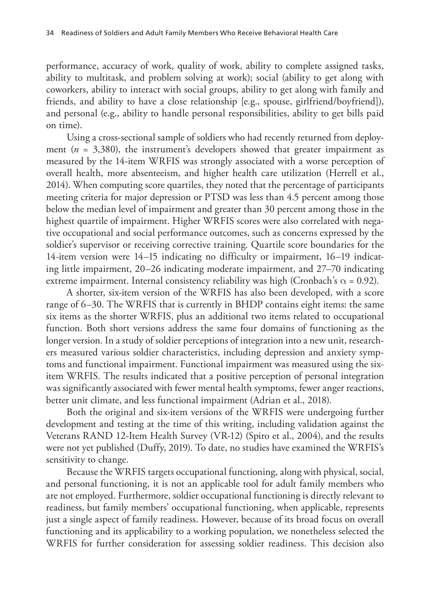performance, accuracy of work, quality of work, ability to complete assigned tasks, ability to multitask, and problem solving at work); social (ability to get along with coworkers, ability to interact with social groups, ability to get along with family and friends, and ability to have a close relationship [e.g., spouse, girlfriend/boyfriend]), and personal (e.g., ability to handle personal responsibilities, ability to get bills paid on time).

Using a cross-sectional sample of soldiers who had recently returned from deployment ( $n = 3,380$ ), the instrument's developers showed that greater impairment as measured by the 14-item WRFIS was strongly associated with a worse perception of overall health, more absenteeism, and higher health care utilization (Herrell et al., 2014). When computing score quartiles, they noted that the percentage of participants meeting criteria for major depression or PTSD was less than 4.5 percent among those below the median level of impairment and greater than 30 percent among those in the highest quartile of impairment. Higher WRFIS scores were also correlated with negative occupational and social performance outcomes, such as concerns expressed by the soldier's supervisor or receiving corrective training. Quartile score boundaries for the 14-item version were 14–15 indicating no difficulty or impairment, 16–19 indicating little impairment, 20–26 indicating moderate impairment, and 27–70 indicating extreme impairment. Internal consistency reliability was high (Cronbach's  $\alpha$  = 0.92).

A shorter, six-item version of the WRFIS has also been developed, with a score range of 6–30. The WRFIS that is currently in BHDP contains eight items: the same six items as the shorter WRFIS, plus an additional two items related to occupational function. Both short versions address the same four domains of functioning as the longer version. In a study of soldier perceptions of integration into a new unit, researchers measured various soldier characteristics, including depression and anxiety symptoms and functional impairment. Functional impairment was measured using the sixitem WRFIS. The results indicated that a positive perception of personal integration was significantly associated with fewer mental health symptoms, fewer anger reactions, better unit climate, and less functional impairment (Adrian et al., 2018).

Both the original and six-item versions of the WRFIS were undergoing further development and testing at the time of this writing, including validation against the Veterans RAND 12-Item Health Survey (VR-12) (Spiro et al., 2004), and the results were not yet published (Duffy, 2019). To date, no studies have examined the WRFIS's sensitivity to change.

Because the WRFIS targets occupational functioning, along with physical, social, and personal functioning, it is not an applicable tool for adult family members who are not employed. Furthermore, soldier occupational functioning is directly relevant to readiness, but family members' occupational functioning, when applicable, represents just a single aspect of family readiness. However, because of its broad focus on overall functioning and its applicability to a working population, we nonetheless selected the WRFIS for further consideration for assessing soldier readiness. This decision also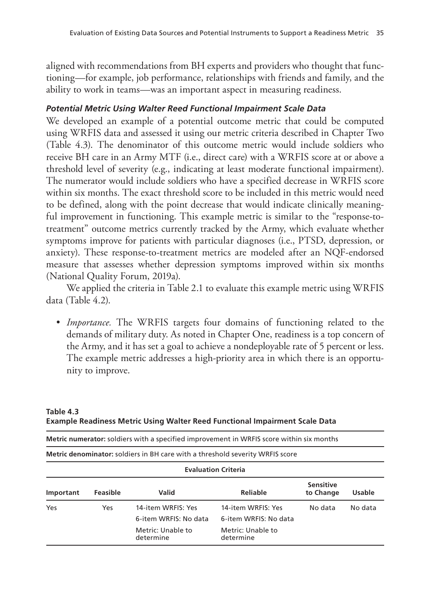aligned with recommendations from BH experts and providers who thought that functioning—for example, job performance, relationships with friends and family, and the ability to work in teams—was an important aspect in measuring readiness.

## *Potential Metric Using Walter Reed Functional Impairment Scale Data*

We developed an example of a potential outcome metric that could be computed using WRFIS data and assessed it using our metric criteria described in Chapter Two (Table 4.3). The denominator of this outcome metric would include soldiers who receive BH care in an Army MTF (i.e., direct care) with a WRFIS score at or above a threshold level of severity (e.g., indicating at least moderate functional impairment). The numerator would include soldiers who have a specified decrease in WRFIS score within six months. The exact threshold score to be included in this metric would need to be defined, along with the point decrease that would indicate clinically meaningful improvement in functioning. This example metric is similar to the "response-totreatment" outcome metrics currently tracked by the Army, which evaluate whether symptoms improve for patients with particular diagnoses (i.e., PTSD, depression, or anxiety). These response-to-treatment metrics are modeled after an NQF-endorsed measure that assesses whether depression symptoms improved within six months (National Quality Forum, 2019a).

We applied the criteria in Table 2.1 to evaluate this example metric using WRFIS data (Table 4.2).

• *Importance.* The WRFIS targets four domains of functioning related to the demands of military duty. As noted in Chapter One, readiness is a top concern of the Army, and it has set a goal to achieve a nondeployable rate of 5 percent or less. The example metric addresses a high-priority area in which there is an opportunity to improve.

|           |          | <b>Metric numerator:</b> soldiers with a specified improvement in WRFIS score within six months |                                                                               |                               |               |
|-----------|----------|-------------------------------------------------------------------------------------------------|-------------------------------------------------------------------------------|-------------------------------|---------------|
|           |          | <b>Metric denominator:</b> soldiers in BH care with a threshold severity WRFIS score            |                                                                               |                               |               |
|           |          |                                                                                                 | <b>Evaluation Criteria</b>                                                    |                               |               |
| Important | Feasible | Valid                                                                                           | Reliable                                                                      | <b>Sensitive</b><br>to Change | <b>Usable</b> |
| Yes       | Yes      | 14-item WRFIS: Yes<br>6-item WRFIS: No data<br>Metric: Unable to<br>determine                   | 14-item WRFIS: Yes<br>6-item WRFIS: No data<br>Metric: Unable to<br>determine | No data                       | No data       |

**Table 4.3 Example Readiness Metric Using Walter Reed Functional Impairment Scale Data**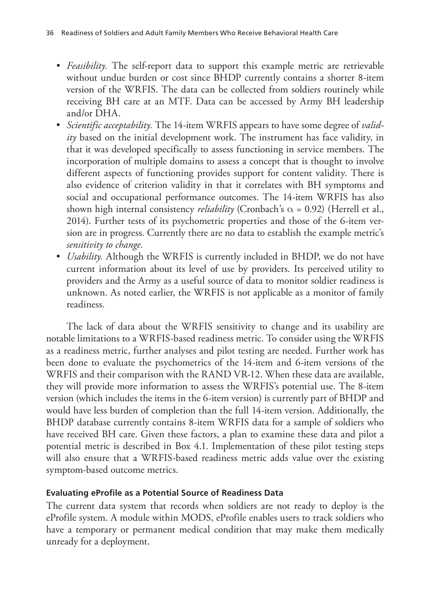- *Feasibility.* The self-report data to support this example metric are retrievable without undue burden or cost since BHDP currently contains a shorter 8-item version of the WRFIS. The data can be collected from soldiers routinely while receiving BH care at an MTF. Data can be accessed by Army BH leadership and/or DHA.
- *Scientific acceptability.* The 14-item WRFIS appears to have some degree of *validity* based on the initial development work. The instrument has face validity, in that it was developed specifically to assess functioning in service members. The incorporation of multiple domains to assess a concept that is thought to involve different aspects of functioning provides support for content validity. There is also evidence of criterion validity in that it correlates with BH symptoms and social and occupational performance outcomes. The 14-item WRFIS has also shown high internal consistency *reliability* (Cronbach's  $\alpha$  = 0.92) (Herrell et al., 2014). Further tests of its psychometric properties and those of the 6-item version are in progress. Currently there are no data to establish the example metric's *sensitivity to change*.
- *Usability.* Although the WRFIS is currently included in BHDP, we do not have current information about its level of use by providers. Its perceived utility to providers and the Army as a useful source of data to monitor soldier readiness is unknown. As noted earlier, the WRFIS is not applicable as a monitor of family readiness.

The lack of data about the WRFIS sensitivity to change and its usability are notable limitations to a WRFIS-based readiness metric. To consider using the WRFIS as a readiness metric, further analyses and pilot testing are needed. Further work has been done to evaluate the psychometrics of the 14-item and 6-item versions of the WRFIS and their comparison with the RAND VR-12. When these data are available, they will provide more information to assess the WRFIS's potential use. The 8-item version (which includes the items in the 6-item version) is currently part of BHDP and would have less burden of completion than the full 14-item version. Additionally, the BHDP database currently contains 8-item WRFIS data for a sample of soldiers who have received BH care. Given these factors, a plan to examine these data and pilot a potential metric is described in Box 4.1. Implementation of these pilot testing steps will also ensure that a WRFIS-based readiness metric adds value over the existing symptom-based outcome metrics.

#### **Evaluating eProfile as a Potential Source of Readiness Data**

The current data system that records when soldiers are not ready to deploy is the eProfile system. A module within MODS, eProfile enables users to track soldiers who have a temporary or permanent medical condition that may make them medically unready for a deployment.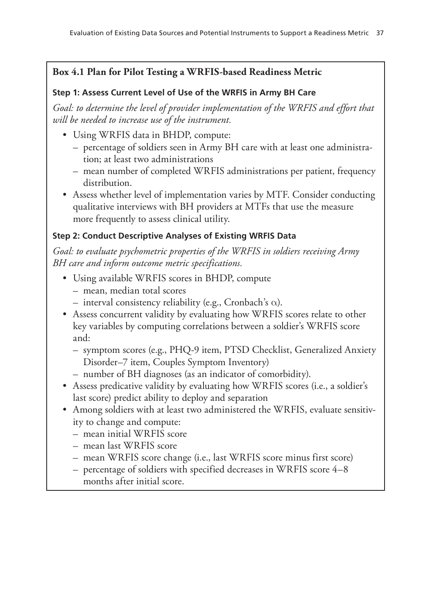## **Box 4.1 Plan for Pilot Testing a WRFIS-based Readiness Metric**

## **Step 1: Assess Current Level of Use of the WRFIS in Army BH Care**

*Goal: to determine the level of provider implementation of the WRFIS and effort that will be needed to increase use of the instrument.*

- Using WRFIS data in BHDP, compute:
	- percentage of soldiers seen in Army BH care with at least one administration; at least two administrations
	- mean number of completed WRFIS administrations per patient, frequency distribution.
- Assess whether level of implementation varies by MTF. Consider conducting qualitative interviews with BH providers at MTFs that use the measure more frequently to assess clinical utility.

## **Step 2: Conduct Descriptive Analyses of Existing WRFIS Data**

*Goal: to evaluate psychometric properties of the WRFIS in soldiers receiving Army BH care and inform outcome metric specifications.*

- Using available WRFIS scores in BHDP, compute
	- mean, median total scores
	- interval consistency reliability (e.g., Cronbach's  $\alpha$ ).
- Assess concurrent validity by evaluating how WRFIS scores relate to other key variables by computing correlations between a soldier's WRFIS score and:
	- symptom scores (e.g., PHQ-9 item, PTSD Checklist, Generalized Anxiety Disorder–7 item, Couples Symptom Inventory)
	- number of BH diagnoses (as an indicator of comorbidity).
- Assess predicative validity by evaluating how WRFIS scores (i.e., a soldier's last score) predict ability to deploy and separation
- Among soldiers with at least two administered the WRFIS, evaluate sensitivity to change and compute:
	- mean initial WRFIS score
	- mean last WRFIS score
	- mean WRFIS score change (i.e., last WRFIS score minus first score)
	- percentage of soldiers with specified decreases in WRFIS score 4–8 months after initial score.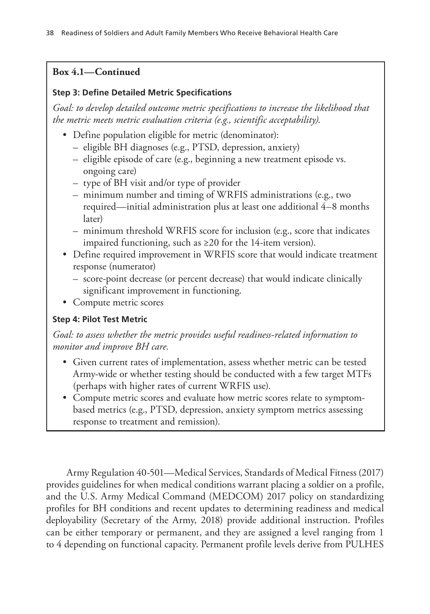## **Box 4.1—Continued**

#### **Step 3: Define Detailed Metric Specifications**

*Goal: to develop detailed outcome metric specifications to increase the likelihood that the metric meets metric evaluation criteria (e.g., scientific acceptability).*

- Define population eligible for metric (denominator):
	- eligible BH diagnoses (e.g., PTSD, depression, anxiety)
	- eligible episode of care (e.g., beginning a new treatment episode vs. ongoing care)
	- type of BH visit and/or type of provider
	- minimum number and timing of WRFIS administrations (e.g., two required—initial administration plus at least one additional 4–8 months later)
	- minimum threshold WRFIS score for inclusion (e.g., score that indicates impaired functioning, such as ≥20 for the 14-item version).
- Define required improvement in WRFIS score that would indicate treatment response (numerator)
	- score-point decrease (or percent decrease) that would indicate clinically significant improvement in functioning.
- Compute metric scores

## **Step 4: Pilot Test Metric**

*Goal: to assess whether the metric provides useful readiness-related information to monitor and improve BH care.*

- Given current rates of implementation, assess whether metric can be tested Army-wide or whether testing should be conducted with a few target MTFs (perhaps with higher rates of current WRFIS use).
- Compute metric scores and evaluate how metric scores relate to symptombased metrics (e.g., PTSD, depression, anxiety symptom metrics assessing response to treatment and remission).

Army Regulation 40-501—Medical Services, Standards of Medical Fitness (2017) provides guidelines for when medical conditions warrant placing a soldier on a profile, and the U.S. Army Medical Command (MEDCOM) 2017 policy on standardizing profiles for BH conditions and recent updates to determining readiness and medical deployability (Secretary of the Army, 2018) provide additional instruction. Profiles can be either temporary or permanent, and they are assigned a level ranging from 1 to 4 depending on functional capacity. Permanent profile levels derive from PULHES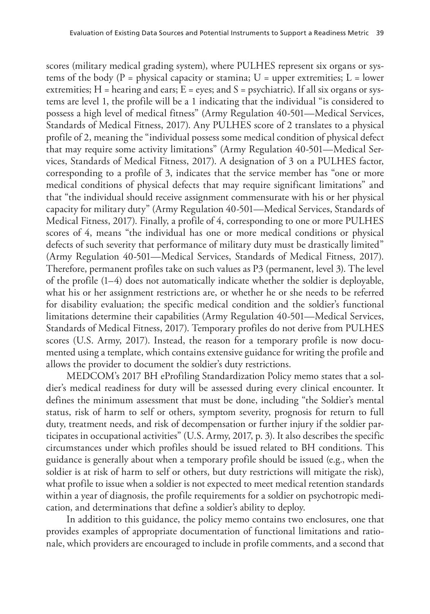scores (military medical grading system), where PULHES represent six organs or systems of the body ( $P =$  physical capacity or stamina;  $U =$  upper extremities;  $L =$  lower extremities;  $H =$  hearing and ears;  $E =$  eyes; and  $S =$  psychiatric). If all six organs or systems are level 1, the profile will be a 1 indicating that the individual "is considered to possess a high level of medical fitness" (Army Regulation 40-501—Medical Services, Standards of Medical Fitness, 2017). Any PULHES score of 2 translates to a physical profile of 2, meaning the "individual possess some medical condition of physical defect that may require some activity limitations" (Army Regulation 40-501—Medical Services, Standards of Medical Fitness, 2017). A designation of 3 on a PULHES factor, corresponding to a profile of 3, indicates that the service member has "one or more medical conditions of physical defects that may require significant limitations" and that "the individual should receive assignment commensurate with his or her physical capacity for military duty" (Army Regulation 40-501—Medical Services, Standards of Medical Fitness, 2017). Finally, a profile of 4, corresponding to one or more PULHES scores of 4, means "the individual has one or more medical conditions or physical defects of such severity that performance of military duty must be drastically limited" (Army Regulation 40-501—Medical Services, Standards of Medical Fitness, 2017). Therefore, permanent profiles take on such values as P3 (permanent, level 3). The level of the profile (1–4) does not automatically indicate whether the soldier is deployable, what his or her assignment restrictions are, or whether he or she needs to be referred for disability evaluation; the specific medical condition and the soldier's functional limitations determine their capabilities (Army Regulation 40-501—Medical Services, Standards of Medical Fitness, 2017). Temporary profiles do not derive from PULHES scores (U.S. Army, 2017). Instead, the reason for a temporary profile is now documented using a template, which contains extensive guidance for writing the profile and allows the provider to document the soldier's duty restrictions.

MEDCOM's 2017 BH eProfiling Standardization Policy memo states that a soldier's medical readiness for duty will be assessed during every clinical encounter. It defines the minimum assessment that must be done, including "the Soldier's mental status, risk of harm to self or others, symptom severity, prognosis for return to full duty, treatment needs, and risk of decompensation or further injury if the soldier participates in occupational activities" (U.S. Army, 2017, p. 3). It also describes the specific circumstances under which profiles should be issued related to BH conditions. This guidance is generally about when a temporary profile should be issued (e.g., when the soldier is at risk of harm to self or others, but duty restrictions will mitigate the risk), what profile to issue when a soldier is not expected to meet medical retention standards within a year of diagnosis, the profile requirements for a soldier on psychotropic medication, and determinations that define a soldier's ability to deploy.

In addition to this guidance, the policy memo contains two enclosures, one that provides examples of appropriate documentation of functional limitations and rationale, which providers are encouraged to include in profile comments, and a second that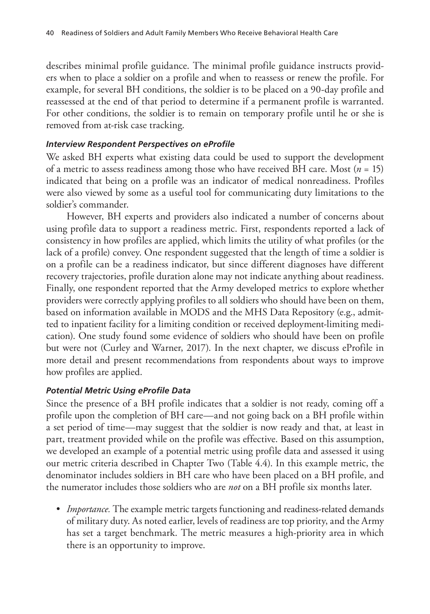describes minimal profile guidance. The minimal profile guidance instructs providers when to place a soldier on a profile and when to reassess or renew the profile. For example, for several BH conditions, the soldier is to be placed on a 90-day profile and reassessed at the end of that period to determine if a permanent profile is warranted. For other conditions, the soldier is to remain on temporary profile until he or she is removed from at-risk case tracking.

#### *Interview Respondent Perspectives on eProfile*

We asked BH experts what existing data could be used to support the development of a metric to assess readiness among those who have received BH care. Most (*n* = 15) indicated that being on a profile was an indicator of medical nonreadiness. Profiles were also viewed by some as a useful tool for communicating duty limitations to the soldier's commander.

However, BH experts and providers also indicated a number of concerns about using profile data to support a readiness metric. First, respondents reported a lack of consistency in how profiles are applied, which limits the utility of what profiles (or the lack of a profile) convey. One respondent suggested that the length of time a soldier is on a profile can be a readiness indicator, but since different diagnoses have different recovery trajectories, profile duration alone may not indicate anything about readiness. Finally, one respondent reported that the Army developed metrics to explore whether providers were correctly applying profiles to all soldiers who should have been on them, based on information available in MODS and the MHS Data Repository (e.g., admitted to inpatient facility for a limiting condition or received deployment-limiting medication). One study found some evidence of soldiers who should have been on profile but were not (Curley and Warner, 2017). In the next chapter, we discuss eProfile in more detail and present recommendations from respondents about ways to improve how profiles are applied.

#### *Potential Metric Using eProfile Data*

Since the presence of a BH profile indicates that a soldier is not ready, coming off a profile upon the completion of BH care—and not going back on a BH profile within a set period of time—may suggest that the soldier is now ready and that, at least in part, treatment provided while on the profile was effective. Based on this assumption, we developed an example of a potential metric using profile data and assessed it using our metric criteria described in Chapter Two (Table 4.4). In this example metric, the denominator includes soldiers in BH care who have been placed on a BH profile, and the numerator includes those soldiers who are *not* on a BH profile six months later.

• *Importance.* The example metric targets functioning and readiness-related demands of military duty. As noted earlier, levels of readiness are top priority, and the Army has set a target benchmark. The metric measures a high-priority area in which there is an opportunity to improve.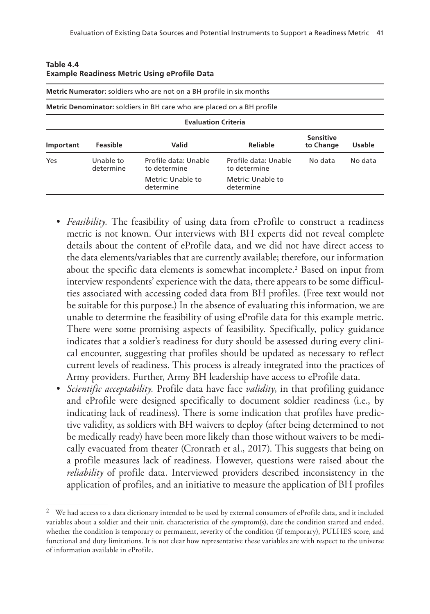|           |                        | Metric Numerator: soldiers who are not on a BH profile in six months          |                                      |                               |         |
|-----------|------------------------|-------------------------------------------------------------------------------|--------------------------------------|-------------------------------|---------|
|           |                        | <b>Metric Denominator:</b> soldiers in BH care who are placed on a BH profile |                                      |                               |         |
|           |                        | <b>Evaluation Criteria</b>                                                    |                                      |                               |         |
| Important | Feasible               | Valid                                                                         | Reliable                             | <b>Sensitive</b><br>to Change | Usable  |
| Yes       | Unable to<br>determine | Profile data: Unable<br>to determine                                          | Profile data: Unable<br>to determine | No data                       | No data |
|           |                        | Metric: Unable to<br>determine                                                | Metric: Unable to<br>determine       |                               |         |

| Table 4.4                                           |  |
|-----------------------------------------------------|--|
| <b>Example Readiness Metric Using eProfile Data</b> |  |

- *Feasibility.* The feasibility of using data from eProfile to construct a readiness metric is not known. Our interviews with BH experts did not reveal complete details about the content of eProfile data, and we did not have direct access to the data elements/variables that are currently available; therefore, our information about the specific data elements is somewhat incomplete.2 Based on input from interview respondents' experience with the data, there appears to be some difficulties associated with accessing coded data from BH profiles. (Free text would not be suitable for this purpose.) In the absence of evaluating this information, we are unable to determine the feasibility of using eProfile data for this example metric. There were some promising aspects of feasibility. Specifically, policy guidance indicates that a soldier's readiness for duty should be assessed during every clinical encounter, suggesting that profiles should be updated as necessary to reflect current levels of readiness. This process is already integrated into the practices of Army providers. Further, Army BH leadership have access to eProfile data.
- *Scientific acceptability.* Profile data have face *validity*, in that profiling guidance and eProfile were designed specifically to document soldier readiness (i.e., by indicating lack of readiness). There is some indication that profiles have predictive validity, as soldiers with BH waivers to deploy (after being determined to not be medically ready) have been more likely than those without waivers to be medically evacuated from theater (Cronrath et al., 2017). This suggests that being on a profile measures lack of readiness. However, questions were raised about the *reliability* of profile data. Interviewed providers described inconsistency in the application of profiles, and an initiative to measure the application of BH profiles

 $2$  We had access to a data dictionary intended to be used by external consumers of eProfile data, and it included variables about a soldier and their unit, characteristics of the symptom(s), date the condition started and ended, whether the condition is temporary or permanent, severity of the condition (if temporary), PULHES score, and functional and duty limitations. It is not clear how representative these variables are with respect to the universe of information available in eProfile.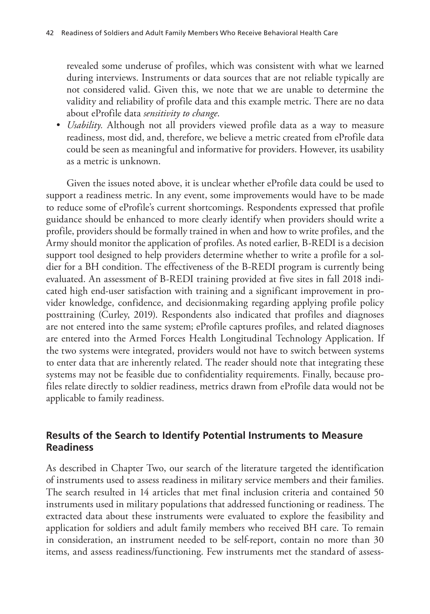revealed some underuse of profiles, which was consistent with what we learned during interviews. Instruments or data sources that are not reliable typically are not considered valid. Given this, we note that we are unable to determine the validity and reliability of profile data and this example metric. There are no data about eProfile data *sensitivity to change*.

• *Usability.* Although not all providers viewed profile data as a way to measure readiness, most did, and, therefore, we believe a metric created from eProfile data could be seen as meaningful and informative for providers. However, its usability as a metric is unknown.

Given the issues noted above, it is unclear whether eProfile data could be used to support a readiness metric. In any event, some improvements would have to be made to reduce some of eProfile's current shortcomings. Respondents expressed that profile guidance should be enhanced to more clearly identify when providers should write a profile, providers should be formally trained in when and how to write profiles, and the Army should monitor the application of profiles. As noted earlier, B-REDI is a decision support tool designed to help providers determine whether to write a profile for a soldier for a BH condition. The effectiveness of the B-REDI program is currently being evaluated. An assessment of B-REDI training provided at five sites in fall 2018 indicated high end-user satisfaction with training and a significant improvement in provider knowledge, confidence, and decisionmaking regarding applying profile policy posttraining (Curley, 2019). Respondents also indicated that profiles and diagnoses are not entered into the same system; eProfile captures profiles, and related diagnoses are entered into the Armed Forces Health Longitudinal Technology Application. If the two systems were integrated, providers would not have to switch between systems to enter data that are inherently related. The reader should note that integrating these systems may not be feasible due to confidentiality requirements. Finally, because profiles relate directly to soldier readiness, metrics drawn from eProfile data would not be applicable to family readiness.

# **Results of the Search to Identify Potential Instruments to Measure Readiness**

As described in Chapter Two, our search of the literature targeted the identification of instruments used to assess readiness in military service members and their families. The search resulted in 14 articles that met final inclusion criteria and contained 50 instruments used in military populations that addressed functioning or readiness. The extracted data about these instruments were evaluated to explore the feasibility and application for soldiers and adult family members who received BH care. To remain in consideration, an instrument needed to be self-report, contain no more than 30 items, and assess readiness/functioning. Few instruments met the standard of assess-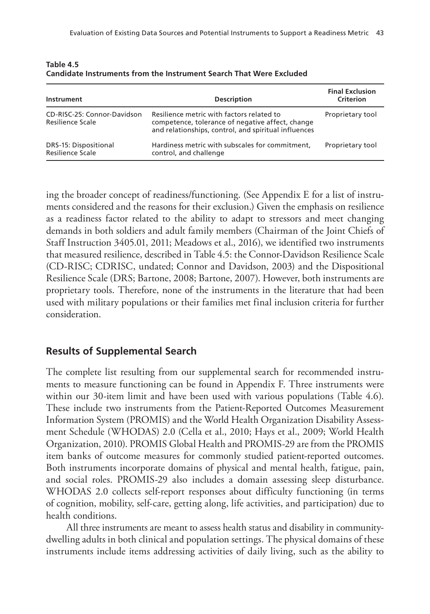| Instrument                                      | <b>Description</b>                                                                                                                                    | <b>Final Exclusion</b><br>Criterion |
|-------------------------------------------------|-------------------------------------------------------------------------------------------------------------------------------------------------------|-------------------------------------|
| CD-RISC-25: Connor-Davidson<br>Resilience Scale | Resilience metric with factors related to<br>competence, tolerance of negative affect, change<br>and relationships, control, and spiritual influences | Proprietary tool                    |
| DRS-15: Dispositional<br>Resilience Scale       | Hardiness metric with subscales for commitment,<br>control, and challenge                                                                             | Proprietary tool                    |

**Table 4.5 Candidate Instruments from the Instrument Search That Were Excluded**

ing the broader concept of readiness/functioning. (See Appendix E for a list of instruments considered and the reasons for their exclusion.) Given the emphasis on resilience as a readiness factor related to the ability to adapt to stressors and meet changing demands in both soldiers and adult family members (Chairman of the Joint Chiefs of Staff Instruction 3405.01, 2011; Meadows et al., 2016), we identified two instruments that measured resilience, described in Table 4.5: the Connor-Davidson Resilience Scale (CD-RISC; CDRISC, undated; Connor and Davidson, 2003) and the Dispositional Resilience Scale (DRS; Bartone, 2008; Bartone, 2007). However, both instruments are proprietary tools. Therefore, none of the instruments in the literature that had been used with military populations or their families met final inclusion criteria for further consideration.

# **Results of Supplemental Search**

The complete list resulting from our supplemental search for recommended instruments to measure functioning can be found in Appendix F. Three instruments were within our 30-item limit and have been used with various populations (Table 4.6). These include two instruments from the Patient-Reported Outcomes Measurement Information System (PROMIS) and the World Health Organization Disability Assessment Schedule (WHODAS) 2.0 (Cella et al., 2010; Hays et al., 2009; World Health Organization, 2010). PROMIS Global Health and PROMIS-29 are from the PROMIS item banks of outcome measures for commonly studied patient-reported outcomes. Both instruments incorporate domains of physical and mental health, fatigue, pain, and social roles. PROMIS-29 also includes a domain assessing sleep disturbance. WHODAS 2.0 collects self-report responses about difficulty functioning (in terms of cognition, mobility, self-care, getting along, life activities, and participation) due to health conditions.

All three instruments are meant to assess health status and disability in communitydwelling adults in both clinical and population settings. The physical domains of these instruments include items addressing activities of daily living, such as the ability to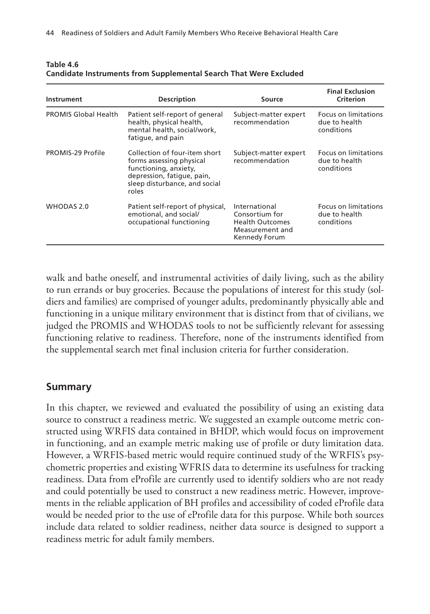| Instrument                  | <b>Description</b>                                                                                                                                         | Source                                                                                        | <b>Final Exclusion</b><br>Criterion                 |
|-----------------------------|------------------------------------------------------------------------------------------------------------------------------------------------------------|-----------------------------------------------------------------------------------------------|-----------------------------------------------------|
| <b>PROMIS Global Health</b> | Patient self-report of general<br>health, physical health,<br>mental health, social/work,<br>fatique, and pain                                             | Subject-matter expert<br>recommendation                                                       | Focus on limitations<br>due to health<br>conditions |
| PROMIS-29 Profile           | Collection of four-item short<br>forms assessing physical<br>functioning, anxiety,<br>depression, fatigue, pain,<br>sleep disturbance, and social<br>roles | Subject-matter expert<br>recommendation                                                       | Focus on limitations<br>due to health<br>conditions |
| WHODAS 2.0                  | Patient self-report of physical,<br>emotional, and social/<br>occupational functioning                                                                     | International<br>Consortium for<br><b>Health Outcomes</b><br>Measurement and<br>Kennedy Forum | Focus on limitations<br>due to health<br>conditions |

**Table 4.6 Candidate Instruments from Supplemental Search That Were Excluded**

walk and bathe oneself, and instrumental activities of daily living, such as the ability to run errands or buy groceries. Because the populations of interest for this study (soldiers and families) are comprised of younger adults, predominantly physically able and functioning in a unique military environment that is distinct from that of civilians, we judged the PROMIS and WHODAS tools to not be sufficiently relevant for assessing functioning relative to readiness. Therefore, none of the instruments identified from the supplemental search met final inclusion criteria for further consideration.

## **Summary**

In this chapter, we reviewed and evaluated the possibility of using an existing data source to construct a readiness metric. We suggested an example outcome metric constructed using WRFIS data contained in BHDP, which would focus on improvement in functioning, and an example metric making use of profile or duty limitation data. However, a WRFIS-based metric would require continued study of the WRFIS's psychometric properties and existing WFRIS data to determine its usefulness for tracking readiness. Data from eProfile are currently used to identify soldiers who are not ready and could potentially be used to construct a new readiness metric. However, improvements in the reliable application of BH profiles and accessibility of coded eProfile data would be needed prior to the use of eProfile data for this purpose. While both sources include data related to soldier readiness, neither data source is designed to support a readiness metric for adult family members.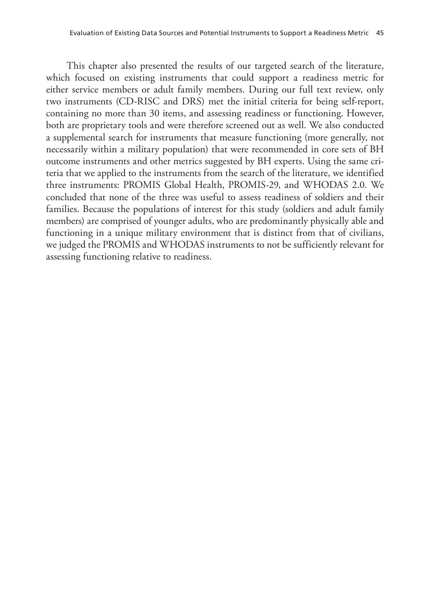This chapter also presented the results of our targeted search of the literature, which focused on existing instruments that could support a readiness metric for either service members or adult family members. During our full text review, only two instruments (CD-RISC and DRS) met the initial criteria for being self-report, containing no more than 30 items, and assessing readiness or functioning. However, both are proprietary tools and were therefore screened out as well. We also conducted a supplemental search for instruments that measure functioning (more generally, not necessarily within a military population) that were recommended in core sets of BH outcome instruments and other metrics suggested by BH experts. Using the same criteria that we applied to the instruments from the search of the literature, we identified three instruments: PROMIS Global Health, PROMIS-29, and WHODAS 2.0. We concluded that none of the three was useful to assess readiness of soldiers and their families. Because the populations of interest for this study (soldiers and adult family members) are comprised of younger adults, who are predominantly physically able and functioning in a unique military environment that is distinct from that of civilians, we judged the PROMIS and WHODAS instruments to not be sufficiently relevant for assessing functioning relative to readiness.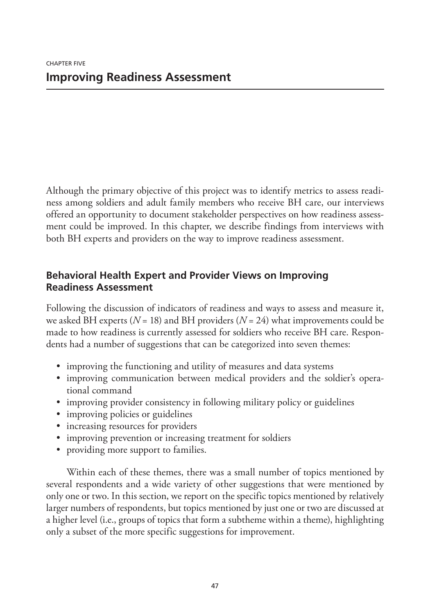Although the primary objective of this project was to identify metrics to assess readiness among soldiers and adult family members who receive BH care, our interviews offered an opportunity to document stakeholder perspectives on how readiness assessment could be improved. In this chapter, we describe findings from interviews with both BH experts and providers on the way to improve readiness assessment.

# **Behavioral Health Expert and Provider Views on Improving Readiness Assessment**

Following the discussion of indicators of readiness and ways to assess and measure it, we asked BH experts (*N* = 18) and BH providers (*N* = 24) what improvements could be made to how readiness is currently assessed for soldiers who receive BH care. Respondents had a number of suggestions that can be categorized into seven themes:

- improving the functioning and utility of measures and data systems
- improving communication between medical providers and the soldier's operational command
- improving provider consistency in following military policy or guidelines
- improving policies or guidelines
- increasing resources for providers
- improving prevention or increasing treatment for soldiers
- providing more support to families.

Within each of these themes, there was a small number of topics mentioned by several respondents and a wide variety of other suggestions that were mentioned by only one or two. In this section, we report on the specific topics mentioned by relatively larger numbers of respondents, but topics mentioned by just one or two are discussed at a higher level (i.e., groups of topics that form a subtheme within a theme), highlighting only a subset of the more specific suggestions for improvement.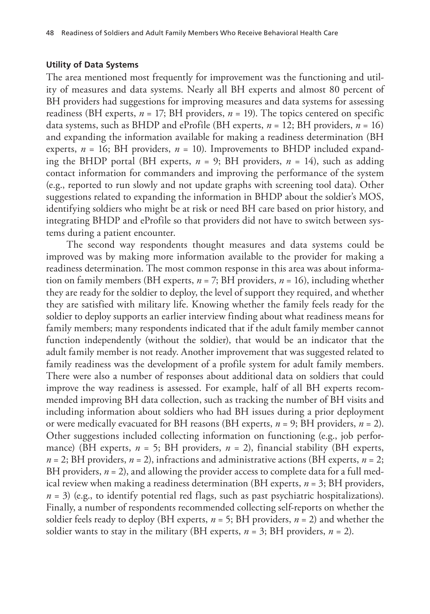#### **Utility of Data Systems**

The area mentioned most frequently for improvement was the functioning and utility of measures and data systems. Nearly all BH experts and almost 80 percent of BH providers had suggestions for improving measures and data systems for assessing readiness (BH experts,  $n = 17$ ; BH providers,  $n = 19$ ). The topics centered on specific data systems, such as BHDP and eProfile (BH experts, *n* = 12; BH providers, *n* = 16) and expanding the information available for making a readiness determination (BH experts,  $n = 16$ ; BH providers,  $n = 10$ ). Improvements to BHDP included expanding the BHDP portal (BH experts,  $n = 9$ ; BH providers,  $n = 14$ ), such as adding contact information for commanders and improving the performance of the system (e.g., reported to run slowly and not update graphs with screening tool data). Other suggestions related to expanding the information in BHDP about the soldier's MOS, identifying soldiers who might be at risk or need BH care based on prior history, and integrating BHDP and eProfile so that providers did not have to switch between systems during a patient encounter.

The second way respondents thought measures and data systems could be improved was by making more information available to the provider for making a readiness determination. The most common response in this area was about information on family members (BH experts, *n* = 7; BH providers, *n* = 16), including whether they are ready for the soldier to deploy, the level of support they required, and whether they are satisfied with military life. Knowing whether the family feels ready for the soldier to deploy supports an earlier interview finding about what readiness means for family members; many respondents indicated that if the adult family member cannot function independently (without the soldier), that would be an indicator that the adult family member is not ready. Another improvement that was suggested related to family readiness was the development of a profile system for adult family members. There were also a number of responses about additional data on soldiers that could improve the way readiness is assessed. For example, half of all BH experts recommended improving BH data collection, such as tracking the number of BH visits and including information about soldiers who had BH issues during a prior deployment or were medically evacuated for BH reasons (BH experts, *n* = 9; BH providers, *n* = 2). Other suggestions included collecting information on functioning (e.g., job performance) (BH experts, *n* = 5; BH providers, *n* = 2), financial stability (BH experts, *n* = 2; BH providers, *n* = 2), infractions and administrative actions (BH experts, *n* = 2; BH providers,  $n = 2$ ), and allowing the provider access to complete data for a full medical review when making a readiness determination (BH experts, *n* = 3; BH providers,  $n = 3$ ) (e.g., to identify potential red flags, such as past psychiatric hospitalizations). Finally, a number of respondents recommended collecting self-reports on whether the soldier feels ready to deploy (BH experts,  $n = 5$ ; BH providers,  $n = 2$ ) and whether the soldier wants to stay in the military (BH experts,  $n = 3$ ; BH providers,  $n = 2$ ).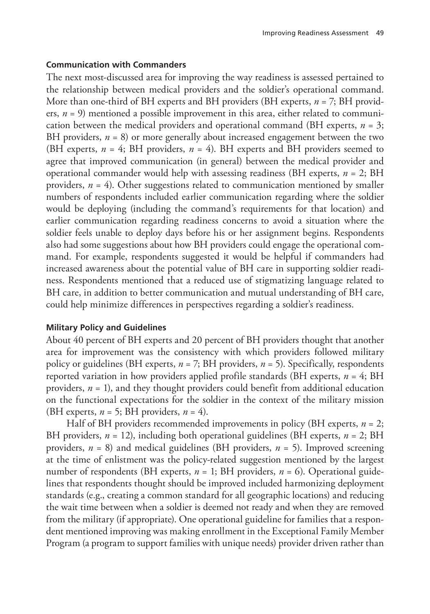## **Communication with Commanders**

The next most-discussed area for improving the way readiness is assessed pertained to the relationship between medical providers and the soldier's operational command. More than one-third of BH experts and BH providers (BH experts, *n* = 7; BH providers, *n* = 9) mentioned a possible improvement in this area, either related to communication between the medical providers and operational command (BH experts, *n* = 3; BH providers,  $n = 8$ ) or more generally about increased engagement between the two (BH experts,  $n = 4$ ; BH providers,  $n = 4$ ). BH experts and BH providers seemed to agree that improved communication (in general) between the medical provider and operational commander would help with assessing readiness (BH experts, *n* = 2; BH providers,  $n = 4$ ). Other suggestions related to communication mentioned by smaller numbers of respondents included earlier communication regarding where the soldier would be deploying (including the command's requirements for that location) and earlier communication regarding readiness concerns to avoid a situation where the soldier feels unable to deploy days before his or her assignment begins. Respondents also had some suggestions about how BH providers could engage the operational command. For example, respondents suggested it would be helpful if commanders had increased awareness about the potential value of BH care in supporting soldier readiness. Respondents mentioned that a reduced use of stigmatizing language related to BH care, in addition to better communication and mutual understanding of BH care, could help minimize differences in perspectives regarding a soldier's readiness.

## **Military Policy and Guidelines**

About 40 percent of BH experts and 20 percent of BH providers thought that another area for improvement was the consistency with which providers followed military policy or guidelines (BH experts, *n* = 7; BH providers, *n* = 5). Specifically, respondents reported variation in how providers applied profile standards (BH experts, *n* = 4; BH providers, *n* = 1), and they thought providers could benefit from additional education on the functional expectations for the soldier in the context of the military mission (BH experts,  $n = 5$ ; BH providers,  $n = 4$ ).

Half of BH providers recommended improvements in policy (BH experts, *n* = 2; BH providers,  $n = 12$ ), including both operational guidelines (BH experts,  $n = 2$ ; BH providers, *n* = 8) and medical guidelines (BH providers, *n* = 5). Improved screening at the time of enlistment was the policy-related suggestion mentioned by the largest number of respondents (BH experts,  $n = 1$ ; BH providers,  $n = 6$ ). Operational guidelines that respondents thought should be improved included harmonizing deployment standards (e.g., creating a common standard for all geographic locations) and reducing the wait time between when a soldier is deemed not ready and when they are removed from the military (if appropriate). One operational guideline for families that a respondent mentioned improving was making enrollment in the Exceptional Family Member Program (a program to support families with unique needs) provider driven rather than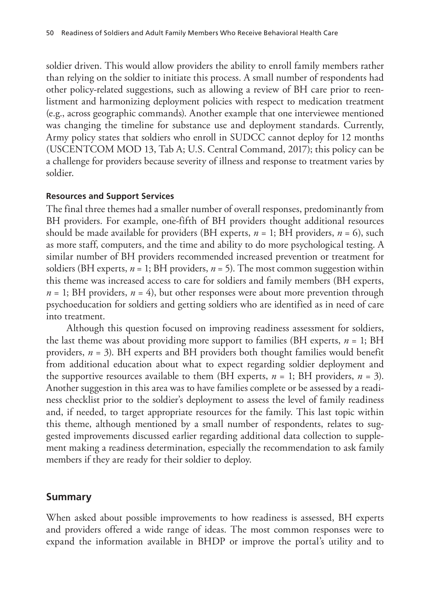soldier driven. This would allow providers the ability to enroll family members rather than relying on the soldier to initiate this process. A small number of respondents had other policy-related suggestions, such as allowing a review of BH care prior to reenlistment and harmonizing deployment policies with respect to medication treatment (e.g., across geographic commands). Another example that one interviewee mentioned was changing the timeline for substance use and deployment standards. Currently, Army policy states that soldiers who enroll in SUDCC cannot deploy for 12 months (USCENTCOM MOD 13, Tab A; U.S. Central Command, 2017); this policy can be a challenge for providers because severity of illness and response to treatment varies by soldier.

#### **Resources and Support Services**

The final three themes had a smaller number of overall responses, predominantly from BH providers. For example, one-fifth of BH providers thought additional resources should be made available for providers (BH experts,  $n = 1$ ; BH providers,  $n = 6$ ), such as more staff, computers, and the time and ability to do more psychological testing. A similar number of BH providers recommended increased prevention or treatment for soldiers (BH experts, *n* = 1; BH providers, *n* = 5). The most common suggestion within this theme was increased access to care for soldiers and family members (BH experts,  $n = 1$ ; BH providers,  $n = 4$ ), but other responses were about more prevention through psychoeducation for soldiers and getting soldiers who are identified as in need of care into treatment.

Although this question focused on improving readiness assessment for soldiers, the last theme was about providing more support to families (BH experts,  $n = 1$ ; BH providers, *n* = 3). BH experts and BH providers both thought families would benefit from additional education about what to expect regarding soldier deployment and the supportive resources available to them (BH experts,  $n = 1$ ; BH providers,  $n = 3$ ). Another suggestion in this area was to have families complete or be assessed by a readiness checklist prior to the soldier's deployment to assess the level of family readiness and, if needed, to target appropriate resources for the family. This last topic within this theme, although mentioned by a small number of respondents, relates to suggested improvements discussed earlier regarding additional data collection to supplement making a readiness determination, especially the recommendation to ask family members if they are ready for their soldier to deploy.

#### **Summary**

When asked about possible improvements to how readiness is assessed, BH experts and providers offered a wide range of ideas. The most common responses were to expand the information available in BHDP or improve the portal's utility and to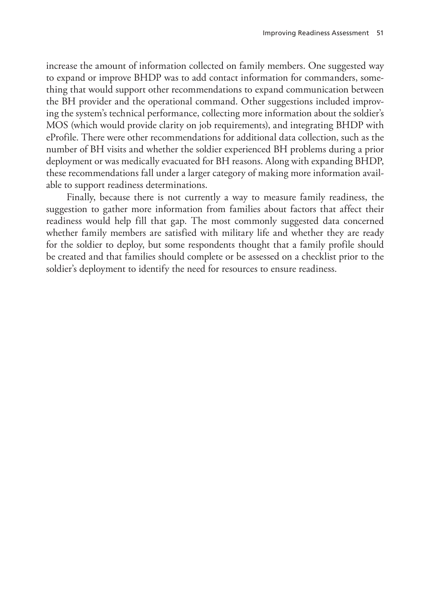increase the amount of information collected on family members. One suggested way to expand or improve BHDP was to add contact information for commanders, something that would support other recommendations to expand communication between the BH provider and the operational command. Other suggestions included improving the system's technical performance, collecting more information about the soldier's MOS (which would provide clarity on job requirements), and integrating BHDP with eProfile. There were other recommendations for additional data collection, such as the number of BH visits and whether the soldier experienced BH problems during a prior deployment or was medically evacuated for BH reasons. Along with expanding BHDP, these recommendations fall under a larger category of making more information available to support readiness determinations.

Finally, because there is not currently a way to measure family readiness, the suggestion to gather more information from families about factors that affect their readiness would help fill that gap. The most commonly suggested data concerned whether family members are satisfied with military life and whether they are ready for the soldier to deploy, but some respondents thought that a family profile should be created and that families should complete or be assessed on a checklist prior to the soldier's deployment to identify the need for resources to ensure readiness.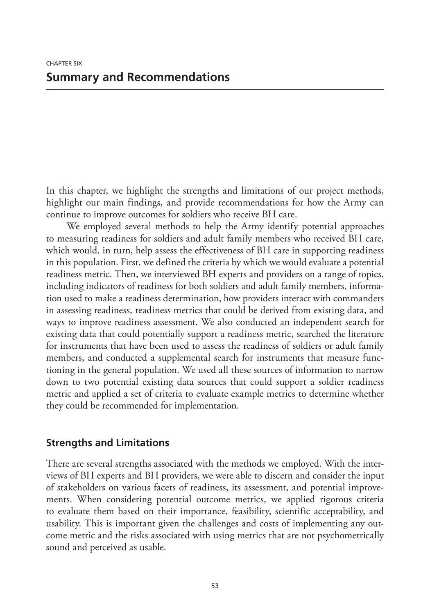In this chapter, we highlight the strengths and limitations of our project methods, highlight our main findings, and provide recommendations for how the Army can continue to improve outcomes for soldiers who receive BH care.

We employed several methods to help the Army identify potential approaches to measuring readiness for soldiers and adult family members who received BH care, which would, in turn, help assess the effectiveness of BH care in supporting readiness in this population. First, we defined the criteria by which we would evaluate a potential readiness metric. Then, we interviewed BH experts and providers on a range of topics, including indicators of readiness for both soldiers and adult family members, information used to make a readiness determination, how providers interact with commanders in assessing readiness, readiness metrics that could be derived from existing data, and ways to improve readiness assessment. We also conducted an independent search for existing data that could potentially support a readiness metric, searched the literature for instruments that have been used to assess the readiness of soldiers or adult family members, and conducted a supplemental search for instruments that measure functioning in the general population. We used all these sources of information to narrow down to two potential existing data sources that could support a soldier readiness metric and applied a set of criteria to evaluate example metrics to determine whether they could be recommended for implementation.

### **Strengths and Limitations**

There are several strengths associated with the methods we employed. With the interviews of BH experts and BH providers, we were able to discern and consider the input of stakeholders on various facets of readiness, its assessment, and potential improvements. When considering potential outcome metrics, we applied rigorous criteria to evaluate them based on their importance, feasibility, scientific acceptability, and usability. This is important given the challenges and costs of implementing any outcome metric and the risks associated with using metrics that are not psychometrically sound and perceived as usable.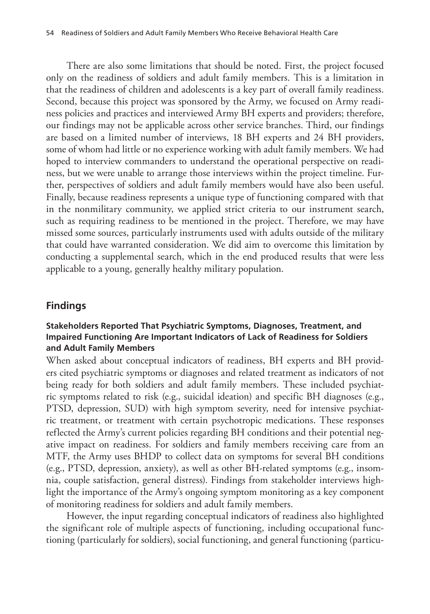There are also some limitations that should be noted. First, the project focused only on the readiness of soldiers and adult family members. This is a limitation in that the readiness of children and adolescents is a key part of overall family readiness. Second, because this project was sponsored by the Army, we focused on Army readiness policies and practices and interviewed Army BH experts and providers; therefore, our findings may not be applicable across other service branches. Third, our findings are based on a limited number of interviews, 18 BH experts and 24 BH providers, some of whom had little or no experience working with adult family members. We had hoped to interview commanders to understand the operational perspective on readiness, but we were unable to arrange those interviews within the project timeline. Further, perspectives of soldiers and adult family members would have also been useful. Finally, because readiness represents a unique type of functioning compared with that in the nonmilitary community, we applied strict criteria to our instrument search, such as requiring readiness to be mentioned in the project. Therefore, we may have missed some sources, particularly instruments used with adults outside of the military that could have warranted consideration. We did aim to overcome this limitation by conducting a supplemental search, which in the end produced results that were less applicable to a young, generally healthy military population.

### **Findings**

### **Stakeholders Reported That Psychiatric Symptoms, Diagnoses, Treatment, and Impaired Functioning Are Important Indicators of Lack of Readiness for Soldiers and Adult Family Members**

When asked about conceptual indicators of readiness, BH experts and BH providers cited psychiatric symptoms or diagnoses and related treatment as indicators of not being ready for both soldiers and adult family members. These included psychiatric symptoms related to risk (e.g., suicidal ideation) and specific BH diagnoses (e.g., PTSD, depression, SUD) with high symptom severity, need for intensive psychiatric treatment, or treatment with certain psychotropic medications. These responses reflected the Army's current policies regarding BH conditions and their potential negative impact on readiness. For soldiers and family members receiving care from an MTF, the Army uses BHDP to collect data on symptoms for several BH conditions (e.g., PTSD, depression, anxiety), as well as other BH-related symptoms (e.g., insomnia, couple satisfaction, general distress). Findings from stakeholder interviews highlight the importance of the Army's ongoing symptom monitoring as a key component of monitoring readiness for soldiers and adult family members.

However, the input regarding conceptual indicators of readiness also highlighted the significant role of multiple aspects of functioning, including occupational functioning (particularly for soldiers), social functioning, and general functioning (particu-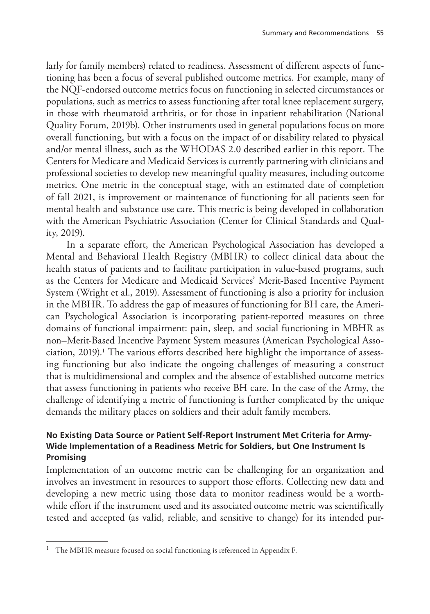larly for family members) related to readiness. Assessment of different aspects of functioning has been a focus of several published outcome metrics. For example, many of the NQF-endorsed outcome metrics focus on functioning in selected circumstances or populations, such as metrics to assess functioning after total knee replacement surgery, in those with rheumatoid arthritis, or for those in inpatient rehabilitation (National Quality Forum, 2019b). Other instruments used in general populations focus on more overall functioning, but with a focus on the impact of or disability related to physical and/or mental illness, such as the WHODAS 2.0 described earlier in this report. The Centers for Medicare and Medicaid Services is currently partnering with clinicians and professional societies to develop new meaningful quality measures, including outcome metrics. One metric in the conceptual stage, with an estimated date of completion of fall 2021, is improvement or maintenance of functioning for all patients seen for mental health and substance use care. This metric is being developed in collaboration with the American Psychiatric Association (Center for Clinical Standards and Quality, 2019).

In a separate effort, the American Psychological Association has developed a Mental and Behavioral Health Registry (MBHR) to collect clinical data about the health status of patients and to facilitate participation in value-based programs, such as the Centers for Medicare and Medicaid Services' Merit-Based Incentive Payment System (Wright et al., 2019). Assessment of functioning is also a priority for inclusion in the MBHR. To address the gap of measures of functioning for BH care, the American Psychological Association is incorporating patient-reported measures on three domains of functional impairment: pain, sleep, and social functioning in MBHR as non–Merit-Based Incentive Payment System measures (American Psychological Association, 2019).<sup>1</sup> The various efforts described here highlight the importance of assessing functioning but also indicate the ongoing challenges of measuring a construct that is multidimensional and complex and the absence of established outcome metrics that assess functioning in patients who receive BH care. In the case of the Army, the challenge of identifying a metric of functioning is further complicated by the unique demands the military places on soldiers and their adult family members.

### **No Existing Data Source or Patient Self-Report Instrument Met Criteria for Army-Wide Implementation of a Readiness Metric for Soldiers, but One Instrument Is Promising**

Implementation of an outcome metric can be challenging for an organization and involves an investment in resources to support those efforts. Collecting new data and developing a new metric using those data to monitor readiness would be a worthwhile effort if the instrument used and its associated outcome metric was scientifically tested and accepted (as valid, reliable, and sensitive to change) for its intended pur-

<sup>&</sup>lt;sup>1</sup> The MBHR measure focused on social functioning is referenced in Appendix F.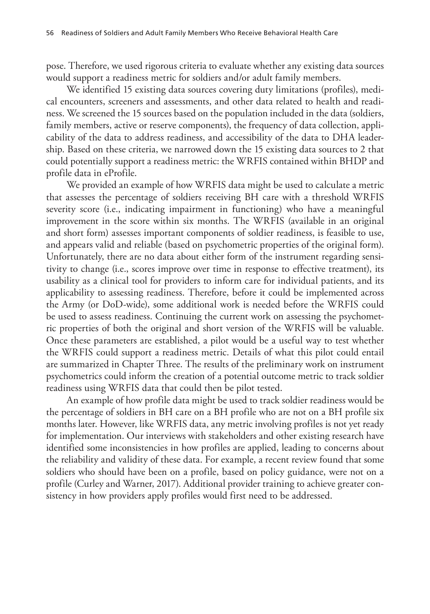pose. Therefore, we used rigorous criteria to evaluate whether any existing data sources would support a readiness metric for soldiers and/or adult family members.

We identified 15 existing data sources covering duty limitations (profiles), medical encounters, screeners and assessments, and other data related to health and readiness. We screened the 15 sources based on the population included in the data (soldiers, family members, active or reserve components), the frequency of data collection, applicability of the data to address readiness, and accessibility of the data to DHA leadership. Based on these criteria, we narrowed down the 15 existing data sources to 2 that could potentially support a readiness metric: the WRFIS contained within BHDP and profile data in eProfile.

We provided an example of how WRFIS data might be used to calculate a metric that assesses the percentage of soldiers receiving BH care with a threshold WRFIS severity score (i.e., indicating impairment in functioning) who have a meaningful improvement in the score within six months. The WRFIS (available in an original and short form) assesses important components of soldier readiness, is feasible to use, and appears valid and reliable (based on psychometric properties of the original form). Unfortunately, there are no data about either form of the instrument regarding sensitivity to change (i.e., scores improve over time in response to effective treatment), its usability as a clinical tool for providers to inform care for individual patients, and its applicability to assessing readiness. Therefore, before it could be implemented across the Army (or DoD-wide), some additional work is needed before the WRFIS could be used to assess readiness. Continuing the current work on assessing the psychometric properties of both the original and short version of the WRFIS will be valuable. Once these parameters are established, a pilot would be a useful way to test whether the WRFIS could support a readiness metric. Details of what this pilot could entail are summarized in Chapter Three. The results of the preliminary work on instrument psychometrics could inform the creation of a potential outcome metric to track soldier readiness using WRFIS data that could then be pilot tested.

An example of how profile data might be used to track soldier readiness would be the percentage of soldiers in BH care on a BH profile who are not on a BH profile six months later. However, like WRFIS data, any metric involving profiles is not yet ready for implementation. Our interviews with stakeholders and other existing research have identified some inconsistencies in how profiles are applied, leading to concerns about the reliability and validity of these data. For example, a recent review found that some soldiers who should have been on a profile, based on policy guidance, were not on a profile (Curley and Warner, 2017). Additional provider training to achieve greater consistency in how providers apply profiles would first need to be addressed.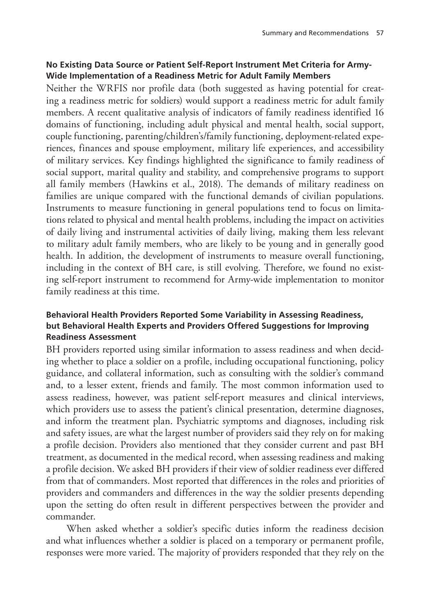### **No Existing Data Source or Patient Self-Report Instrument Met Criteria for Army-Wide Implementation of a Readiness Metric for Adult Family Members**

Neither the WRFIS nor profile data (both suggested as having potential for creating a readiness metric for soldiers) would support a readiness metric for adult family members. A recent qualitative analysis of indicators of family readiness identified 16 domains of functioning, including adult physical and mental health, social support, couple functioning, parenting/children's/family functioning, deployment-related experiences, finances and spouse employment, military life experiences, and accessibility of military services. Key findings highlighted the significance to family readiness of social support, marital quality and stability, and comprehensive programs to support all family members (Hawkins et al., 2018). The demands of military readiness on families are unique compared with the functional demands of civilian populations. Instruments to measure functioning in general populations tend to focus on limitations related to physical and mental health problems, including the impact on activities of daily living and instrumental activities of daily living, making them less relevant to military adult family members, who are likely to be young and in generally good health. In addition, the development of instruments to measure overall functioning, including in the context of BH care, is still evolving. Therefore, we found no existing self-report instrument to recommend for Army-wide implementation to monitor family readiness at this time.

### **Behavioral Health Providers Reported Some Variability in Assessing Readiness, but Behavioral Health Experts and Providers Offered Suggestions for Improving Readiness Assessment**

BH providers reported using similar information to assess readiness and when deciding whether to place a soldier on a profile, including occupational functioning, policy guidance, and collateral information, such as consulting with the soldier's command and, to a lesser extent, friends and family. The most common information used to assess readiness, however, was patient self-report measures and clinical interviews, which providers use to assess the patient's clinical presentation, determine diagnoses, and inform the treatment plan. Psychiatric symptoms and diagnoses, including risk and safety issues, are what the largest number of providers said they rely on for making a profile decision. Providers also mentioned that they consider current and past BH treatment, as documented in the medical record, when assessing readiness and making a profile decision. We asked BH providers if their view of soldier readiness ever differed from that of commanders. Most reported that differences in the roles and priorities of providers and commanders and differences in the way the soldier presents depending upon the setting do often result in different perspectives between the provider and commander.

When asked whether a soldier's specific duties inform the readiness decision and what influences whether a soldier is placed on a temporary or permanent profile, responses were more varied. The majority of providers responded that they rely on the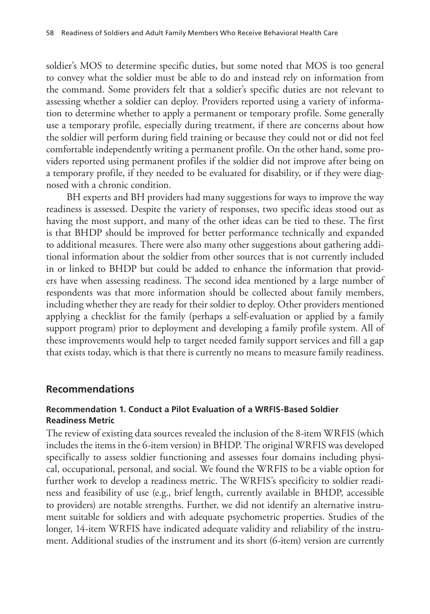soldier's MOS to determine specific duties, but some noted that MOS is too general to convey what the soldier must be able to do and instead rely on information from the command. Some providers felt that a soldier's specific duties are not relevant to assessing whether a soldier can deploy. Providers reported using a variety of information to determine whether to apply a permanent or temporary profile. Some generally use a temporary profile, especially during treatment, if there are concerns about how the soldier will perform during field training or because they could not or did not feel comfortable independently writing a permanent profile. On the other hand, some providers reported using permanent profiles if the soldier did not improve after being on a temporary profile, if they needed to be evaluated for disability, or if they were diagnosed with a chronic condition.

BH experts and BH providers had many suggestions for ways to improve the way readiness is assessed. Despite the variety of responses, two specific ideas stood out as having the most support, and many of the other ideas can be tied to these. The first is that BHDP should be improved for better performance technically and expanded to additional measures. There were also many other suggestions about gathering additional information about the soldier from other sources that is not currently included in or linked to BHDP but could be added to enhance the information that providers have when assessing readiness. The second idea mentioned by a large number of respondents was that more information should be collected about family members, including whether they are ready for their soldier to deploy. Other providers mentioned applying a checklist for the family (perhaps a self-evaluation or applied by a family support program) prior to deployment and developing a family profile system. All of these improvements would help to target needed family support services and fill a gap that exists today, which is that there is currently no means to measure family readiness.

### **Recommendations**

### **Recommendation 1. Conduct a Pilot Evaluation of a WRFIS-Based Soldier Readiness Metric**

The review of existing data sources revealed the inclusion of the 8-item WRFIS (which includes the items in the 6-item version) in BHDP. The original WRFIS was developed specifically to assess soldier functioning and assesses four domains including physical, occupational, personal, and social. We found the WRFIS to be a viable option for further work to develop a readiness metric. The WRFIS's specificity to soldier readiness and feasibility of use (e.g., brief length, currently available in BHDP, accessible to providers) are notable strengths. Further, we did not identify an alternative instrument suitable for soldiers and with adequate psychometric properties. Studies of the longer, 14-item WRFIS have indicated adequate validity and reliability of the instrument. Additional studies of the instrument and its short (6-item) version are currently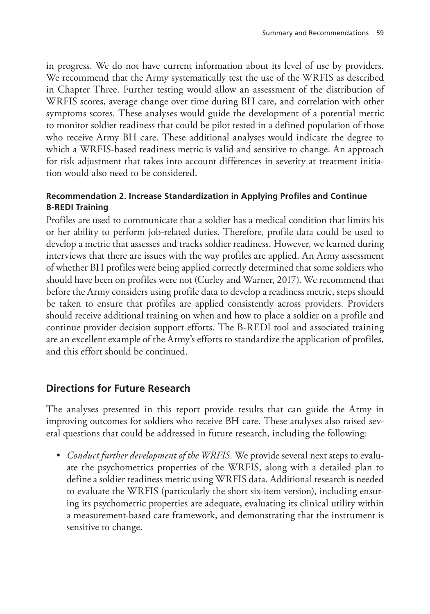in progress. We do not have current information about its level of use by providers. We recommend that the Army systematically test the use of the WRFIS as described in Chapter Three. Further testing would allow an assessment of the distribution of WRFIS scores, average change over time during BH care, and correlation with other symptoms scores. These analyses would guide the development of a potential metric to monitor soldier readiness that could be pilot tested in a defined population of those who receive Army BH care. These additional analyses would indicate the degree to which a WRFIS-based readiness metric is valid and sensitive to change. An approach for risk adjustment that takes into account differences in severity at treatment initiation would also need to be considered.

### **Recommendation 2. Increase Standardization in Applying Profiles and Continue B-REDI Training**

Profiles are used to communicate that a soldier has a medical condition that limits his or her ability to perform job-related duties. Therefore, profile data could be used to develop a metric that assesses and tracks soldier readiness. However, we learned during interviews that there are issues with the way profiles are applied. An Army assessment of whether BH profiles were being applied correctly determined that some soldiers who should have been on profiles were not (Curley and Warner, 2017). We recommend that before the Army considers using profile data to develop a readiness metric, steps should be taken to ensure that profiles are applied consistently across providers. Providers should receive additional training on when and how to place a soldier on a profile and continue provider decision support efforts. The B-REDI tool and associated training are an excellent example of the Army's efforts to standardize the application of profiles, and this effort should be continued.

### **Directions for Future Research**

The analyses presented in this report provide results that can guide the Army in improving outcomes for soldiers who receive BH care. These analyses also raised several questions that could be addressed in future research, including the following:

• *Conduct further development of the WRFIS.* We provide several next steps to evaluate the psychometrics properties of the WRFIS, along with a detailed plan to define a soldier readiness metric using WRFIS data. Additional research is needed to evaluate the WRFIS (particularly the short six-item version), including ensuring its psychometric properties are adequate, evaluating its clinical utility within a measurement-based care framework, and demonstrating that the instrument is sensitive to change.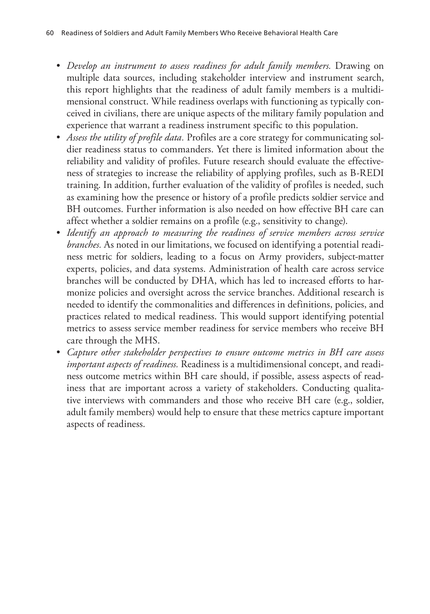- *Develop an instrument to assess readiness for adult family members.* Drawing on multiple data sources, including stakeholder interview and instrument search, this report highlights that the readiness of adult family members is a multidimensional construct. While readiness overlaps with functioning as typically conceived in civilians, there are unique aspects of the military family population and experience that warrant a readiness instrument specific to this population.
- *Assess the utility of profile data.* Profiles are a core strategy for communicating soldier readiness status to commanders. Yet there is limited information about the reliability and validity of profiles. Future research should evaluate the effectiveness of strategies to increase the reliability of applying profiles, such as B-REDI training. In addition, further evaluation of the validity of profiles is needed, such as examining how the presence or history of a profile predicts soldier service and BH outcomes. Further information is also needed on how effective BH care can affect whether a soldier remains on a profile (e.g., sensitivity to change).
- *Identify an approach to measuring the readiness of service members across service branches.* As noted in our limitations, we focused on identifying a potential readiness metric for soldiers, leading to a focus on Army providers, subject-matter experts, policies, and data systems. Administration of health care across service branches will be conducted by DHA, which has led to increased efforts to harmonize policies and oversight across the service branches. Additional research is needed to identify the commonalities and differences in definitions, policies, and practices related to medical readiness. This would support identifying potential metrics to assess service member readiness for service members who receive BH care through the MHS.
- *Capture other stakeholder perspectives to ensure outcome metrics in BH care assess important aspects of readiness.* Readiness is a multidimensional concept, and readiness outcome metrics within BH care should, if possible, assess aspects of readiness that are important across a variety of stakeholders. Conducting qualitative interviews with commanders and those who receive BH care (e.g., soldier, adult family members) would help to ensure that these metrics capture important aspects of readiness.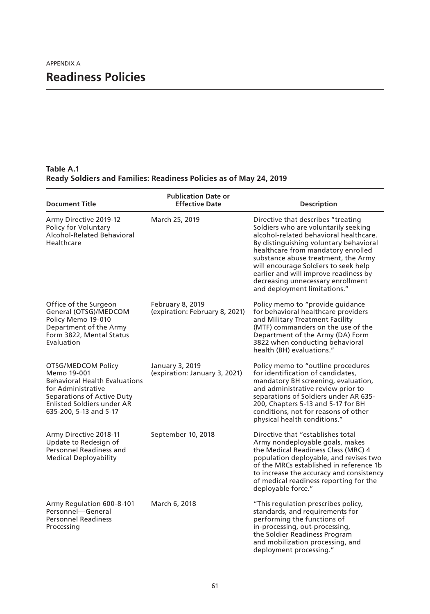**Table A.1 Ready Soldiers and Families: Readiness Policies as of May 24, 2019**

| <b>Document Title</b>                                                                                                                                                                        | <b>Publication Date or</b><br><b>Effective Date</b> | <b>Description</b>                                                                                                                                                                                                                                                                                                                                                                                |
|----------------------------------------------------------------------------------------------------------------------------------------------------------------------------------------------|-----------------------------------------------------|---------------------------------------------------------------------------------------------------------------------------------------------------------------------------------------------------------------------------------------------------------------------------------------------------------------------------------------------------------------------------------------------------|
| Army Directive 2019-12<br>Policy for Voluntary<br>Alcohol-Related Behavioral<br>Healthcare                                                                                                   | March 25, 2019                                      | Directive that describes "treating<br>Soldiers who are voluntarily seeking<br>alcohol-related behavioral healthcare.<br>By distinguishing voluntary behavioral<br>healthcare from mandatory enrolled<br>substance abuse treatment, the Army<br>will encourage Soldiers to seek help<br>earlier and will improve readiness by<br>decreasing unnecessary enrollment<br>and deployment limitations." |
| Office of the Surgeon<br>General (OTSG)/MEDCOM<br>Policy Memo 19-010<br>Department of the Army<br>Form 3822, Mental Status<br>Evaluation                                                     | February 8, 2019<br>(expiration: February 8, 2021)  | Policy memo to "provide guidance<br>for behavioral healthcare providers<br>and Military Treatment Facility<br>(MTF) commanders on the use of the<br>Department of the Army (DA) Form<br>3822 when conducting behavioral<br>health (BH) evaluations."                                                                                                                                              |
| OTSG/MEDCOM Policy<br>Memo 19-001<br><b>Behavioral Health Evaluations</b><br>for Administrative<br>Separations of Active Duty<br><b>Enlisted Soldiers under AR</b><br>635-200, 5-13 and 5-17 | January 3, 2019<br>(expiration: January 3, 2021)    | Policy memo to "outline procedures<br>for identification of candidates,<br>mandatory BH screening, evaluation,<br>and administrative review prior to<br>separations of Soldiers under AR 635-<br>200, Chapters 5-13 and 5-17 for BH<br>conditions, not for reasons of other<br>physical health conditions."                                                                                       |
| Army Directive 2018-11<br>Update to Redesign of<br>Personnel Readiness and<br><b>Medical Deployability</b>                                                                                   | September 10, 2018                                  | Directive that "establishes total<br>Army nondeployable goals, makes<br>the Medical Readiness Class (MRC) 4<br>population deployable, and revises two<br>of the MRCs established in reference 1b<br>to increase the accuracy and consistency<br>of medical readiness reporting for the<br>deployable force."                                                                                      |
| Army Regulation 600-8-101<br>Personnel-General<br><b>Personnel Readiness</b><br>Processing                                                                                                   | March 6, 2018                                       | "This regulation prescribes policy,<br>standards, and requirements for<br>performing the functions of<br>in-processing, out-processing,<br>the Soldier Readiness Program<br>and mobilization processing, and<br>deployment processing."                                                                                                                                                           |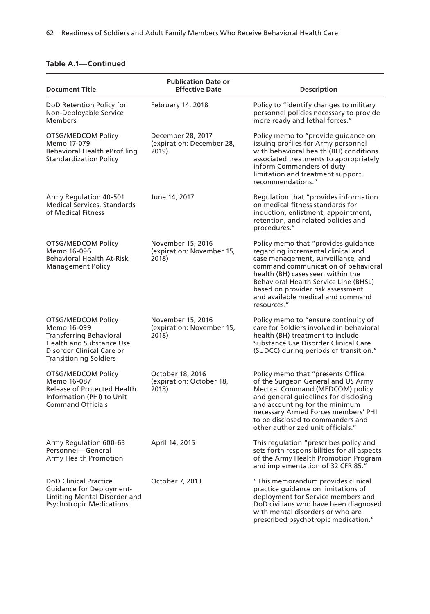| <b>Document Title</b>                                                                                                                                         | <b>Publication Date or</b><br><b>Effective Date</b>     | <b>Description</b>                                                                                                                                                                                                                                                                                                                   |
|---------------------------------------------------------------------------------------------------------------------------------------------------------------|---------------------------------------------------------|--------------------------------------------------------------------------------------------------------------------------------------------------------------------------------------------------------------------------------------------------------------------------------------------------------------------------------------|
| DoD Retention Policy for<br>Non-Deployable Service<br>Members                                                                                                 | February 14, 2018                                       | Policy to "identify changes to military<br>personnel policies necessary to provide<br>more ready and lethal forces."                                                                                                                                                                                                                 |
| OTSG/MEDCOM Policy<br>Memo 17-079<br><b>Behavioral Health eProfiling</b><br>Standardization Policy                                                            | December 28, 2017<br>(expiration: December 28,<br>2019) | Policy memo to "provide guidance on<br>issuing profiles for Army personnel<br>with behavioral health (BH) conditions<br>associated treatments to appropriately<br>inform Commanders of duty<br>limitation and treatment support<br>recommendations."                                                                                 |
| Army Regulation 40-501<br><b>Medical Services, Standards</b><br>of Medical Fitness                                                                            | June 14, 2017                                           | Regulation that "provides information<br>on medical fitness standards for<br>induction, enlistment, appointment,<br>retention, and related policies and<br>procedures."                                                                                                                                                              |
| OTSG/MEDCOM Policy<br>Memo 16-096<br>Behavioral Health At-Risk<br><b>Management Policy</b>                                                                    | November 15, 2016<br>(expiration: November 15,<br>2018) | Policy memo that "provides guidance<br>regarding incremental clinical and<br>case management, surveillance, and<br>command communication of behavioral<br>health (BH) cases seen within the<br><b>Behavioral Health Service Line (BHSL)</b><br>based on provider risk assessment<br>and available medical and command<br>resources." |
| OTSG/MEDCOM Policy<br>Memo 16-099<br>Transferring Behavioral<br><b>Health and Substance Use</b><br>Disorder Clinical Care or<br><b>Transitioning Soldiers</b> | November 15, 2016<br>(expiration: November 15,<br>2018) | Policy memo to "ensure continuity of<br>care for Soldiers involved in behavioral<br>health (BH) treatment to include<br>Substance Use Disorder Clinical Care<br>(SUDCC) during periods of transition."                                                                                                                               |
| OTSG/MEDCOM Policy<br>Memo 16-087<br><b>Release of Protected Health</b><br>Information (PHI) to Unit<br><b>Command Officials</b>                              | October 18, 2016<br>(expiration: October 18,<br>2018)   | Policy memo that "presents Office<br>of the Surgeon General and US Army<br>Medical Command (MEDCOM) policy<br>and general guidelines for disclosing<br>and accounting for the minimum<br>necessary Armed Forces members' PHI<br>to be disclosed to commanders and<br>other authorized unit officials."                               |
| Army Regulation 600-63<br>Personnel-General<br>Army Health Promotion                                                                                          | April 14, 2015                                          | This regulation "prescribes policy and<br>sets forth responsibilities for all aspects<br>of the Army Health Promotion Program<br>and implementation of 32 CFR 85."                                                                                                                                                                   |
| <b>DoD Clinical Practice</b><br><b>Guidance for Deployment-</b><br>Limiting Mental Disorder and<br><b>Psychotropic Medications</b>                            | October 7, 2013                                         | "This memorandum provides clinical<br>practice quidance on limitations of<br>deployment for Service members and<br>DoD civilians who have been diagnosed<br>with mental disorders or who are<br>prescribed psychotropic medication."                                                                                                 |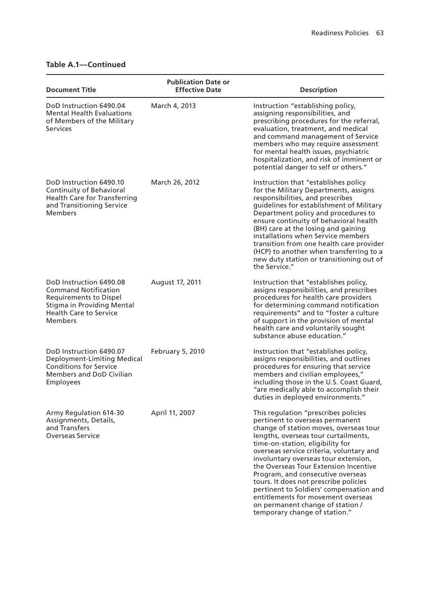| <b>Document Title</b>                                                                                                                                                    | <b>Publication Date or</b><br><b>Effective Date</b> | <b>Description</b>                                                                                                                                                                                                                                                                                                                                                                                                                                                                                                                                             |
|--------------------------------------------------------------------------------------------------------------------------------------------------------------------------|-----------------------------------------------------|----------------------------------------------------------------------------------------------------------------------------------------------------------------------------------------------------------------------------------------------------------------------------------------------------------------------------------------------------------------------------------------------------------------------------------------------------------------------------------------------------------------------------------------------------------------|
| DoD Instruction 6490.04<br><b>Mental Health Evaluations</b><br>of Members of the Military<br><b>Services</b>                                                             | March 4, 2013                                       | Instruction "establishing policy,<br>assigning responsibilities, and<br>prescribing procedures for the referral,<br>evaluation, treatment, and medical<br>and command management of Service<br>members who may require assessment<br>for mental health issues, psychiatric<br>hospitalization, and risk of imminent or<br>potential danger to self or others."                                                                                                                                                                                                 |
| DoD Instruction 6490.10<br>Continuity of Behavioral<br><b>Health Care for Transferring</b><br>and Transitioning Service<br>Members                                       | March 26, 2012                                      | Instruction that "establishes policy<br>for the Military Departments, assigns<br>responsibilities, and prescribes<br>quidelines for establishment of Military<br>Department policy and procedures to<br>ensure continuity of behavioral health<br>(BH) care at the losing and gaining<br>installations when Service members<br>transition from one health care provider<br>(HCP) to another when transferring to a<br>new duty station or transitioning out of<br>the Service."                                                                                |
| DoD Instruction 6490.08<br><b>Command Notification</b><br><b>Requirements to Dispel</b><br>Stigma in Providing Mental<br><b>Health Care to Service</b><br><b>Members</b> | August 17, 2011                                     | Instruction that "establishes policy,<br>assigns responsibilities, and prescribes<br>procedures for health care providers<br>for determining command notification<br>requirements" and to "foster a culture<br>of support in the provision of mental<br>health care and voluntarily sought<br>substance abuse education."                                                                                                                                                                                                                                      |
| DoD Instruction 6490.07<br>Deployment-Limiting Medical<br><b>Conditions for Service</b><br><b>Members and DoD Civilian</b><br>Employees                                  | <b>February 5, 2010</b>                             | Instruction that "establishes policy,<br>assigns responsibilities, and outlines<br>procedures for ensuring that service<br>members and civilian employees,"<br>including those in the U.S. Coast Guard,<br>"are medically able to accomplish their<br>duties in deployed environments."                                                                                                                                                                                                                                                                        |
| Army Regulation 614-30<br>Assignments, Details,<br>and Transfers<br><b>Overseas Service</b>                                                                              | April 11, 2007                                      | This regulation "prescribes policies<br>pertinent to overseas permanent<br>change of station moves, overseas tour<br>lengths, overseas tour curtailments,<br>time-on-station, eligibility for<br>overseas service criteria, voluntary and<br>involuntary overseas tour extension,<br>the Overseas Tour Extension Incentive<br>Program, and consecutive overseas<br>tours. It does not prescribe policies<br>pertinent to Soldiers' compensation and<br>entitlements for movement overseas<br>on permanent change of station /<br>temporary change of station." |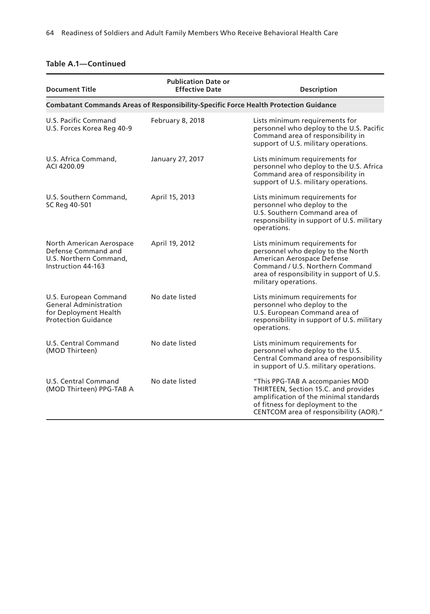| <b>Document Title</b>                                                                                         | <b>Publication Date or</b><br><b>Effective Date</b>                                         | <b>Description</b>                                                                                                                                                                                        |
|---------------------------------------------------------------------------------------------------------------|---------------------------------------------------------------------------------------------|-----------------------------------------------------------------------------------------------------------------------------------------------------------------------------------------------------------|
|                                                                                                               | <b>Combatant Commands Areas of Responsibility-Specific Force Health Protection Guidance</b> |                                                                                                                                                                                                           |
| U.S. Pacific Command<br>U.S. Forces Korea Reg 40-9                                                            | February 8, 2018                                                                            | Lists minimum requirements for<br>personnel who deploy to the U.S. Pacific<br>Command area of responsibility in<br>support of U.S. military operations.                                                   |
| U.S. Africa Command,<br>ACI 4200.09                                                                           | January 27, 2017                                                                            | Lists minimum requirements for<br>personnel who deploy to the U.S. Africa<br>Command area of responsibility in<br>support of U.S. military operations.                                                    |
| U.S. Southern Command,<br>SC Reg 40-501                                                                       | April 15, 2013                                                                              | Lists minimum requirements for<br>personnel who deploy to the<br>U.S. Southern Command area of<br>responsibility in support of U.S. military<br>operations.                                               |
| North American Aerospace<br>Defense Command and<br>U.S. Northern Command,<br>Instruction 44-163               | April 19, 2012                                                                              | Lists minimum requirements for<br>personnel who deploy to the North<br>American Aerospace Defense<br>Command / U.S. Northern Command<br>area of responsibility in support of U.S.<br>military operations. |
| U.S. European Command<br><b>General Administration</b><br>for Deployment Health<br><b>Protection Guidance</b> | No date listed                                                                              | Lists minimum requirements for<br>personnel who deploy to the<br>U.S. European Command area of<br>responsibility in support of U.S. military<br>operations.                                               |
| U.S. Central Command<br>(MOD Thirteen)                                                                        | No date listed                                                                              | Lists minimum requirements for<br>personnel who deploy to the U.S.<br>Central Command area of responsibility<br>in support of U.S. military operations.                                                   |
| U.S. Central Command<br>(MOD Thirteen) PPG-TAB A                                                              | No date listed                                                                              | "This PPG-TAB A accompanies MOD<br>THIRTEEN, Section 15.C. and provides<br>amplification of the minimal standards<br>of fitness for deployment to the<br>CENTCOM area of responsibility (AOR)."           |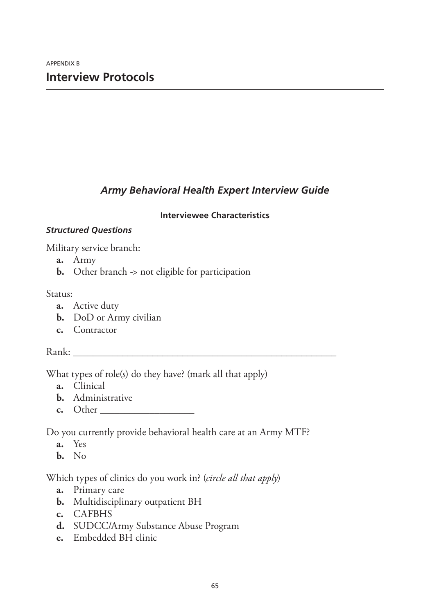### *Army Behavioral Health Expert Interview Guide*

### **Interviewee Characteristics**

### *Structured Questions*

Military service branch:

- **a.** Army
- **b.** Other branch -> not eligible for participation

### Status:

- **a.** Active duty
- **b.** DoD or Army civilian
- **c.** Contractor

### $Rank:$

What types of role(s) do they have? (mark all that apply)

- **a.** Clinical
- **b.** Administrative
- **c.** Other \_\_\_\_\_\_\_\_\_\_\_\_\_\_\_\_\_\_\_

Do you currently provide behavioral health care at an Army MTF?

- **a.** Yes
- **b.** No

Which types of clinics do you work in? (*circle all that apply*)

- **a.** Primary care
- **b.** Multidisciplinary outpatient BH
- **c.** CAFBHS
- **d.** SUDCC/Army Substance Abuse Program
- **e.** Embedded BH clinic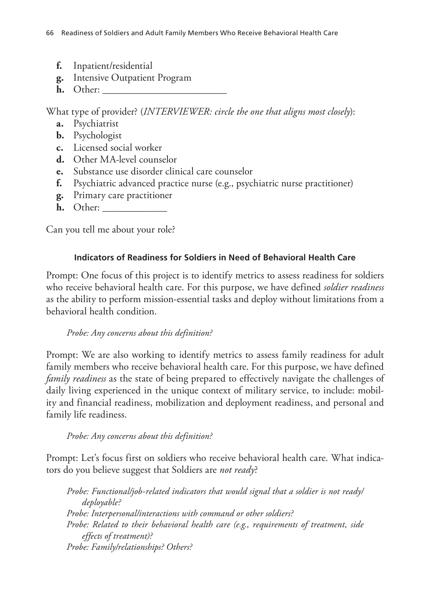- **f.** Inpatient/residential
- **g.** Intensive Outpatient Program
- **h.** Other: \_\_\_\_\_\_\_\_\_\_\_\_\_\_\_\_\_\_\_\_\_\_\_\_\_

What type of provider? (*INTERVIEWER: circle the one that aligns most closely*):

- **a.** Psychiatrist
- **b.** Psychologist
- **c.** Licensed social worker
- **d.** Other MA-level counselor
- **e.** Substance use disorder clinical care counselor
- **f.** Psychiatric advanced practice nurse (e.g., psychiatric nurse practitioner)
- **g.** Primary care practitioner
- **h.** Other: \_\_\_\_\_\_\_\_\_\_\_\_\_

Can you tell me about your role?

### **Indicators of Readiness for Soldiers in Need of Behavioral Health Care**

Prompt: One focus of this project is to identify metrics to assess readiness for soldiers who receive behavioral health care. For this purpose, we have defined *soldier readiness* as the ability to perform mission-essential tasks and deploy without limitations from a behavioral health condition.

### *Probe: Any concerns about this definition?*

Prompt: We are also working to identify metrics to assess family readiness for adult family members who receive behavioral health care. For this purpose, we have defined *family readiness* as the state of being prepared to effectively navigate the challenges of daily living experienced in the unique context of military service, to include: mobility and financial readiness, mobilization and deployment readiness, and personal and family life readiness.

### *Probe: Any concerns about this definition?*

Prompt: Let's focus first on soldiers who receive behavioral health care. What indicators do you believe suggest that Soldiers are *not ready*?

*Probe: Functional/job-related indicators that would signal that a soldier is not ready/ deployable? Probe: Interpersonal/interactions with command or other soldiers? Probe: Related to their behavioral health care (e.g., requirements of treatment, side effects of treatment)? Probe: Family/relationships? Others?*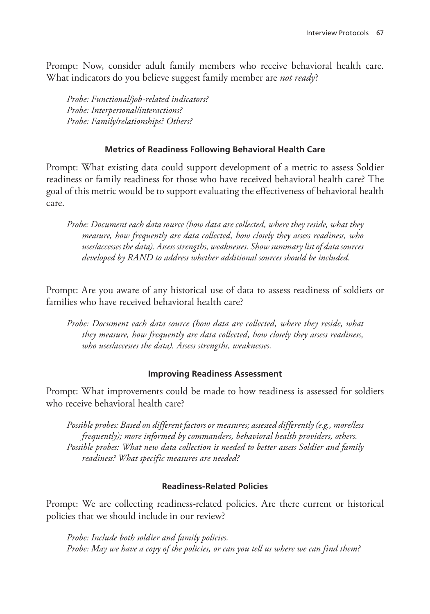Prompt: Now, consider adult family members who receive behavioral health care. What indicators do you believe suggest family member are *not ready*?

*Probe: Functional/job-related indicators? Probe: Interpersonal/interactions? Probe: Family/relationships? Others?*

### **Metrics of Readiness Following Behavioral Health Care**

Prompt: What existing data could support development of a metric to assess Soldier readiness or family readiness for those who have received behavioral health care? The goal of this metric would be to support evaluating the effectiveness of behavioral health care.

*Probe: Document each data source (how data are collected, where they reside, what they measure, how frequently are data collected, how closely they assess readiness, who uses/accesses the data). Assess strengths, weaknesses. Show summary list of data sources developed by RAND to address whether additional sources should be included.*

Prompt: Are you aware of any historical use of data to assess readiness of soldiers or families who have received behavioral health care?

Probe: Document each data source (how data are collected, where they reside, what *they measure, how frequently are data collected, how closely they assess readiness, who uses/accesses the data). Assess strengths, weaknesses.*

### **Improving Readiness Assessment**

Prompt: What improvements could be made to how readiness is assessed for soldiers who receive behavioral health care?

*Possible probes: Based on different factors or measures; assessed differently (e.g., more/less frequently); more informed by commanders, behavioral health providers, others. Possible probes: What new data collection is needed to better assess Soldier and family readiness? What specific measures are needed?*

### **Readiness-Related Policies**

Prompt: We are collecting readiness-related policies. Are there current or historical policies that we should include in our review?

*Probe: Include both soldier and family policies. Probe: May we have a copy of the policies, or can you tell us where we can find them?*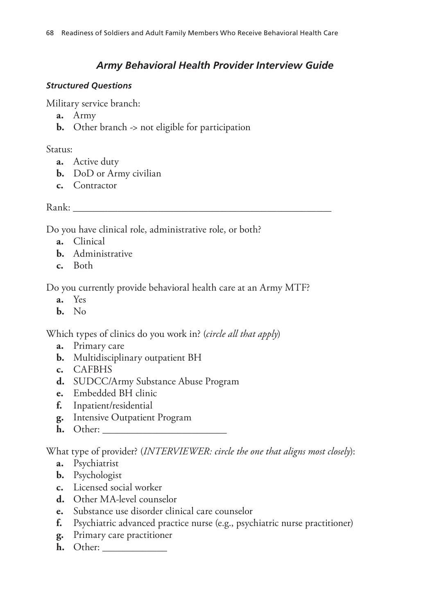### *Army Behavioral Health Provider Interview Guide*

### *Structured Questions*

Military service branch:

- **a.** Army
- **b.** Other branch -> not eligible for participation

Status:

- **a.** Active duty
- **b.** DoD or Army civilian
- **c.** Contractor

Rank: \_\_\_\_\_\_\_\_\_\_\_\_\_\_\_\_\_\_\_\_\_\_\_\_\_\_\_\_\_\_\_\_\_\_\_\_\_\_\_\_\_\_\_\_\_\_\_\_\_\_\_\_

Do you have clinical role, administrative role, or both?

- **a.** Clinical
- **b.** Administrative
- **c.** Both

Do you currently provide behavioral health care at an Army MTF?

- **a.** Yes
- **b.** No

Which types of clinics do you work in? (*circle all that apply*)

- **a.** Primary care
- **b.** Multidisciplinary outpatient BH
- **c.** CAFBHS
- **d.** SUDCC/Army Substance Abuse Program
- **e.** Embedded BH clinic
- **f.** Inpatient/residential
- **g.** Intensive Outpatient Program
- **h.** Other: \_\_\_\_\_\_\_\_\_\_\_\_\_\_\_\_\_\_\_\_\_\_\_\_\_

What type of provider? (*INTERVIEWER: circle the one that aligns most closely*):

- **a.** Psychiatrist
- **b.** Psychologist
- **c.** Licensed social worker
- **d.** Other MA-level counselor
- **e.** Substance use disorder clinical care counselor
- **f.** Psychiatric advanced practice nurse (e.g., psychiatric nurse practitioner)
- **g.** Primary care practitioner
- **h.** Other: \_\_\_\_\_\_\_\_\_\_\_\_\_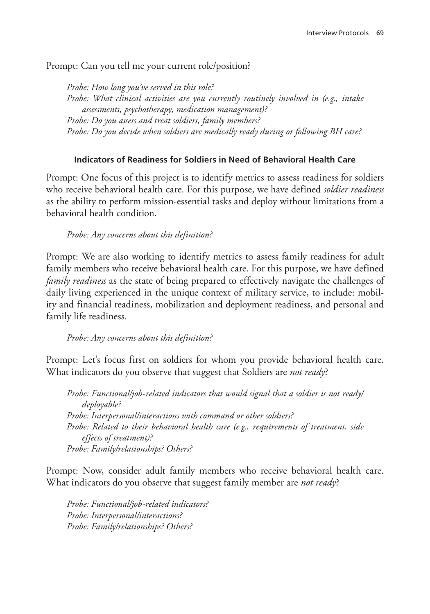Prompt: Can you tell me your current role/position?

*Probe: How long you've served in this role? Probe: What clinical activities are you currently routinely involved in (e.g., intake assessments, psychotherapy, medication management)? Probe: Do you assess and treat soldiers, family members? Probe: Do you decide when soldiers are medically ready during or following BH care?*

### **Indicators of Readiness for Soldiers in Need of Behavioral Health Care**

Prompt: One focus of this project is to identify metrics to assess readiness for soldiers who receive behavioral health care. For this purpose, we have defined *soldier readiness* as the ability to perform mission-essential tasks and deploy without limitations from a behavioral health condition.

### *Probe: Any concerns about this definition?*

Prompt: We are also working to identify metrics to assess family readiness for adult family members who receive behavioral health care. For this purpose, we have defined *family readiness* as the state of being prepared to effectively navigate the challenges of daily living experienced in the unique context of military service, to include: mobility and financial readiness, mobilization and deployment readiness, and personal and family life readiness.

### *Probe: Any concerns about this definition?*

Prompt: Let's focus first on soldiers for whom you provide behavioral health care. What indicators do you observe that suggest that Soldiers are *not ready*?

*Probe: Functional/job-related indicators that would signal that a soldier is not ready/ deployable? Probe: Interpersonal/interactions with command or other soldiers? Probe: Related to their behavioral health care (e.g., requirements of treatment, side effects of treatment)? Probe: Family/relationships? Others?*

Prompt: Now, consider adult family members who receive behavioral health care. What indicators do you observe that suggest family member are *not ready*?

*Probe: Functional/job-related indicators? Probe: Interpersonal/interactions? Probe: Family/relationships? Others?*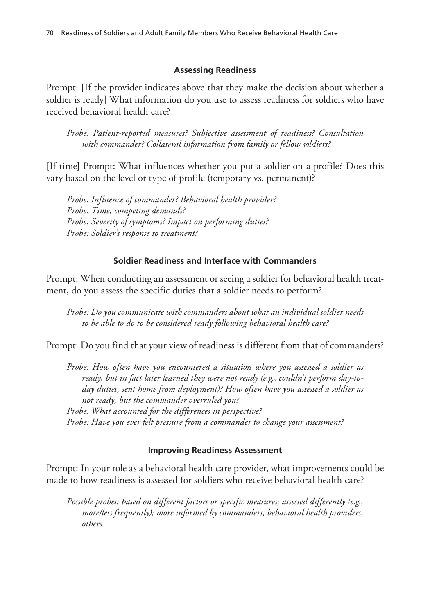### **Assessing Readiness**

Prompt: [If the provider indicates above that they make the decision about whether a soldier is ready] What information do you use to assess readiness for soldiers who have received behavioral health care?

*Probe: Patient-reported measures? Subjective assessment of readiness? Consultation with commander? Collateral information from family or fellow soldiers?*

[If time] Prompt: What influences whether you put a soldier on a profile? Does this vary based on the level or type of profile (temporary vs. permanent)?

*Probe: Influence of commander? Behavioral health provider? Probe: Time, competing demands? Probe: Severity of symptoms? Impact on performing duties? Probe: Soldier's response to treatment?*

### **Soldier Readiness and Interface with Commanders**

Prompt: When conducting an assessment or seeing a soldier for behavioral health treatment, do you assess the specific duties that a soldier needs to perform?

*Probe: Do you communicate with commanders about what an individual soldier needs to be able to do to be considered ready following behavioral health care?*

Prompt: Do you find that your view of readiness is different from that of commanders?

*Probe: How often have you encountered a situation where you assessed a soldier as ready, but in fact later learned they were not ready (e.g., couldn't perform day-today duties, sent home from deployment)? How often have you assessed a soldier as not ready, but the commander overruled you? Probe: What accounted for the differences in perspective? Probe: Have you ever felt pressure from a commander to change your assessment?*

### **Improving Readiness Assessment**

Prompt: In your role as a behavioral health care provider, what improvements could be made to how readiness is assessed for soldiers who receive behavioral health care?

*Possible probes: based on different factors or specific measures; assessed differently (e.g., more/less frequently); more informed by commanders, behavioral health providers, others.*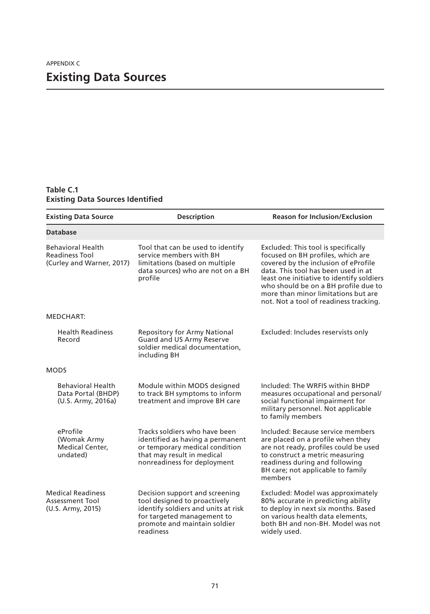### **Table C.1 Existing Data Sources Identified**

| <b>Existing Data Source</b>                                             | <b>Description</b>                                                                                                                                                               | <b>Reason for Inclusion/Exclusion</b>                                                                                                                                                                                                                                                                                         |
|-------------------------------------------------------------------------|----------------------------------------------------------------------------------------------------------------------------------------------------------------------------------|-------------------------------------------------------------------------------------------------------------------------------------------------------------------------------------------------------------------------------------------------------------------------------------------------------------------------------|
| <b>Database</b>                                                         |                                                                                                                                                                                  |                                                                                                                                                                                                                                                                                                                               |
| <b>Behavioral Health</b><br>Readiness Tool<br>(Curley and Warner, 2017) | Tool that can be used to identify<br>service members with BH<br>limitations (based on multiple<br>data sources) who are not on a BH<br>profile                                   | Excluded: This tool is specifically<br>focused on BH profiles, which are<br>covered by the inclusion of eProfile<br>data. This tool has been used in at<br>least one initiative to identify soldiers<br>who should be on a BH profile due to<br>more than minor limitations but are<br>not. Not a tool of readiness tracking. |
| MEDCHART:                                                               |                                                                                                                                                                                  |                                                                                                                                                                                                                                                                                                                               |
| <b>Health Readiness</b><br>Record                                       | <b>Repository for Army National</b><br>Guard and US Army Reserve<br>soldier medical documentation,<br>including BH                                                               | Excluded: Includes reservists only                                                                                                                                                                                                                                                                                            |
| <b>MODS</b>                                                             |                                                                                                                                                                                  |                                                                                                                                                                                                                                                                                                                               |
| <b>Behavioral Health</b><br>Data Portal (BHDP)<br>(U.S. Army, 2016a)    | Module within MODS designed<br>to track BH symptoms to inform<br>treatment and improve BH care                                                                                   | Included: The WRFIS within BHDP<br>measures occupational and personal/<br>social functional impairment for<br>military personnel. Not applicable<br>to family members                                                                                                                                                         |
| eProfile<br>(Womak Army<br>Medical Center,<br>undated)                  | Tracks soldiers who have been<br>identified as having a permanent<br>or temporary medical condition<br>that may result in medical<br>nonreadiness for deployment                 | Included: Because service members<br>are placed on a profile when they<br>are not ready, profiles could be used<br>to construct a metric measuring<br>readiness during and following<br>BH care; not applicable to family<br>members                                                                                          |
| <b>Medical Readiness</b><br><b>Assessment Tool</b><br>(U.S. Army, 2015) | Decision support and screening<br>tool designed to proactively<br>identify soldiers and units at risk<br>for targeted management to<br>promote and maintain soldier<br>readiness | Excluded: Model was approximately<br>80% accurate in predicting ability<br>to deploy in next six months. Based<br>on various health data elements,<br>both BH and non-BH. Model was not<br>widely used.                                                                                                                       |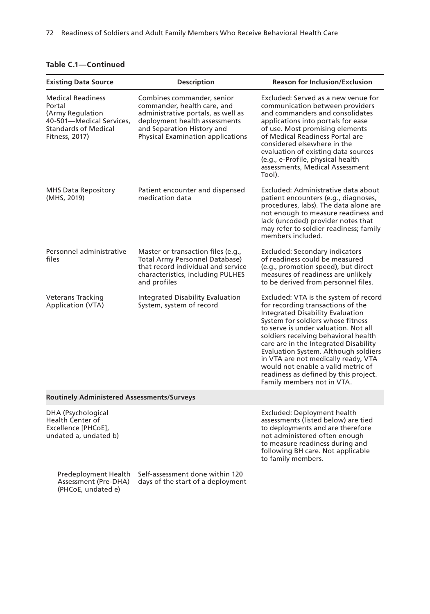| Table C.1-Continued |  |  |  |  |  |
|---------------------|--|--|--|--|--|
|---------------------|--|--|--|--|--|

(PHCoE, undated e)

| <b>Existing Data Source</b>                                                                                                         | <b>Description</b>                                                                                                                                                                                         | <b>Reason for Inclusion/Exclusion</b>                                                                                                                                                                                                                                                                                                                                                                                                                                           |
|-------------------------------------------------------------------------------------------------------------------------------------|------------------------------------------------------------------------------------------------------------------------------------------------------------------------------------------------------------|---------------------------------------------------------------------------------------------------------------------------------------------------------------------------------------------------------------------------------------------------------------------------------------------------------------------------------------------------------------------------------------------------------------------------------------------------------------------------------|
| <b>Medical Readiness</b><br>Portal<br>(Army Regulation<br>40-501-Medical Services,<br><b>Standards of Medical</b><br>Fitness, 2017) | Combines commander, senior<br>commander, health care, and<br>administrative portals, as well as<br>deployment health assessments<br>and Separation History and<br><b>Physical Examination applications</b> | Excluded: Served as a new venue for<br>communication between providers<br>and commanders and consolidates<br>applications into portals for ease<br>of use. Most promising elements<br>of Medical Readiness Portal are<br>considered elsewhere in the<br>evaluation of existing data sources<br>(e.g., e-Profile, physical health<br>assessments, Medical Assessment<br>Tool).                                                                                                   |
| <b>MHS Data Repository</b><br>(MHS, 2019)                                                                                           | Patient encounter and dispensed<br>medication data                                                                                                                                                         | Excluded: Administrative data about<br>patient encounters (e.g., diagnoses,<br>procedures, labs). The data alone are<br>not enough to measure readiness and<br>lack (uncoded) provider notes that<br>may refer to soldier readiness; family<br>members included.                                                                                                                                                                                                                |
| Personnel administrative<br>files                                                                                                   | Master or transaction files (e.g.,<br><b>Total Army Personnel Database)</b><br>that record individual and service<br>characteristics, including PULHES<br>and profiles                                     | <b>Excluded: Secondary indicators</b><br>of readiness could be measured<br>(e.g., promotion speed), but direct<br>measures of readiness are unlikely<br>to be derived from personnel files.                                                                                                                                                                                                                                                                                     |
| Veterans Tracking<br>Application (VTA)                                                                                              | Integrated Disability Evaluation<br>System, system of record                                                                                                                                               | Excluded: VTA is the system of record<br>for recording transactions of the<br><b>Integrated Disability Evaluation</b><br>System for soldiers whose fitness<br>to serve is under valuation. Not all<br>soldiers receiving behavioral health<br>care are in the Integrated Disability<br>Evaluation System. Although soldiers<br>in VTA are not medically ready, VTA<br>would not enable a valid metric of<br>readiness as defined by this project.<br>Family members not in VTA. |
| <b>Routinely Administered Assessments/Surveys</b>                                                                                   |                                                                                                                                                                                                            |                                                                                                                                                                                                                                                                                                                                                                                                                                                                                 |
| DHA (Psychological<br><b>Health Center of</b><br>Excellence [PHCoE],<br>undated a, undated b)                                       |                                                                                                                                                                                                            | Excluded: Deployment health<br>assessments (listed below) are tied<br>to deployments and are therefore<br>not administered often enough<br>to measure readiness during and<br>following BH care. Not applicable<br>to family members.                                                                                                                                                                                                                                           |
| <b>Predeployment Health</b><br>Assessment (Pre-DHA)<br>$\sqrt{N}$<br>۱۰ او مقصاد می                                                 | Self-assessment done within 120<br>days of the start of a deployment                                                                                                                                       |                                                                                                                                                                                                                                                                                                                                                                                                                                                                                 |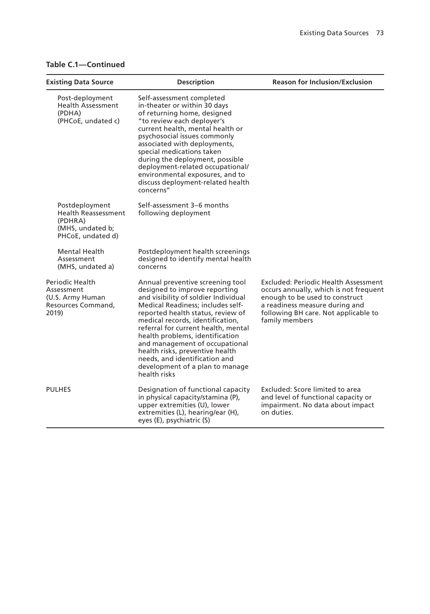|  |  | <b>Table C.1-Continued</b> |  |
|--|--|----------------------------|--|
|--|--|----------------------------|--|

| <b>Existing Data Source</b>                                                                      | <b>Description</b>                                                                                                                                                                                                                                                                                                                                                                                                                                         | <b>Reason for Inclusion/Exclusion</b>                                                                                                                                                                               |
|--------------------------------------------------------------------------------------------------|------------------------------------------------------------------------------------------------------------------------------------------------------------------------------------------------------------------------------------------------------------------------------------------------------------------------------------------------------------------------------------------------------------------------------------------------------------|---------------------------------------------------------------------------------------------------------------------------------------------------------------------------------------------------------------------|
| Post-deployment<br><b>Health Assessment</b><br>(PDHA)<br>(PHCoE, undated c)                      | Self-assessment completed<br>in-theater or within 30 days<br>of returning home, designed<br>"to review each deployer's<br>current health, mental health or<br>psychosocial issues commonly<br>associated with deployments,<br>special medications taken<br>during the deployment, possible<br>deployment-related occupational/<br>environmental exposures, and to<br>discuss deployment-related health<br>concerns"                                        |                                                                                                                                                                                                                     |
| Postdeployment<br><b>Health Reassessment</b><br>(PDHRA)<br>(MHS, undated b;<br>PHCoE, undated d) | Self-assessment 3–6 months<br>following deployment                                                                                                                                                                                                                                                                                                                                                                                                         |                                                                                                                                                                                                                     |
| Mental Health<br>Assessment<br>(MHS, undated a)                                                  | Postdeployment health screenings<br>designed to identify mental health<br>concerns                                                                                                                                                                                                                                                                                                                                                                         |                                                                                                                                                                                                                     |
| Periodic Health<br>Assessment<br>(U.S. Army Human<br>Resources Command,<br>2019)                 | Annual preventive screening tool<br>designed to improve reporting<br>and visibility of soldier Individual<br>Medical Readiness; includes self-<br>reported health status, review of<br>medical records, identification,<br>referral for current health, mental<br>health problems, identification<br>and management of occupational<br>health risks, preventive health<br>needs, and identification and<br>development of a plan to manage<br>health risks | <b>Excluded: Periodic Health Assessment</b><br>occurs annually, which is not frequent<br>enough to be used to construct<br>a readiness measure during and<br>following BH care. Not applicable to<br>family members |
| <b>PULHES</b>                                                                                    | Designation of functional capacity<br>in physical capacity/stamina (P),<br>upper extremities (U), lower<br>extremities (L), hearing/ear (H),<br>eyes (E), psychiatric (S)                                                                                                                                                                                                                                                                                  | Excluded: Score limited to area<br>and level of functional capacity or<br>impairment. No data about impact<br>on duties.                                                                                            |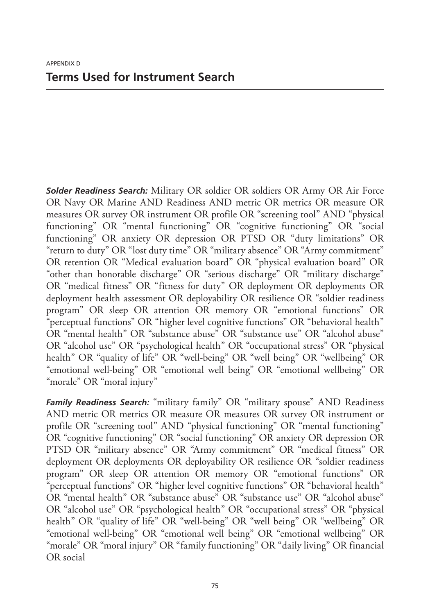*Solder Readiness Search:* Military OR soldier OR soldiers OR Army OR Air Force OR Navy OR Marine AND Readiness AND metric OR metrics OR measure OR measures OR survey OR instrument OR profile OR "screening tool" AND "physical functioning" OR "mental functioning" OR "cognitive functioning" OR "social functioning" OR anxiety OR depression OR PTSD OR "duty limitations" OR "return to duty" OR "lost duty time" OR "military absence" OR "Army commitment" OR retention OR "Medical evaluation board" OR "physical evaluation board" OR "other than honorable discharge" OR "serious discharge" OR "military discharge" OR "medical fitness" OR "fitness for duty" OR deployment OR deployments OR deployment health assessment OR deployability OR resilience OR "soldier readiness program" OR sleep OR attention OR memory OR "emotional functions" OR "perceptual functions" OR "higher level cognitive functions" OR "behavioral health" OR "mental health" OR "substance abuse" OR "substance use" OR "alcohol abuse" OR "alcohol use" OR "psychological health" OR "occupational stress" OR "physical health" OR "quality of life" OR "well-being" OR "well being" OR "wellbeing" OR "emotional well-being" OR "emotional well being" OR "emotional wellbeing" OR "morale" OR "moral injury"

*Family Readiness Search:* "military family" OR "military spouse" AND Readiness AND metric OR metrics OR measure OR measures OR survey OR instrument or profile OR "screening tool" AND "physical functioning" OR "mental functioning" OR "cognitive functioning" OR "social functioning" OR anxiety OR depression OR PTSD OR "military absence" OR "Army commitment" OR "medical fitness" OR deployment OR deployments OR deployability OR resilience OR "soldier readiness program" OR sleep OR attention OR memory OR "emotional functions" OR "perceptual functions" OR "higher level cognitive functions" OR "behavioral health" OR "mental health" OR "substance abuse" OR "substance use" OR "alcohol abuse" OR "alcohol use" OR "psychological health" OR "occupational stress" OR "physical health" OR "quality of life" OR "well-being" OR "well being" OR "wellbeing" OR "emotional well-being" OR "emotional well being" OR "emotional wellbeing" OR "morale" OR "moral injury" OR "family functioning" OR "daily living" OR financial OR social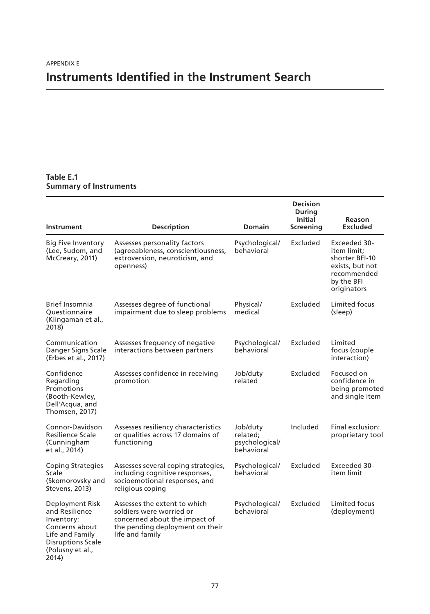## **Instruments Identified in the Instrument Search**

### **Table E.1 Summary of Instruments**

| Instrument                                                                                                                                    | <b>Description</b>                                                                                                                              | <b>Domain</b>                                        | <b>Decision</b><br><b>During</b><br>Initial<br><b>Screening</b> | Reason<br><b>Excluded</b>                                                                                    |
|-----------------------------------------------------------------------------------------------------------------------------------------------|-------------------------------------------------------------------------------------------------------------------------------------------------|------------------------------------------------------|-----------------------------------------------------------------|--------------------------------------------------------------------------------------------------------------|
| <b>Big Five Inventory</b><br>(Lee, Sudom, and<br>McCreary, 2011)                                                                              | Assesses personality factors<br>(agreeableness, conscientiousness,<br>extroversion, neuroticism, and<br>openness)                               | Psychological/<br>behavioral                         | Excluded                                                        | Exceeded 30-<br>item limit:<br>shorter BFI-10<br>exists, but not<br>recommended<br>by the BFI<br>originators |
| <b>Brief Insomnia</b><br>Ouestionnaire<br>(Klingaman et al.,<br>2018)                                                                         | Assesses degree of functional<br>impairment due to sleep problems                                                                               | Physical/<br>medical                                 | Excluded                                                        | Limited focus<br>(sleep)                                                                                     |
| Communication<br>Danger Signs Scale<br>(Erbes et al., 2017)                                                                                   | Assesses frequency of negative<br>interactions between partners                                                                                 | Psychological/<br>behavioral                         | Excluded                                                        | Limited<br>focus (couple<br>interaction)                                                                     |
| Confidence<br>Regarding<br>Promotions<br>(Booth-Kewley,<br>Dell'Acqua, and<br>Thomsen, 2017)                                                  | Assesses confidence in receiving<br>promotion                                                                                                   | Job/duty<br>related                                  | Excluded                                                        | Focused on<br>confidence in<br>being promoted<br>and single item                                             |
| Connor-Davidson<br><b>Resilience Scale</b><br>(Cunningham<br>et al., 2014)                                                                    | Assesses resiliency characteristics<br>or qualities across 17 domains of<br>functioning                                                         | Job/duty<br>related;<br>psychological/<br>behavioral | Included                                                        | Final exclusion:<br>proprietary tool                                                                         |
| <b>Coping Strategies</b><br>Scale<br>(Skomorovsky and<br>Stevens, 2013)                                                                       | Assesses several coping strategies,<br>including cognitive responses,<br>socioemotional responses, and<br>religious coping                      | Psychological/<br>behavioral                         | Excluded                                                        | Exceeded 30-<br>item limit                                                                                   |
| Deployment Risk<br>and Resilience<br>Inventory:<br>Concerns about<br>Life and Family<br><b>Disruptions Scale</b><br>(Polusny et al.,<br>2014) | Assesses the extent to which<br>soldiers were worried or<br>concerned about the impact of<br>the pending deployment on their<br>life and family | Psychological/<br>behavioral                         | Excluded                                                        | Limited focus<br>(deployment)                                                                                |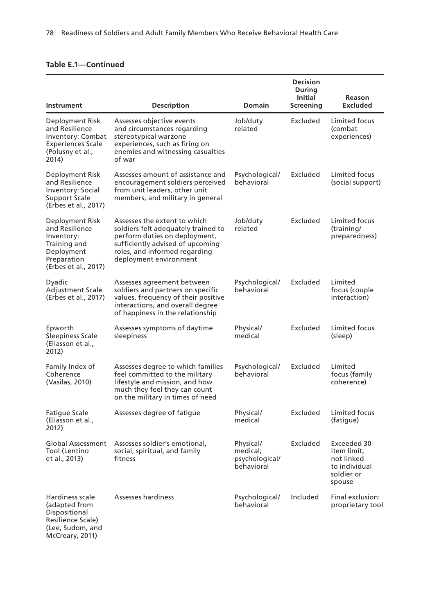| Instrument                                                                                                           | <b>Description</b>                                                                                                                                                                                  | <b>Domain</b>                                         | <b>Decision</b><br>During<br><b>Initial</b><br>Screening | Reason<br><b>Excluded</b>                                                          |
|----------------------------------------------------------------------------------------------------------------------|-----------------------------------------------------------------------------------------------------------------------------------------------------------------------------------------------------|-------------------------------------------------------|----------------------------------------------------------|------------------------------------------------------------------------------------|
| Deployment Risk<br>and Resilience<br>Inventory: Combat<br><b>Experiences Scale</b><br>(Polusny et al.,<br>2014)      | Assesses objective events<br>and circumstances regarding<br>stereotypical warzone<br>experiences, such as firing on<br>enemies and witnessing casualties<br>of war                                  | Job/duty<br>related                                   | Excluded                                                 | Limited focus<br>(combat<br>experiences)                                           |
| Deployment Risk<br>and Resilience<br>Inventory: Social<br><b>Support Scale</b><br>(Erbes et al., 2017)               | Assesses amount of assistance and<br>encouragement soldiers perceived<br>from unit leaders, other unit<br>members, and military in general                                                          | Psychological/<br>behavioral                          | Excluded                                                 | Limited focus<br>(social support)                                                  |
| Deployment Risk<br>and Resilience<br>Inventory:<br>Training and<br>Deployment<br>Preparation<br>(Erbes et al., 2017) | Assesses the extent to which<br>soldiers felt adequately trained to<br>perform duties on deployment,<br>sufficiently advised of upcoming<br>roles, and informed regarding<br>deployment environment | Job/duty<br>related                                   | Excluded                                                 | Limited focus<br>(training/<br>preparedness)                                       |
| Dyadic<br><b>Adjustment Scale</b><br>(Erbes et al., 2017)                                                            | Assesses agreement between<br>soldiers and partners on specific<br>values, frequency of their positive<br>interactions, and overall degree<br>of happiness in the relationship                      | Psychological/<br>behavioral                          | Excluded                                                 | Limited<br>focus (couple<br>interaction)                                           |
| Epworth<br><b>Sleepiness Scale</b><br>(Eliasson et al.,<br>2012)                                                     | Assesses symptoms of daytime<br>sleepiness                                                                                                                                                          | Physical/<br>medical                                  | Excluded                                                 | Limited focus<br>(sleep)                                                           |
| Family Index of<br>Coherence<br>(Vasilas, 2010)                                                                      | Assesses degree to which families<br>feel committed to the military<br>lifestyle and mission, and how<br>much they feel they can count<br>on the military in times of need                          | Psychological/<br>behavioral                          | Excluded                                                 | Limited<br>focus (family<br>coherence)                                             |
| Fatigue Scale<br>(Eliasson et al.,<br>2012)                                                                          | Assesses degree of fatigue                                                                                                                                                                          | Physical/<br>medical                                  | Excluded                                                 | Limited focus<br>(fatigue)                                                         |
| Global Assessment<br>Tool (Lentino<br>et al., 2013)                                                                  | Assesses soldier's emotional,<br>social, spiritual, and family<br>fitness                                                                                                                           | Physical/<br>medical;<br>psychological/<br>behavioral | Excluded                                                 | Exceeded 30-<br>item limit,<br>not linked<br>to individual<br>soldier or<br>spouse |
| Hardiness scale<br>(adapted from<br>Dispositional<br>Resilience Scale)<br>(Lee, Sudom, and                           | Assesses hardiness                                                                                                                                                                                  | Psychological/<br>behavioral                          | Included                                                 | Final exclusion:<br>proprietary tool                                               |

McCreary, 2011)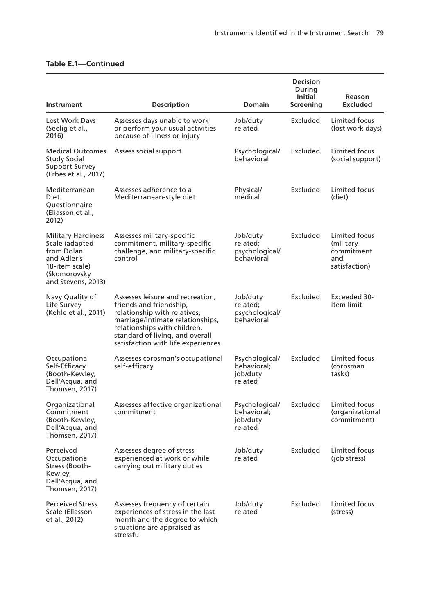|                                                                                                                                  |                                                                                                                                                                                                                                          |                                                      | <b>Decision</b><br>During   |                                                                  |
|----------------------------------------------------------------------------------------------------------------------------------|------------------------------------------------------------------------------------------------------------------------------------------------------------------------------------------------------------------------------------------|------------------------------------------------------|-----------------------------|------------------------------------------------------------------|
| Instrument                                                                                                                       | <b>Description</b>                                                                                                                                                                                                                       | <b>Domain</b>                                        | <b>Initial</b><br>Screening | Reason<br><b>Excluded</b>                                        |
| Lost Work Days<br>(Seelig et al.,<br>2016)                                                                                       | Assesses days unable to work<br>or perform your usual activities<br>because of illness or injury                                                                                                                                         | Job/duty<br>related                                  | Excluded                    | Limited focus<br>(lost work days)                                |
| <b>Medical Outcomes</b><br>Study Social<br><b>Support Survey</b><br>(Erbes et al., 2017)                                         | Assess social support                                                                                                                                                                                                                    | Psychological/<br>behavioral                         | Excluded                    | Limited focus<br>(social support)                                |
| Mediterranean<br>Diet<br>Questionnaire<br>(Eliasson et al.,<br>2012)                                                             | Assesses adherence to a<br>Mediterranean-style diet                                                                                                                                                                                      | Physical/<br>medical                                 | Excluded                    | Limited focus<br>(diet)                                          |
| <b>Military Hardiness</b><br>Scale (adapted<br>from Dolan<br>and Adler's<br>18-item scale)<br>(Skomorovsky<br>and Stevens, 2013) | Assesses military-specific<br>commitment, military-specific<br>challenge, and military-specific<br>control                                                                                                                               | Job/duty<br>related;<br>psychological/<br>behavioral | Excluded                    | Limited focus<br>(military<br>commitment<br>and<br>satisfaction) |
| Navy Quality of<br>Life Survey<br>(Kehle et al., 2011)                                                                           | Assesses leisure and recreation,<br>friends and friendship,<br>relationship with relatives,<br>marriage/intimate relationships,<br>relationships with children,<br>standard of living, and overall<br>satisfaction with life experiences | Job/duty<br>related;<br>psychological/<br>behavioral | Excluded                    | Exceeded 30-<br>item limit                                       |
| Occupational<br>Self-Efficacy<br>(Booth-Kewley,<br>Dell'Acqua, and<br>Thomsen, 2017)                                             | Assesses corpsman's occupational<br>self-efficacy                                                                                                                                                                                        | Psychological/<br>behavioral;<br>job/duty<br>related | Excluded                    | Limited focus<br>(corpsman<br>tasks)                             |
| Organizational<br>Commitment<br>(Booth-Kewley,<br>Dell'Acqua, and<br>Thomsen, 2017)                                              | Assesses affective organizational<br>commitment                                                                                                                                                                                          | Psychological/<br>behavioral;<br>job/duty<br>related | Excluded                    | Limited focus<br>(organizational<br>commitment)                  |
| Perceived<br>Occupational<br>Stress (Booth-<br>Kewley,<br>Dell'Acqua, and<br>Thomsen, 2017)                                      | Assesses dearee of stress<br>experienced at work or while<br>carrying out military duties                                                                                                                                                | Job/duty<br>related                                  | Excluded                    | Limited focus<br>(job stress)                                    |
| <b>Perceived Stress</b><br>Scale (Eliasson<br>et al., 2012)                                                                      | Assesses frequency of certain<br>experiences of stress in the last<br>month and the degree to which<br>situations are appraised as<br>stressful                                                                                          | Job/duty<br>related                                  | Excluded                    | Limited focus<br>(stress)                                        |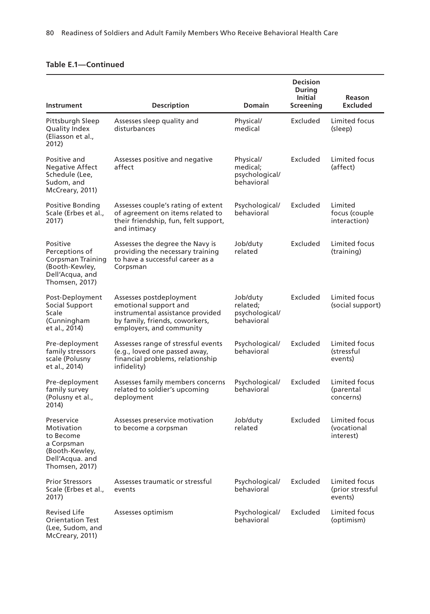|                                                                                                               |                                                                                                                                                    |                                                       | <b>Decision</b><br>During<br><b>Initial</b> | Reason                                       |
|---------------------------------------------------------------------------------------------------------------|----------------------------------------------------------------------------------------------------------------------------------------------------|-------------------------------------------------------|---------------------------------------------|----------------------------------------------|
| Instrument                                                                                                    | <b>Description</b>                                                                                                                                 | <b>Domain</b>                                         | Screening                                   | <b>Excluded</b>                              |
| Pittsburgh Sleep<br>Quality Index<br>(Eliasson et al.,<br>2012)                                               | Assesses sleep quality and<br>disturbances                                                                                                         | Physical/<br>medical                                  | Excluded                                    | Limited focus<br>(sleep)                     |
| Positive and<br><b>Negative Affect</b><br>Schedule (Lee,<br>Sudom, and<br>McCreary, 2011)                     | Assesses positive and negative<br>affect                                                                                                           | Physical/<br>medical;<br>psychological/<br>behavioral | Excluded                                    | Limited focus<br>(affect)                    |
| Positive Bonding<br>Scale (Erbes et al.,<br>2017)                                                             | Assesses couple's rating of extent<br>of agreement on items related to<br>their friendship, fun, felt support,<br>and intimacy                     | Psychological/<br>behavioral                          | Excluded                                    | Limited<br>focus (couple<br>interaction)     |
| Positive<br>Perceptions of<br><b>Corpsman Training</b><br>(Booth-Kewley,<br>Dell'Acqua, and<br>Thomsen, 2017) | Assesses the degree the Navy is<br>providing the necessary training<br>to have a successful career as a<br>Corpsman                                | Job/duty<br>related                                   | Excluded                                    | Limited focus<br>(training)                  |
| Post-Deployment<br>Social Support<br>Scale<br>(Cunningham<br>et al., 2014)                                    | Assesses postdeployment<br>emotional support and<br>instrumental assistance provided<br>by family, friends, coworkers,<br>employers, and community | Job/duty<br>related;<br>psychological/<br>behavioral  | Excluded                                    | Limited focus<br>(social support)            |
| Pre-deployment<br>family stressors<br>scale (Polusny<br>et al., 2014)                                         | Assesses range of stressful events<br>(e.g., loved one passed away,<br>financial problems, relationship<br>infidelity)                             | Psychological/<br>behavioral                          | Excluded                                    | Limited focus<br>(stressful<br>events)       |
| Pre-deployment<br>family survey<br>(Polusny et al.,<br>2014)                                                  | Assesses family members concerns<br>related to soldier's upcoming<br>deployment                                                                    | Psychological/<br>behavioral                          | Excluded                                    | Limited focus<br>(parental<br>concerns)      |
| Preservice<br>Motivation<br>to Become<br>a Corpsman<br>(Booth-Kewley,<br>Dell'Acqua. and<br>Thomsen, 2017)    | Assesses preservice motivation<br>to become a corpsman                                                                                             | Job/duty<br>related                                   | Excluded                                    | Limited focus<br>(vocational<br>interest)    |
| <b>Prior Stressors</b><br>Scale (Erbes et al.,<br>2017)                                                       | Assesses traumatic or stressful<br>events                                                                                                          | Psychological/<br>behavioral                          | Excluded                                    | Limited focus<br>(prior stressful<br>events) |
| <b>Revised Life</b><br><b>Orientation Test</b><br>(Lee, Sudom, and<br>McCreary, 2011)                         | Assesses optimism                                                                                                                                  | Psychological/<br>hehavioral                          | Excluded                                    | Limited focus<br>(optimism)                  |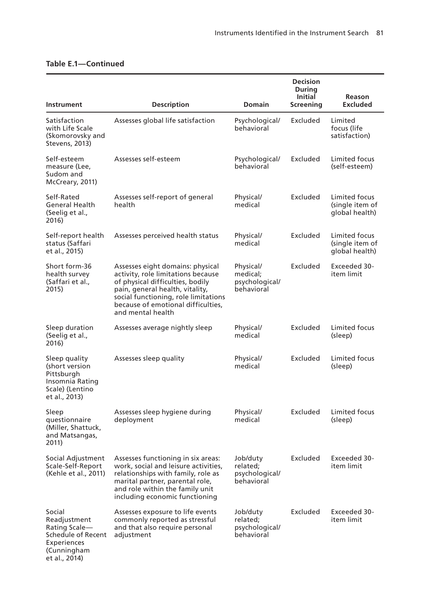|                                                                                                              |                                                                                                                                                                                                                                                  |                                                       | <b>Decision</b><br>During<br><b>Initial</b> | Reason                                             |
|--------------------------------------------------------------------------------------------------------------|--------------------------------------------------------------------------------------------------------------------------------------------------------------------------------------------------------------------------------------------------|-------------------------------------------------------|---------------------------------------------|----------------------------------------------------|
| Instrument                                                                                                   | <b>Description</b>                                                                                                                                                                                                                               | <b>Domain</b>                                         | Screening                                   | <b>Excluded</b>                                    |
| Satisfaction<br>with Life Scale<br>(Skomorovsky and<br>Stevens, 2013)                                        | Assesses global life satisfaction                                                                                                                                                                                                                | Psychological/<br>behavioral                          | Excluded                                    | Limited<br>focus (life<br>satisfaction)            |
| Self-esteem<br>measure (Lee,<br>Sudom and<br>McCreary, 2011)                                                 | Assesses self-esteem                                                                                                                                                                                                                             | Psychological/<br>behavioral                          | Excluded                                    | Limited focus<br>(self-esteem)                     |
| Self-Rated<br>General Health<br>(Seelig et al.,<br>2016)                                                     | Assesses self-report of general<br>health                                                                                                                                                                                                        | Physical/<br>medical                                  | Excluded                                    | Limited focus<br>(single item of<br>global health) |
| Self-report health<br>status (Saffari<br>et al., 2015)                                                       | Assesses perceived health status                                                                                                                                                                                                                 | Physical/<br>medical                                  | Excluded                                    | Limited focus<br>(single item of<br>global health) |
| Short form-36<br>health survey<br>(Saffari et al.,<br>2015)                                                  | Assesses eight domains: physical<br>activity, role limitations because<br>of physical difficulties, bodily<br>pain, general health, vitality,<br>social functioning, role limitations<br>because of emotional difficulties,<br>and mental health | Physical/<br>medical;<br>psychological/<br>behavioral | Excluded                                    | Exceeded 30-<br>item limit                         |
| Sleep duration<br>(Seelig et al.,<br>2016)                                                                   | Assesses average nightly sleep                                                                                                                                                                                                                   | Physical/<br>medical                                  | Excluded                                    | Limited focus<br>(sleep)                           |
| Sleep quality<br>(short version<br>Pittsburgh<br>Insomnia Rating<br>Scale) (Lentino<br>et al., 2013)         | Assesses sleep quality                                                                                                                                                                                                                           | Physical/<br>medical                                  | Excluded                                    | Limited focus<br>(sleep)                           |
| Sleep<br>questionnaire<br>(Miller, Shattuck,<br>and Matsangas,<br>2011)                                      | Assesses sleep hygiene during<br>deployment                                                                                                                                                                                                      | Physical/<br>medical                                  | Excluded                                    | Limited focus<br>(sleep)                           |
| Social Adjustment<br>Scale-Self-Report<br>(Kehle et al., 2011)                                               | Assesses functioning in six areas:<br>work, social and leisure activities,<br>relationships with family, role as<br>marital partner, parental role,<br>and role within the family unit<br>including economic functioning                         | Job/duty<br>related;<br>psychological/<br>behavioral  |                                             | Excluded Exceeded 30-<br>item limit                |
| Social<br>Readjustment<br>Rating Scale-<br>Schedule of Recent<br>Experiences<br>(Cunningham<br>et al., 2014) | Assesses exposure to life events<br>commonly reported as stressful<br>and that also require personal<br>adjustment                                                                                                                               | Job/duty<br>related:<br>psychological/<br>behavioral  | Excluded                                    | Exceeded 30-<br>item limit                         |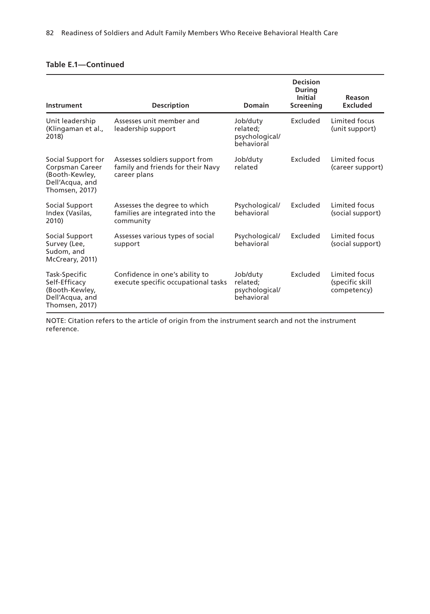| Instrument                                                                                   | <b>Description</b>                                                                  | Domain                                               | <b>Decision</b><br><b>During</b><br>Initial<br><b>Screening</b> | Reason<br><b>Excluded</b>                       |
|----------------------------------------------------------------------------------------------|-------------------------------------------------------------------------------------|------------------------------------------------------|-----------------------------------------------------------------|-------------------------------------------------|
| Unit leadership<br>(Klingaman et al.,<br>2018)                                               | Assesses unit member and<br>leadership support                                      | Job/duty<br>related;<br>psychological/<br>behavioral | Excluded                                                        | Limited focus<br>(unit support)                 |
| Social Support for<br>Corpsman Career<br>(Booth-Kewley,<br>Dell'Acqua, and<br>Thomsen, 2017) | Assesses soldiers support from<br>family and friends for their Navy<br>career plans | Job/duty<br>related                                  | Excluded                                                        | Limited focus<br>(career support)               |
| Social Support<br>Index (Vasilas,<br>2010)                                                   | Assesses the degree to which<br>families are integrated into the<br>community       | Psychological/<br>behavioral                         | Excluded                                                        | Limited focus<br>(social support)               |
| Social Support<br>Survey (Lee,<br>Sudom, and<br>McCreary, 2011)                              | Assesses various types of social<br>support                                         | Psychological/<br>behavioral                         | Excluded                                                        | Limited focus<br>(social support)               |
| Task-Specific<br>Self-Efficacy<br>(Booth-Kewley,<br>Dell'Acqua, and<br>Thomsen, 2017)        | Confidence in one's ability to<br>execute specific occupational tasks               | Job/duty<br>related:<br>psychological/<br>behavioral | Excluded                                                        | Limited focus<br>(specific skill<br>competency) |

NOTE: Citation refers to the article of origin from the instrument search and not the instrument reference.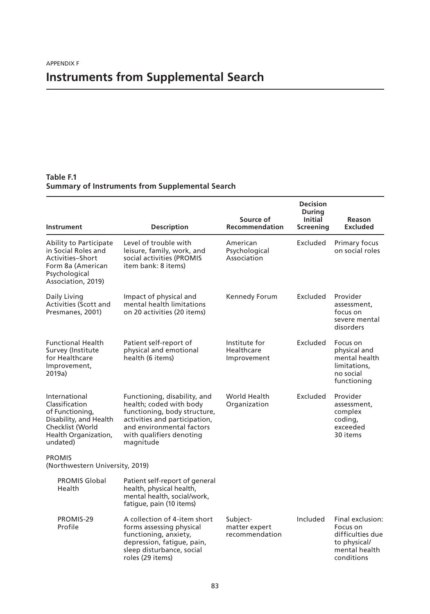# **Instruments from Supplemental Search**

### **Table F.1 Summary of Instruments from Supplemental Search**

| Instrument                                                                                                                           | <b>Description</b>                                                                                                                                                                             | Source of<br><b>Recommendation</b>          | Decision<br><b>During</b><br><b>Initial</b><br><b>Screening</b> | <b>Reason</b><br><b>Excluded</b>                                                                |
|--------------------------------------------------------------------------------------------------------------------------------------|------------------------------------------------------------------------------------------------------------------------------------------------------------------------------------------------|---------------------------------------------|-----------------------------------------------------------------|-------------------------------------------------------------------------------------------------|
| Ability to Participate<br>in Social Roles and<br>Activities-Short<br>Form 8a (American<br>Psychological<br>Association, 2019)        | Level of trouble with<br>leisure, family, work, and<br>social activities (PROMIS<br>item bank: 8 items)                                                                                        | American<br>Psychological<br>Association    | Excluded                                                        | Primary focus<br>on social roles                                                                |
| Daily Living<br>Activities (Scott and<br>Presmanes, 2001)                                                                            | Impact of physical and<br>mental health limitations<br>on 20 activities (20 items)                                                                                                             | Kennedy Forum                               | Excluded                                                        | Provider<br>assessment,<br>focus on<br>severe mental<br>disorders                               |
| <b>Functional Health</b><br>Survey (Institute<br>for Healthcare<br>Improvement,<br>2019a)                                            | Patient self-report of<br>physical and emotional<br>health (6 items)                                                                                                                           | Institute for<br>Healthcare<br>Improvement  | Excluded                                                        | Focus on<br>physical and<br>mental health<br>limitations,<br>no social<br>functioning           |
| International<br>Classification<br>of Functioning,<br>Disability, and Health<br>Checklist (World<br>Health Organization,<br>undated) | Functioning, disability, and<br>health; coded with body<br>functioning, body structure,<br>activities and participation,<br>and environmental factors<br>with qualifiers denoting<br>magnitude | World Health<br>Organization                | Excluded                                                        | Provider<br>assessment,<br>complex<br>coding,<br>exceeded<br>30 items                           |
| <b>PROMIS</b><br>(Northwestern University, 2019)                                                                                     |                                                                                                                                                                                                |                                             |                                                                 |                                                                                                 |
| <b>PROMIS Global</b><br>Health                                                                                                       | Patient self-report of general<br>health, physical health,<br>mental health, social/work,<br>fatique, pain (10 items)                                                                          |                                             |                                                                 |                                                                                                 |
| PROMIS-29<br>Profile                                                                                                                 | A collection of 4-item short<br>forms assessing physical<br>functioning, anxiety,<br>depression, fatique, pain,<br>sleep disturbance, social<br>roles (29 items)                               | Subject-<br>matter expert<br>recommendation | Included                                                        | Final exclusion:<br>Focus on<br>difficulties due<br>to physical/<br>mental health<br>conditions |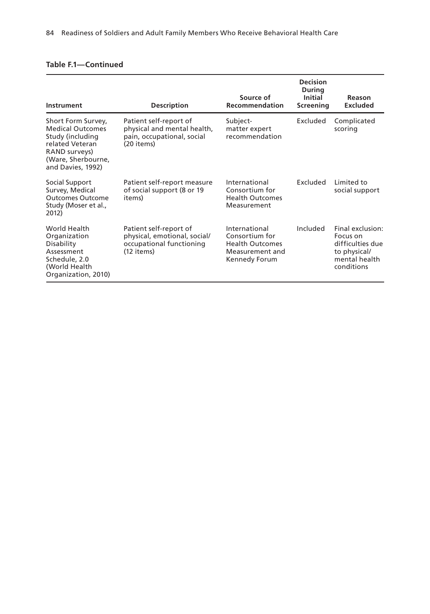| Instrument                                                                                                                                       | <b>Description</b>                                                                                 | Source of<br>Recommendation                                                                   | <b>Decision</b><br><b>During</b><br><b>Initial</b><br>Screening | Reason<br><b>Excluded</b>                                                                       |
|--------------------------------------------------------------------------------------------------------------------------------------------------|----------------------------------------------------------------------------------------------------|-----------------------------------------------------------------------------------------------|-----------------------------------------------------------------|-------------------------------------------------------------------------------------------------|
| Short Form Survey,<br><b>Medical Outcomes</b><br>Study (including<br>related Veteran<br>RAND surveys)<br>(Ware, Sherbourne,<br>and Davies, 1992) | Patient self-report of<br>physical and mental health,<br>pain, occupational, social<br>(20 items)  | Subject-<br>matter expert<br>recommendation                                                   | Excluded                                                        | Complicated<br>scoring                                                                          |
| Social Support<br>Survey, Medical<br><b>Outcomes Outcome</b><br>Study (Moser et al.,<br>2012)                                                    | Patient self-report measure<br>of social support (8 or 19<br>items)                                | International<br>Consortium for<br><b>Health Outcomes</b><br>Measurement                      | Excluded                                                        | Limited to<br>social support                                                                    |
| World Health<br>Organization<br>Disability<br>Assessment<br>Schedule, 2.0<br>(World Health<br>Organization, 2010)                                | Patient self-report of<br>physical, emotional, social/<br>occupational functioning<br>$(12$ items) | International<br>Consortium for<br><b>Health Outcomes</b><br>Measurement and<br>Kennedy Forum | Included                                                        | Final exclusion:<br>Focus on<br>difficulties due<br>to physical/<br>mental health<br>conditions |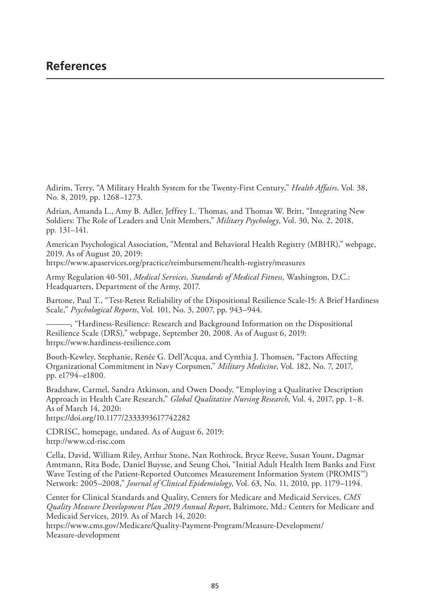### **References**

Adirim, Terry, "A Military Health System for the Twenty-First Century," *Health Affairs*, Vol. 38, [No. 8, 2019, pp. 1268–1273.](https://www.apaservices.org/practice/reimbursement/health-registry/measures)

Adrian, Amanda L., Amy B. Adler, Jeffrey L. Thomas, and Thomas W. Britt, "Integrating New Soldiers: The Role of Leaders and Unit Members," *Military Psychology*, Vol. 30, No. 2, 2018, pp. 131–141.

American Psychological Association, "Mental and Behavioral Health Registry (MBHR)," webpage, 2019. As of August 20, 2019: https://www.apaservices.org/practice/reimbursement/health-registry/measures

Army Regulation 40-501, *Medical Services, Standards of Medical Fitness*, Washington, D.C.: [Headquarters, Department of the Arm](https://www.hardiness-resilience.com)y, 2017.

Bartone, Paul T., "Test-Retest Reliability of the Dispositional Resilience Scale-15: A Brief Hardiness Scale," *Psychological Reports*, Vol. 101, No. 3, 2007, pp. 943–944.

———, "Hardiness-Resilience: Research and Background Information on the Dispositional Resilience Scale (DRS)," webpage, September 20, 2008. As of August 6, 2019: https://www.hardiness-resilience.com

[Booth-Kewley, Stephanie, Renée G. Dell'Ac](https://doi.org/10.1177/2333393617742282)qua, and Cynthia J. Thomsen, "Factors Affecting Organizational Commitment in Navy Corpsmen," *Military Medicine*, Vol. 182, No. 7, 2017, [pp. e1794–e1800.](http://www.cd-risc.com)

Bradshaw, Carmel, Sandra Atkinson, and Owen Doody, "Employing a Qualitative Description Approach in Health Care Research," *Global Qualitative Nursing Research*, Vol. 4, 2017, pp. 1–8. As of March 14, 2020: https://doi.org/10.1177/2333393617742282

CDRISC, homepage, undated. As of August 6, 2019:

http://www.cd-risc.com

Cella, David, William Riley, Arthur Stone, Nan Rothrock, Bryce Reeve, Susan Yount, Dagmar [Amtmann, Rita Bode, Daniel Buysse, and Seung Choi, "Initial Adult Health Item B](https://www.cms.gov/Medicare/Quality-Payment-Program/Measure-Development/Measure-development)anks and First Wave Testing of the Patient-Reported Outcomes Measurement Information System (PROMIS™) Network: 2005–2008," *Journal of Clinical Epidemiology*, Vol. 63, No. 11, 2010, pp. 1179–1194.

Center for Clinical Standards and Quality, Centers for Medicare and Medicaid Services, *CMS Quality Measure Development Plan 2019 Annual Report*, Baltimore, Md.: Centers for Medicare and Medicaid Services, 2019. As of March 14, 2020:

https://www.cms.gov/Medicare/Quality-Payment-Program/Measure-Development/ Measure-development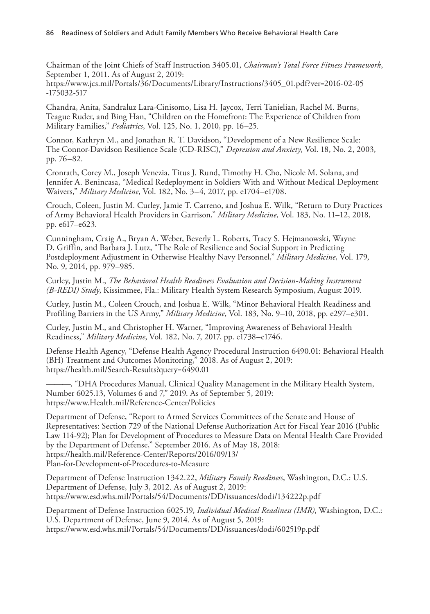[86 Readiness of Soldiers and Adult Family Members Who Receive Behavioral Health Care](https://www.jcs.mil/Portals/36/Documents/Library/Instructions/3405_01.pdf?ver=2016-02-05-175032-517)

Chairman of the Joint Chiefs of Staff Instruction 3405.01, *Chairman's Total Force Fitness Framework*, September 1, 2011. As of August 2, 2019:

https://www.jcs.mil/Portals/36/Documents/Library/Instructions/3405\_01.pdf?ver=2016-02-05 -175032-517

Chandra, Anita, Sandraluz Lara-Cinisomo, Lisa H. Jaycox, Terri Tanielian, Rachel M. Burns, Teague Ruder, and Bing Han, "Children on the Homefront: The Experience of Children from Military Families," *Pediatrics*, Vol. 125, No. 1, 2010, pp. 16–25.

Connor, Kathryn M., and Jonathan R. T. Davidson, "Development of a New Resilience Scale: The Connor-Davidson Resilience Scale (CD-RISC)," *Depression and Anxiety*, Vol. 18, No. 2, 2003, pp. 76–82.

Cronrath, Corey M., Joseph Venezia, Titus J. Rund, Timothy H. Cho, Nicole M. Solana, and Jennifer A. Benincasa, "Medical Redeployment in Soldiers With and Without Medical Deployment Waivers," *Military Medicine*, Vol. 182, No. 3–4, 2017, pp. e1704–e1708.

Crouch, Coleen, Justin M. Curley, Jamie T. Carreno, and Joshua E. Wilk, "Return to Duty Practices of Army Behavioral Health Providers in Garrison," *Military Medicine*, Vol. 183, No. 11–12, 2018, pp. e617–e623.

Cunningham, Craig A., Bryan A. Weber, Beverly L. Roberts, Tracy S. Hejmanowski, Wayne D. Griffin, and Barbara J. Lutz, "The Role of Resilience and Social Support in Predicting Postdeployment Adjustment in Otherwise Healthy Navy Personnel," *Military Medicine*, Vol. 179, No. 9, 2014, pp. 979–985.

Curley, Justin M., *The Behavioral Health Readiness Evaluation and Decision-Making Instrument (B-REDI) Study*, Kissimmee, Fla.: Military Health System Research Symposium, August 2019.

[Curley, Justin M., Coleen Crouch, and Joshua E.](https://health.mil/Search-Results?query=6490.01) Wilk, "Minor Behavioral Health Readiness and Profiling Barriers in the US Army," *Military Medicine*, Vol. 183, No. 9–10, 2018, pp. e297–e301.

Curley, Justin M., and Christopher H. Warner, "Improving Awareness of Behavioral Health Readiness," *Military Medicine*[, Vol. 182, No. 7, 201](https://www.Health.mil/Reference-Center/Policies)7, pp. e1738–e1746.

Defense Health Agency, "Defense Health Agency Procedural Instruction 6490.01: Behavioral Health (BH) Treatment and Outcomes Monitoring," 2018. As of August 2, 2019: https://health.mil/Search-Results?query=6490.01

———, "DHA Procedures Manual, Clinical Quality Management in the Military Health System, [Number 6025.13, Volumes 6 and 7," 2019. As of Septembe](https://health.mil/Reference-Center/Reports/2016/09/13/Plan-for-Development-of-Procedures-to-Measure)r 5, 2019: https://www.Health.mil/Reference-Center/Policies

Department of Defense, "Report to Armed Services Committees of the Senate and House of Representatives: Section 729 of the National Defense Authorization Act for Fiscal Year 2016 (Public [Law 114-92\); Plan for Development of Procedures to Measure Data on Mental Hea](https://www.esd.whs.mil/Portals/54/Documents/DD/issuances/dodi/134222p.pdf)lth Care Provided by the Department of Defense," September 2016. As of May 18, 2018: https://health.mil/Reference-Center/Reports/2016/09/13/ [Plan-for-Development-of-Procedures-to-Measure](https://www.esd.whs.mil/Portals/54/Documents/DD/issuances/dodi/602519p.pdf)

Department of Defense Instruction 1342.22, *Military Family Readiness*, Washington, D.C.: U.S. Department of Defense, July 3, 2012. As of August 2, 2019: https://www.esd.whs.mil/Portals/54/Documents/DD/issuances/dodi/134222p.pdf

Department of Defense Instruction 6025.19, *Individual Medical Readiness (IMR)*, Washington, D.C.: U.S. Department of Defense, June 9, 2014. As of August 5, 2019: https://www.esd.whs.mil/Portals/54/Documents/DD/issuances/dodi/602519p.pdf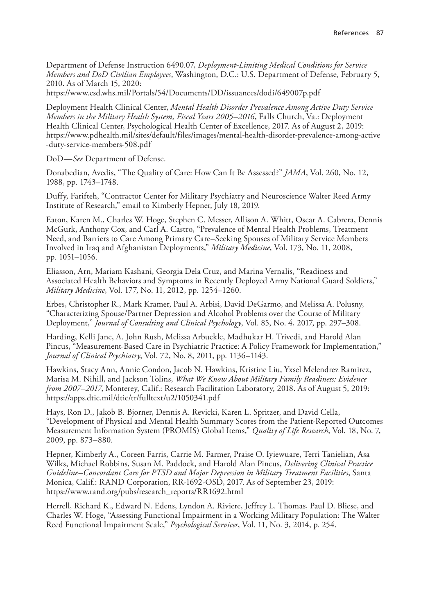References 87

Department of Defense Instruction 6490.07, *Deployment-Limiting Medical Conditions for Service Members and DoD Civilian Employees*[, Washington, D.C.: U.S. Department of Defense, February 5,](https://www.pdhealth.mil/sites/default/files/images/mental-health-disorder-prevalence-among-active-duty-service-members-508.pdf)  2010. As of March 15, 2020:

https://www.esd.whs.mil/Portals/54/Documents/DD/issuances/dodi/649007p.pdf

Deployment Health Clinical Center, *Mental Health Disorder Prevalence Among Active Duty Service Members in the Military Health System, Fiscal Years 2005–2016*, Falls Church, Va.: Deployment Health Clinical Center, Psychological Health Center of Excellence, 2017. As of August 2, 2019: https://www.pdhealth.mil/sites/default/files/images/mental-health-disorder-prevalence-among-active -duty-service-members-508.pdf

DoD—*See* Department of Defense.

Donabedian, Avedis, "The Quality of Care: How Can It Be Assessed?" *JAMA*, Vol. 260, No. 12, 1988, pp. 1743–1748.

Duffy, Farifteh, "Contractor Center for Military Psychiatry and Neuroscience Walter Reed Army Institute of Research," email to Kimberly Hepner, July 18, 2019.

Eaton, Karen M., Charles W. Hoge, Stephen C. Messer, Allison A. Whitt, Oscar A. Cabrera, Dennis McGurk, Anthony Cox, and Carl A. Castro, "Prevalence of Mental Health Problems, Treatment Need, and Barriers to Care Among Primary Care–Seeking Spouses of Military Service Members Involved in Iraq and Afghanistan Deployments," *Military Medicine*, Vol. 173, No. 11, 2008, pp. 1051–1056.

Eliasson, Arn, Mariam Kashani, Georgia Dela Cruz, and Marina Vernalis, "Readiness and Associated Health Behaviors and Symptoms in Recently Deployed Army National Guard Soldiers," *Military Medicine*, Vol. 177, No. 11, 2012, pp. 1254–1260.

Erbes, Christopher R., Mark Kramer, Paul A. Arbisi, David DeGarmo, and Melissa A. Polusny, "Characterizing Spouse/Partner Depression and Alcohol Problems over the Course of Military Deployment," *Journal of Consulting and Clinical Psychology*, Vol. 85, No. 4, 2017, pp. 297–308.

[Harding, Kelli Jane, A. John Rush, Melissa Arbuckle](https://apps.dtic.mil/dtic/tr/fulltext/u2/1050341.pdf), Madhukar H. Trivedi, and Harold Alan Pincus, "Measurement-Based Care in Psychiatric Practice: A Policy Framework for Implementation," *Journal of Clinical Psychiatry*, Vol. 72, No. 8, 2011, pp. 1136–1143.

Hawkins, Stacy Ann, Annie Condon, Jacob N. Hawkins, Kristine Liu, Yxsel Melendrez Ramirez, Marisa M. Nihill, and Jackson Tolins, *What We Know About Military Family Readiness: Evidence from 2007–2017*, Monterey, Calif.: Research Facilitation Laboratory, 2018. As of August 5, 2019: https://apps.dtic.mil/dtic/tr/fulltext/u2/1050341.pdf

Hays, Ron D., Jakob B. Bjorner, Dennis A. Revicki, Karen L. Spritzer, and David Cella, "Development of Physical and Mental Health Summary Scores from the Patient-Reported Outcomes [Measurement Information System \(PROMIS\) Global Items](https://www.rand.org/pubs/research_reports/RR1692.html)," *Quality of Life Research*, Vol. 18, No. 7, 2009, pp. 873–880.

Hepner, Kimberly A., Coreen Farris, Carrie M. Farmer, Praise O. Iyiewuare, Terri Tanielian, Asa Wilks, Michael Robbins, Susan M. Paddock, and Harold Alan Pincus, *Delivering Clinical Practice Guideline–Concordant Care for PTSD and Major Depression in Military Treatment Facilities*, Santa Monica, Calif.: RAND Corporation, RR-1692-OSD, 2017. As of September 23, 2019: https://www.rand.org/pubs/research\_reports/RR1692.html

Herrell, Richard K., Edward N. Edens, Lyndon A. Riviere, Jeffrey L. Thomas, Paul D. Bliese, and Charles W. Hoge, "Assessing Functional Impairment in a Working Military Population: The Walter Reed Functional Impairment Scale," *Psychological Services*, Vol. 11, No. 3, 2014, p. 254.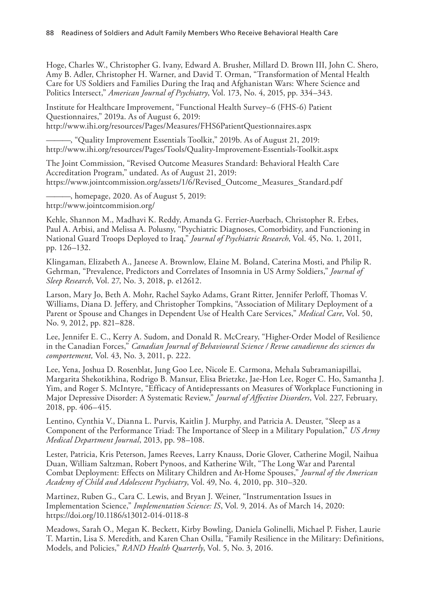88 Readiness of Soldiers and Adult Family Members Who Receive Behavioral Health Care

[Hoge, Charles W., Christopher G. Ivany, Edward A. Brusher, Millard D. Brown](http://www.ihi.org/resources/Pages/Measures/FHS6PatientQuestionnaires.aspx) III, John C. Shero, Amy B. Adler, Christopher H. Warner, and David T. Orman, "Transformation of Mental Health [Care for US Soldiers and Families During the Iraq and Afghanistan Wars: Where Scienc](http://www.ihi.org/resources/Pages/Tools/Quality-Improvement-Essentials-Toolkit.aspx)e and Politics Intersect," *American Journal of Psychiatry*, Vol. 173, No. 4, 2015, pp. 334–343.

Institute for Healthcare Improvement, "Functional Health Survey–6 (FHS-6) Patient Questionnaires," 2019a. As of August 6, 2019: [http://www.ihi.org/resources/Pages/Measures/FHS6PatientQuestionnaires.aspx](https://www.jointcommission.org/assets/1/6/Revised_Outcome_Measures_Standard.pdf)

[———, "Quality Improvement E](http://www.jointcommision.org/)ssentials Toolkit," 2019b. As of August 21, 2019: http://www.ihi.org/resources/Pages/Tools/Quality-Improvement-Essentials-Toolkit.aspx

The Joint Commission, "Revised Outcome Measures Standard: Behavioral Health Care Accreditation Program," undated. As of August 21, 2019: https://www.jointcommission.org/assets/1/6/Revised\_Outcome\_Measures\_Standard.pdf

———, homepage, 2020. As of August 5, 2019: http://www.jointcommision.org/

Kehle, Shannon M., Madhavi K. Reddy, Amanda G. Ferrier-Auerbach, Christopher R. Erbes, Paul A. Arbisi, and Melissa A. Polusny, "Psychiatric Diagnoses, Comorbidity, and Functioning in National Guard Troops Deployed to Iraq," *Journal of Psychiatric Research*, Vol. 45, No. 1, 2011, pp. 126–132.

Klingaman, Elizabeth A., Janeese A. Brownlow, Elaine M. Boland, Caterina Mosti, and Philip R. Gehrman, "Prevalence, Predictors and Correlates of Insomnia in US Army Soldiers," *Journal of Sleep Research*, Vol. 27, No. 3, 2018, p. e12612.

Larson, Mary Jo, Beth A. Mohr, Rachel Sayko Adams, Grant Ritter, Jennifer Perloff, Thomas V. Williams, Diana D. Jeffery, and Christopher Tompkins, "Association of Military Deployment of a Parent or Spouse and Changes in Dependent Use of Health Care Services," *Medical Care*, Vol. 50, No. 9, 2012, pp. 821–828.

Lee, Jennifer E. C., Kerry A. Sudom, and Donald R. McCreary, "Higher-Order Model of Resilience in the Canadian Forces," *Canadian Journal of Behavioural Science / Revue canadienne des sciences du comportement,* Vol. 43, No. 3, 2011, p. 222.

Lee, Yena, Joshua D. Rosenblat, Jung Goo Lee, Nicole E. Carmona, Mehala Subramaniapillai, Margarita Shekotikhina, Rodrigo B. Mansur, Elisa Brietzke, Jae-Hon Lee, Roger C. Ho, Samantha J. Yim, and Roger S. McIntyre, "Efficacy of Antidepressants on Measures of Workplace Functioning in Major Depressive Disorder: A Systematic Review," *Journal of Affective Disorders*, Vol. 227, February, 2018, pp. 406–415.

Lentino, Cynthia V., Dianna L. Purvis, Kaitlin J. Murphy, and Patricia A. Deuster, "Sleep as a Component of the Performance Triad: The Importance of Sleep in a Military Population," *US Army Medical Department Journal*, 2013, pp. 98–108.

[Lester, Patricia, Kris Peterson, James Reeve](https://doi.org/10.1186/s13012-014-0118-8)s, Larry Knauss, Dorie Glover, Catherine Mogil, Naihua Duan, William Saltzman, Robert Pynoos, and Katherine Wilt, "The Long War and Parental Combat Deployment: Effects on Military Children and At-Home Spouses," *Journal of the American Academy of Child and Adolescent Psychiatry*, Vol. 49, No. 4, 2010, pp. 310–320.

Martinez, Ruben G., Cara C. Lewis, and Bryan J. Weiner, "Instrumentation Issues in Implementation Science," *Implementation Science: IS*, Vol. 9, 2014. As of March 14, 2020: https://doi.org/10.1186/s13012-014-0118-8

Meadows, Sarah O., Megan K. Beckett, Kirby Bowling, Daniela Golinelli, Michael P. Fisher, Laurie T. Martin, Lisa S. Meredith, and Karen Chan Osilla, "Family Resilience in the Military: Definitions, Models, and Policies," *RAND Health Quarterly*, Vol. 5, No. 3, 2016.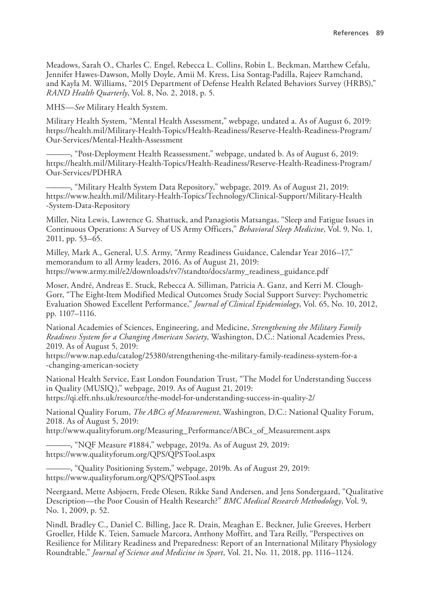Meadows, Sarah O., Charles C. Engel, Rebecca L. Collins, Robin L. Beckman, Matthew Cefalu, [Jennifer Hawes-Dawson, Molly Doyle, Amii M. Kress, Lisa Sontag-Padilla, Rajeev Ramchand,](https://health.mil/Military-Health-Topics/Health-Readiness/Reserve-Health-Readiness-Program/Our-Services/Mental-Health-Assessment)  and Kayla M. Williams, "2015 Department of Defense Health Related Behaviors Survey (HRBS)," *RAND Health Quarterly*, Vol. 8, No. 2, 2018, p. 5.

MHS—*See* [Military Health System.](https://health.mil/Military-Health-Topics/Health-Readiness/Reserve-Health-Readiness-Program/Our-Services/PDHRA)

Military Health System, "Mental Health Assessment," webpage, undated a. As of August 6, 2019: [https://health.mil/Military-Health-Topics/Health-Readiness/Reserve-Health-Readiness-Program](https://www.health.mil/Military-Health-Topics/Technology/Clinical-Support/Military-Health-System-Data-Repository)/ Our-Services/Mental-Health-Assessment

———, "Post-Deployment Health Reassessment," webpage, undated b. As of August 6, 2019: https://health.mil/Military-Health-Topics/Health-Readiness/Reserve-Health-Readiness-Program/ Our-Services/PDHRA

———, "Military Health System Data Repository," webpage, 2019. As of August 21, 2019: https://www.health.mil/Military-Health-Topics/Technology/Clinical-Support/Military-Health [-System-Data-Repository](https://www.army.mil/e2/downloads/rv7/standto/docs/army_readiness_guidance.pdf)

Miller, Nita Lewis, Lawrence G. Shattuck, and Panagiotis Matsangas, "Sleep and Fatigue Issues in Continuous Operations: A Survey of US Army Officers," *Behavioral Sleep Medicine*, Vol. 9, No. 1, 2011, pp. 53–65.

Milley, Mark A., General, U.S. Army, "Army Readiness Guidance, Calendar Year 2016–17," memorandum to all Army leaders, 2016. As of August 21, 2019: https://www.army.mil/e2/downloads/rv7/standto/docs/army\_readiness\_guidance.pdf

Moser, André, Andreas E. Stuck, Rebecca A. Silliman, Patricia A. Ganz, and Kerri M. Clough-[Gorr, "The Eight-Item Modified Medical Outcomes Study Social Support Survey: Psychomet](https://www.nap.edu/catalog/25380/strengthening-the-military-family-readiness-system-for-a-changing-american-society)ric Evaluation Showed Excellent Performance," *Journal of Clinical Epidemiology*, Vol. 65, No. 10, 2012, pp. 1107–1116.

National Academies of Sciences, Engineering, and Medicine, *Strengthening the Military Family [Readiness System for a Changing American Society](https://qi.elft.nhs.uk/resource/the-model-for-understanding-success-in-quality-2/)*, Washington, D.C.: National Academies Press, 2019. As of August 5, 2019:

https://www.nap.edu/catalog/25380/strengthening-the-military-family-readiness-system-for-a [-changing-american-society](http://www.qualityforum.org/Measuring_Performance/ABCs_of_Measurement.aspx)

National Health Service, East London Foundation Trust, "The Model for Understanding Success [in Quality \(MUSIQ\)," webpage, 2019. As of Augus](https://www.qualityforum.org/QPS/QPSTool.aspx)t 21, 2019: https://qi.elft.nhs.uk/resource/the-model-for-understanding-success-in-quality-2/

[National Quality Forum,](https://www.qualityforum.org/QPS/QPSTool.aspx) *The ABCs of Measurement*, Washington, D.C.: National Quality Forum, 2018. As of August 5, 2019:

http://www.qualityforum.org/Measuring\_Performance/ABCs\_of\_Measurement.aspx

-, "NQF Measure #1884," webpage, 2019a. As of August 29, 2019: https://www.qualityforum.org/QPS/QPSTool.aspx

———, "Quality Positioning System," webpage, 2019b. As of August 29, 2019: https://www.qualityforum.org/QPS/QPSTool.aspx

Neergaard, Mette Asbjoern, Frede Olesen, Rikke Sand Andersen, and Jens Sondergaard, "Qualitative Description—the Poor Cousin of Health Research?" *BMC Medical Research Methodology*, Vol. 9, No. 1, 2009, p. 52.

Nindl, Bradley C., Daniel C. Billing, Jace R. Drain, Meaghan E. Beckner, Julie Greeves, Herbert Groeller, Hilde K. Teien, Samuele Marcora, Anthony Moffitt, and Tara Reilly, "Perspectives on Resilience for Military Readiness and Preparedness: Report of an International Military Physiology Roundtable," *Journal of Science and Medicine in Sport*, Vol. 21, No. 11, 2018, pp. 1116–1124.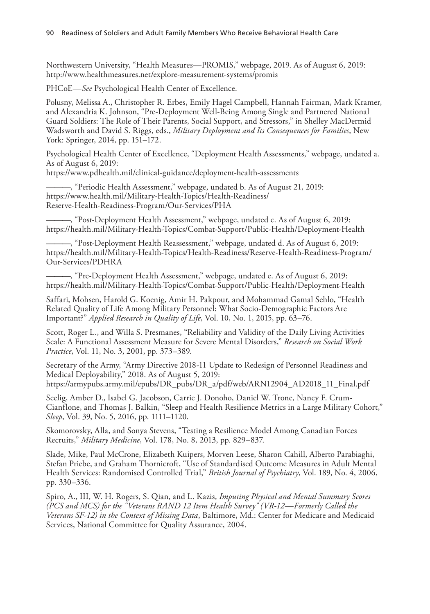90 Readiness of Soldiers and Adult Family Members Who Receive Behavioral Health Care

Northwestern University, "Health Measures—PROMIS," webpage, 2019. As of August 6, 2019: http://www.healthmeasures.net/explore-measurement-systems/promis

PHCoE—*See* Psychological Health Center of Excellence.

Polusny, Melissa A., Christopher R. Erbes, Emily Hagel Campbell, Hannah Fairman, Mark Kramer, [and Alexandria K. Johnson, "Pre-Deployment Well-Being Among Single an](https://www.pdhealth.mil/clinical-guidance/deployment-health-assessments)d Partnered National Guard Soldiers: The Role of Their Parents, Social Support, and Stressors," in Shelley MacDermid Wadsworth and David S. Riggs, eds., *Military Deployment and Its Consequences for Families*, New [York: Springer, 2014, pp. 151–172.](https://www.health.mil/Military-Health-Topics/Health-Readiness/Reserve-Health-Readiness-Program/Our-Services/PHA)

Psychological Health Center of Excellence, "Deployment Health Assessments," webpage, undated a. As of August 6, 2019: [https://www.pdhealth.mil/clinical-guidance/deployment-health-assessments](https://health.mil/Military-Health-Topics/Combat-Support/Public-Health/Deployment-Health)

-, "Periodic Health Assessment," webpage, undated b. As of August 21, 2019: [https://www.health.mil/Military-Health-Topics/Health-Readiness/](https://health.mil/Military-Health-Topics/Health-Readiness/Reserve-Health-Readiness-Program/Our-Services/PDHRA) Reserve-Health-Readiness-Program/Our-Services/PHA

[———, "Post-Deployment Health Assessment," webpage, undated c. As of August 6, 2019:](https://health.mil/Military-Health-Topics/Combat-Support/Public-Health/Deployment-Health)  https://health.mil/Military-Health-Topics/Combat-Support/Public-Health/Deployment-Health

———, "Post-Deployment Health Reassessment," webpage, undated d. As of August 6, 2019: https://health.mil/Military-Health-Topics/Health-Readiness/Reserve-Health-Readiness-Program/ Our-Services/PDHRA

———, "Pre-Deployment Health Assessment," webpage, undated e. As of August 6, 2019: https://health.mil/Military-Health-Topics/Combat-Support/Public-Health/Deployment-Health

Saffari, Mohsen, Harold G. Koenig, Amir H. Pakpour, and Mohammad Gamal Sehlo, "Health Related Quality of Life Among Military Personnel: What Socio-Demographic Factors Are Important?" *[Applied Research in Quality of Life](https://armypubs.army.mil/epubs/DR_pubs/DR_a/pdf/web/ARN12904_AD2018_11_Final.pdf)*, Vol. 10, No. 1, 2015, pp. 63–76.

Scott, Roger L., and Willa S. Presmanes, "Reliability and Validity of the Daily Living Activities Scale: A Functional Assessment Measure for Severe Mental Disorders," *Research on Social Work Practice*, Vol. 11, No. 3, 2001, pp. 373–389.

Secretary of the Army, "Army Directive 2018-11 Update to Redesign of Personnel Readiness and Medical Deployability," 2018. As of August 5, 2019: https://armypubs.army.mil/epubs/DR\_pubs/DR\_a/pdf/web/ARN12904\_AD2018\_11\_Final.pdf

Seelig, Amber D., Isabel G. Jacobson, Carrie J. Donoho, Daniel W. Trone, Nancy F. Crum-Cianflone, and Thomas J. Balkin, "Sleep and Health Resilience Metrics in a Large Military Cohort," *Sleep*, Vol. 39, No. 5, 2016, pp. 1111–1120.

Skomorovsky, Alla, and Sonya Stevens, "Testing a Resilience Model Among Canadian Forces Recruits," *Military Medicine*, Vol. 178, No. 8, 2013, pp. 829–837.

Slade, Mike, Paul McCrone, Elizabeth Kuipers, Morven Leese, Sharon Cahill, Alberto Parabiaghi, Stefan Priebe, and Graham Thornicroft, "Use of Standardised Outcome Measures in Adult Mental Health Services: Randomised Controlled Trial," *British Journal of Psychiatry*, Vol. 189, No. 4, 2006, pp. 330–336.

Spiro, A., III, W. H. Rogers, S. Qian, and L. Kazis, *Imputing Physical and Mental Summary Scores (PCS and MCS) for the "Veterans RAND 12 Item Health Survey" (VR-12—Formerly Called the Veterans SF-12) in the Context of Missing Data*, Baltimore, Md.: Center for Medicare and Medicaid Services, National Committee for Quality Assurance, 2004.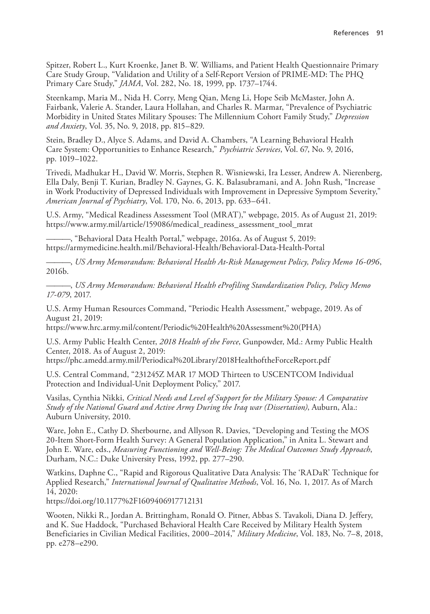Spitzer, Robert L., Kurt Kroenke, Janet B. W. Williams, and Patient Health Questionnaire Primary Care Study Group, "Validation and Utility of a Self-Report Version of PRIME-MD: The PHQ Primary Care Study," *JAMA*, Vol. 282, No. 18, 1999, pp. 1737–1744.

Steenkamp, Maria M., Nida H. Corry, Meng Qian, Meng Li, Hope Seib McMaster, John A. Fairbank, Valerie A. Stander, Laura Hollahan, and Charles R. Marmar, "Prevalence of Psychiatric Morbidity in United States Military Spouses: The Millennium Cohort Family Study," *Depression and Anxiety*, Vol. 35, No. 9, 2018, pp. 815–829.

Stein, Bradley D., Alyce S. Adams, and David A. Chambers, "A Learning Behavioral Health Care System: Opportunities to Enhance Research," *Psychiatric Services*, Vol. 67, No. 9, 2016, [pp. 1019–1022.](https://www.army.mil/article/159086/medical_readiness_assessment_tool_mrat)

Trivedi, Madhukar H., David W. Morris, Stephen R. Wisniewski, Ira Lesser, Andrew A. Nierenberg, [Ella Daly, Benji T. Kurian, Bradley N. Gaynes, G. K. Balasubramani, and A. John R](https://armymedicine.health.mil/Behavioral-Health/Behavioral-Data-Health-Portal)ush, "Increase in Work Productivity of Depressed Individuals with Improvement in Depressive Symptom Severity," *American Journal of Psychiatry*, Vol. 170, No. 6, 2013, pp. 633–641.

U.S. Army, "Medical Readiness Assessment Tool (MRAT)," webpage, 2015. As of August 21, 2019: https://www.army.mil/article/159086/medical\_readiness\_assessment\_tool\_mrat

-, "Behavioral Data Health Portal," webpage, 2016a. As of August 5, 2019: https://armymedicine.health.mil/Behavioral-Health/Behavioral-Data-Health-Portal

———, *[US Army Memorandum: Behavioral Health At-Risk Management Policy, Pol](https://www.hrc.army.mil/content/Periodic%20Health%20Assessment%20(PHA))icy Memo 16-096*, 2016b.

———, *US Army Memorandum: Behavioral Health eProfiling Standardization Policy, Policy Memo [17-079](https://phc.amedd.army.mil/Periodical%20Library/2018HealthoftheForceReport.pdf)*, 2017.

U.S. Army Human Resources Command, "Periodic Health Assessment," webpage, 2019. As of August 21, 2019:

https://www.hrc.army.mil/content/Periodic%20Health%20Assessment%20(PHA)

U.S. Army Public Health Center, *2018 Health of the Force*, Gunpowder, Md.: Army Public Health Center, 2018. As of August 2, 2019:

https://phc.amedd.army.mil/Periodical%20Library/2018HealthoftheForceReport.pdf

U.S. Central Command, "231245Z MAR 17 MOD Thirteen to USCENTCOM Individual Protection and Individual-Unit Deployment Policy," 2017.

Vasilas, Cynthia Nikki, *Critical Needs and Level of Support for the Military Spouse: A Comparative Study of the National Guard and Active Army During the Iraq war (Dissertation)*, Auburn, Ala.: Auburn University, 2010.

Ware, John E., Cathy D. Sherbourne, and Allyson R. Davies, "Developing and Testing the MOS [20-Item Short-Form Health Survey: A General](https://doi.org/10.1177%2F1609406917712131) Population Application," in Anita L. Stewart and John E. Ware, eds., *Measuring Functioning and Well-Being: The Medical Outcomes Study Approach*, Durham, N.C.: Duke University Press, 1992, pp. 277–290.

Watkins, Daphne C., "Rapid and Rigorous Qualitative Data Analysis: The 'RADaR' Technique for Applied Research," *International Journal of Qualitative Methods*, Vol. 16, No. 1, 2017. As of March 14, 2020:

https://doi.org/10.1177%2F1609406917712131

Wooten, Nikki R., Jordan A. Brittingham, Ronald O. Pitner, Abbas S. Tavakoli, Diana D. Jeffery, and K. Sue Haddock, "Purchased Behavioral Health Care Received by Military Health System Beneficiaries in Civilian Medical Facilities, 2000–2014," *Military Medicine*, Vol. 183, No. 7–8, 2018, pp. e278–e290.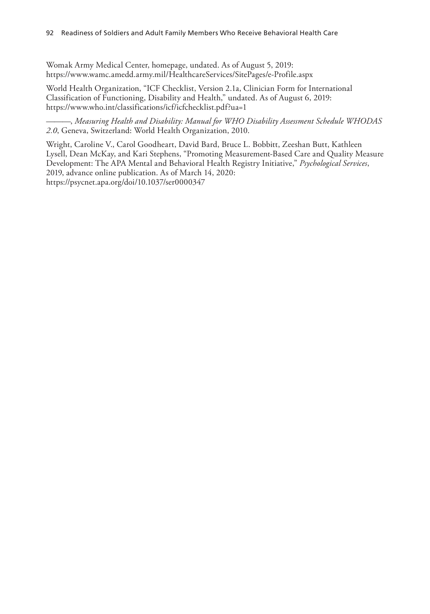## 92 Readiness of Soldiers and Adult Family Members Who Receive Behavioral Health Care

Womak Army Medical Center, homepage, undated. As of August 5, 2019: https://www.wamc.amedd.army.mil/HealthcareServices/SitePages/e-Profile.aspx

World Health Organization, "ICF Checklist, Version 2.1a, Clinician Form for International Classification of Functioning, Disability and Health," undated. As of August 6, 2019: https://www.who.int/classifications/icf/icfchecklist.pdf?ua=1

———, *[Measuring Health and Disability: Manua](https://psycnet.apa.org/doi/10.1037/ser0000347)l for WHO Disability Assessment Schedule WHODAS 2.0*, Geneva, Switzerland: World Health Organization, 2010.

Wright, Caroline V., Carol Goodheart, David Bard, Bruce L. Bobbitt, Zeeshan Butt, Kathleen Lysell, Dean McKay, and Kari Stephens, "Promoting Measurement-Based Care and Quality Measure Development: The APA Mental and Behavioral Health Registry Initiative," *Psychological Services*, 2019, advance online publication. As of March 14, 2020: https://psycnet.apa.org/doi/10.1037/ser0000347